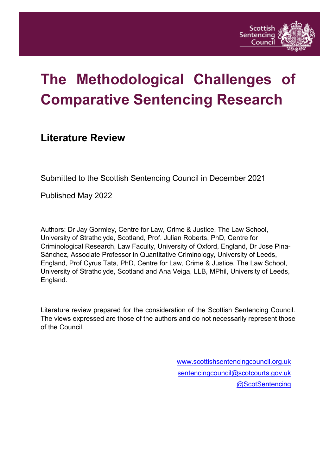

# **The Methodological Challenges of Comparative Sentencing Research**

# **Literature Review**

Submitted to the Scottish Sentencing Council in December 2021

Published May 2022

Authors: Dr Jay Gormley, Centre for Law, Crime & Justice, The Law School, University of Strathclyde, Scotland, Prof. Julian Roberts, PhD, Centre for Criminological Research, Law Faculty, University of Oxford, England, Dr Jose Pina-Sánchez, Associate Professor in Quantitative Criminology, University of Leeds, England, Prof Cyrus Tata, PhD, Centre for Law, Crime & Justice, The Law School, University of Strathclyde, Scotland and Ana Veiga, LLB, MPhil, University of Leeds, England.

Literature review prepared for the consideration of the Scottish Sentencing Council. The views expressed are those of the authors and do not necessarily represent those of the Council.

> [www.scottishsentencingcouncil.org.uk](http://www.scottishsentencingcouncil.org.uk/) [sentencingcouncil@scotcourts.gov.uk](mailto:sentencingcouncil@scotcourts.gov.uk) [@ScotSentencing](https://twitter.com/ScotSentencing)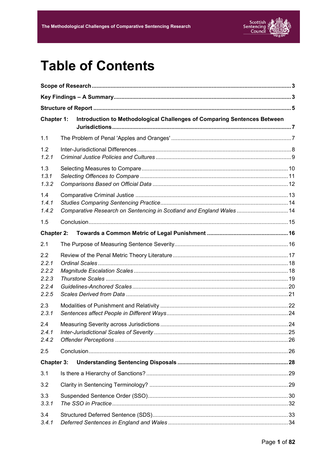

# **Table of Contents**

| Chapter 1:                                       |  | Introduction to Methodological Challenges of Comparing Sentences Between |  |  |  |
|--------------------------------------------------|--|--------------------------------------------------------------------------|--|--|--|
| 1.1                                              |  |                                                                          |  |  |  |
| 1.2<br>1.2.1                                     |  |                                                                          |  |  |  |
| 1.3<br>1.3.1<br>1.3.2                            |  |                                                                          |  |  |  |
| 1.4<br>1.4.1<br>1.4.2                            |  | Comparative Research on Sentencing in Scotland and England Wales 14      |  |  |  |
| 1.5                                              |  |                                                                          |  |  |  |
| Chapter 2:                                       |  |                                                                          |  |  |  |
| 2.1                                              |  |                                                                          |  |  |  |
| 2.2<br>2.2.1<br>2.2.2<br>2.2.3<br>2.2.4<br>2.2.5 |  |                                                                          |  |  |  |
| 2.3<br>2.3.1                                     |  |                                                                          |  |  |  |
| 2.4<br>2.4.1<br>2.4.2                            |  |                                                                          |  |  |  |
| 2.5                                              |  |                                                                          |  |  |  |
| Chapter 3:                                       |  |                                                                          |  |  |  |
| 3.1                                              |  |                                                                          |  |  |  |
| 3.2                                              |  |                                                                          |  |  |  |
| 3.3<br>3.3.1                                     |  |                                                                          |  |  |  |
| 3.4<br>3.4.1                                     |  |                                                                          |  |  |  |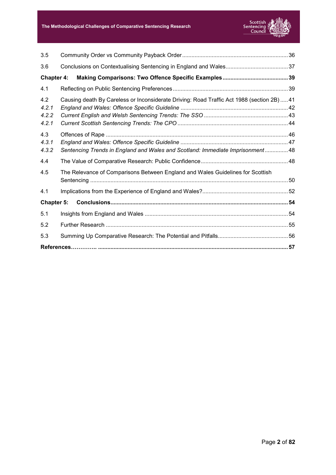

| 3.5               |                                                                                          |  |  |
|-------------------|------------------------------------------------------------------------------------------|--|--|
| 3.6               |                                                                                          |  |  |
| Chapter 4:        |                                                                                          |  |  |
| 4.1               |                                                                                          |  |  |
| 4.2<br>4.2.1      | Causing death By Careless or Inconsiderate Driving: Road Traffic Act 1988 (section 2B)41 |  |  |
| 4.2.2<br>4.2.1    |                                                                                          |  |  |
| 4.3               |                                                                                          |  |  |
| 4.3.1             |                                                                                          |  |  |
| 4.3.2             | Sentencing Trends in England and Wales and Scotland: Immediate Imprisonment48            |  |  |
| 4.4               |                                                                                          |  |  |
| 4.5               | The Relevance of Comparisons Between England and Wales Guidelines for Scottish           |  |  |
| 4.1               |                                                                                          |  |  |
| <b>Chapter 5:</b> |                                                                                          |  |  |
| 5.1               |                                                                                          |  |  |
| 5.2               |                                                                                          |  |  |
| 5.3               |                                                                                          |  |  |
|                   |                                                                                          |  |  |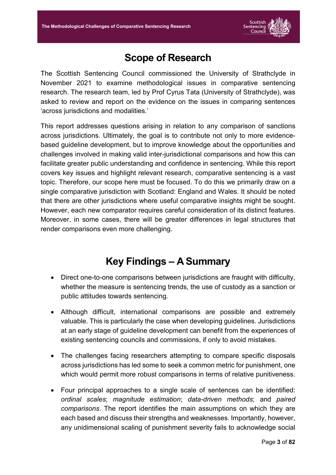

# **Scope of Research**

<span id="page-3-0"></span>The Scottish Sentencing Council commissioned the University of Strathclyde in November 2021 to examine methodological issues in comparative sentencing research. The research team, led by Prof Cyrus Tata (University of Strathclyde), was asked to review and report on the evidence on the issues in comparing sentences 'across jurisdictions and modalities.'

This report addresses questions arising in relation to any comparison of sanctions across jurisdictions. Ultimately, the goal is to contribute not only to more evidencebased guideline development, but to improve knowledge about the opportunities and challenges involved in making valid inter-jurisdictional comparisons and how this can facilitate greater public understanding and confidence in sentencing. While this report covers key issues and highlight relevant research, comparative sentencing is a vast topic. Therefore, our scope here must be focused. To do this we primarily draw on a single comparative jurisdiction with Scotland: England and Wales. It should be noted that there are other jurisdictions where useful comparative insights might be sought. However, each new comparator requires careful consideration of its distinct features. Moreover, in some cases, there will be greater differences in legal structures that render comparisons even more challenging.

# **Key Findings – A Summary**

- <span id="page-3-1"></span>• Direct one-to-one comparisons between jurisdictions are fraught with difficulty, whether the measure is sentencing trends, the use of custody as a sanction or public attitudes towards sentencing.
- Although difficult, international comparisons are possible and extremely valuable. This is particularly the case when developing guidelines. Jurisdictions at an early stage of guideline development can benefit from the experiences of existing sentencing councils and commissions, if only to avoid mistakes.
- The challenges facing researchers attempting to compare specific disposals across jurisdictions has led some to seek a common metric for punishment, one which would permit more robust comparisons in terms of relative punitiveness.
- Four principal approaches to a single scale of sentences can be identified: *ordinal scales*; *magnitude estimation*; *data-driven methods*; and *paired comparisons*. The report identifies the main assumptions on which they are each based and discuss their strengths and weaknesses. Importantly, however, any unidimensional scaling of punishment severity fails to acknowledge social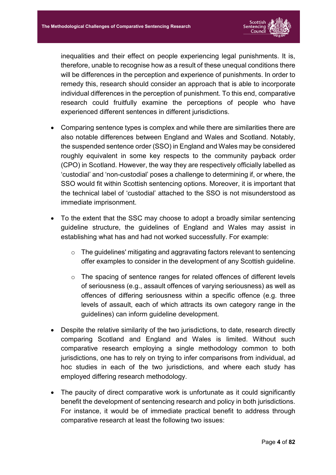

inequalities and their effect on people experiencing legal punishments. It is, therefore, unable to recognise how as a result of these unequal conditions there will be differences in the perception and experience of punishments. In order to remedy this, research should consider an approach that is able to incorporate individual differences in the perception of punishment. To this end, comparative research could fruitfully examine the perceptions of people who have experienced different sentences in different jurisdictions.

- Comparing sentence types is complex and while there are similarities there are also notable differences between England and Wales and Scotland. Notably, the suspended sentence order (SSO) in England and Wales may be considered roughly equivalent in some key respects to the community payback order (CPO) in Scotland. However, the way they are respectively officially labelled as 'custodial' and 'non-custodial' poses a challenge to determining if, or where, the SSO would fit within Scottish sentencing options. Moreover, it is important that the technical label of 'custodial' attached to the SSO is not misunderstood as immediate imprisonment.
- To the extent that the SSC may choose to adopt a broadly similar sentencing guideline structure, the guidelines of England and Wales may assist in establishing what has and had not worked successfully. For example:
	- o The guidelines' mitigating and aggravating factors relevant to sentencing offer examples to consider in the development of any Scottish guideline.
	- o The spacing of sentence ranges for related offences of different levels of seriousness (e.g., assault offences of varying seriousness) as well as offences of differing seriousness within a specific offence (e.g. three levels of assault, each of which attracts its own category range in the guidelines) can inform guideline development.
- Despite the relative similarity of the two jurisdictions, to date, research directly comparing Scotland and England and Wales is limited. Without such comparative research employing a single methodology common to both jurisdictions, one has to rely on trying to infer comparisons from individual, ad hoc studies in each of the two jurisdictions, and where each study has employed differing research methodology.
- The paucity of direct comparative work is unfortunate as it could significantly benefit the development of sentencing research and policy in both jurisdictions. For instance, it would be of immediate practical benefit to address through comparative research at least the following two issues: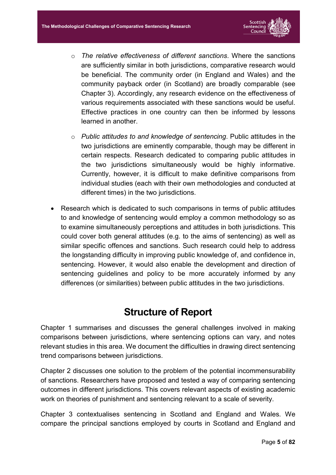

- o *The relative effectiveness of different sanctions*. Where the sanctions are sufficiently similar in both jurisdictions, comparative research would be beneficial. The community order (in England and Wales) and the community payback order (in Scotland) are broadly comparable (see Chapter 3). Accordingly, any research evidence on the effectiveness of various requirements associated with these sanctions would be useful. Effective practices in one country can then be informed by lessons learned in another.
- o *Public attitudes to and knowledge of sentencing*. Public attitudes in the two jurisdictions are eminently comparable, though may be different in certain respects. Research dedicated to comparing public attitudes in the two jurisdictions simultaneously would be highly informative. Currently, however, it is difficult to make definitive comparisons from individual studies (each with their own methodologies and conducted at different times) in the two jurisdictions.
- Research which is dedicated to such comparisons in terms of public attitudes to and knowledge of sentencing would employ a common methodology so as to examine simultaneously perceptions and attitudes in both jurisdictions. This could cover both general attitudes (e.g. to the aims of sentencing) as well as similar specific offences and sanctions. Such research could help to address the longstanding difficulty in improving public knowledge of, and confidence in, sentencing. However, it would also enable the development and direction of sentencing guidelines and policy to be more accurately informed by any differences (or similarities) between public attitudes in the two jurisdictions.

# **Structure of Report**

<span id="page-5-0"></span>Chapter 1 summarises and discusses the general challenges involved in making comparisons between jurisdictions, where sentencing options can vary, and notes relevant studies in this area. We document the difficulties in drawing direct sentencing trend comparisons between jurisdictions.

Chapter 2 discusses one solution to the problem of the potential incommensurability of sanctions. Researchers have proposed and tested a way of comparing sentencing outcomes in different jurisdictions. This covers relevant aspects of existing academic work on theories of punishment and sentencing relevant to a scale of severity.

Chapter 3 contextualises sentencing in Scotland and England and Wales. We compare the principal sanctions employed by courts in Scotland and England and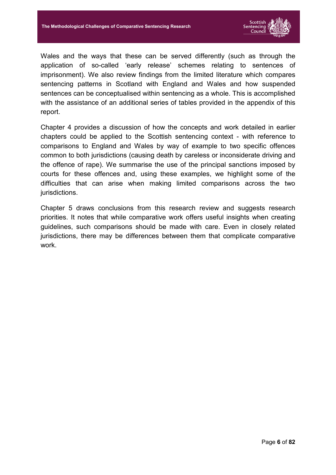

Wales and the ways that these can be served differently (such as through the application of so-called 'early release' schemes relating to sentences of imprisonment). We also review findings from the limited literature which compares sentencing patterns in Scotland with England and Wales and how suspended sentences can be conceptualised within sentencing as a whole. This is accomplished with the assistance of an additional series of tables provided in the appendix of this report.

Chapter 4 provides a discussion of how the concepts and work detailed in earlier chapters could be applied to the Scottish sentencing context - with reference to comparisons to England and Wales by way of example to two specific offences common to both jurisdictions (causing death by careless or inconsiderate driving and the offence of rape). We summarise the use of the principal sanctions imposed by courts for these offences and, using these examples, we highlight some of the difficulties that can arise when making limited comparisons across the two jurisdictions.

Chapter 5 draws conclusions from this research review and suggests research priorities. It notes that while comparative work offers useful insights when creating guidelines, such comparisons should be made with care. Even in closely related jurisdictions, there may be differences between them that complicate comparative work.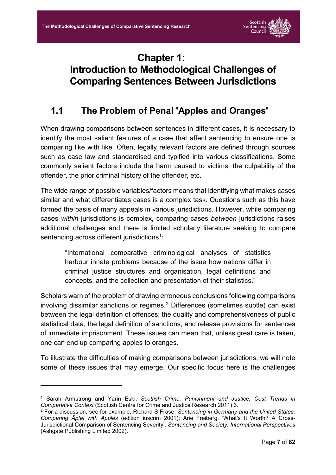

# <span id="page-7-0"></span>**Chapter 1: Introduction to Methodological Challenges of Comparing Sentences Between Jurisdictions**

## <span id="page-7-1"></span>**1.1 The Problem of Penal 'Apples and Oranges'**

When drawing comparisons between sentences in different cases, it is necessary to identify the most salient features of a case that affect sentencing to ensure one is comparing like with like. Often, legally relevant factors are defined through sources such as case law and standardised and typified into various classifications. Some commonly salient factors include the harm caused to victims, the culpability of the offender, the prior criminal history of the offender, etc.

The wide range of possible variables/factors means that identifying what makes cases similar and what differentiates cases is a complex task. Questions such as this have formed the basis of many appeals in various jurisdictions. However, while comparing cases *within* jurisdictions is complex, comparing cases *between* jurisdictions raises additional challenges and there is limited scholarly literature seeking to compare sentencing across different jurisdictions<sup>1</sup>:

"International comparative criminological analyses of statistics harbour innate problems because of the issue how nations differ in criminal justice structures and organisation, legal definitions and concepts, and the collection and presentation of their statistics."

Scholars warn of the problem of drawing erroneous conclusions following comparisons involving dissimilar sanctions or regimes.2 Differences (sometimes subtle) can exist between the legal definition of offences; the quality and comprehensiveness of public statistical data; the legal definition of sanctions; and release provisions for sentences of immediate imprisonment. These issues can mean that, unless great care is taken, one can end up comparing apples to oranges.

To illustrate the difficulties of making comparisons between jurisdictions, we will note some of these issues that may emerge. Our specific focus here is the challenges

<sup>1</sup> Sarah Armstrong and Yarin Eski, *Scottish Crime, Punishment and Justice: Cost Trends in Comparative Context* (Scottish Centre for Crime and Justice Research 2011) 3.

<sup>2</sup> For a discussion, see for example, Richard S Frase, *Sentencing in Germany and the United States: Comparing Äpfel with Apples* (edition iuscrim 2001); Arie Freiberg, 'What's It Worth? A Cross-Jurisdictional Comparison of Sentencing Severity', *Sentencing and Society: International Perspectives* (Ashgate Publishing Limited 2002).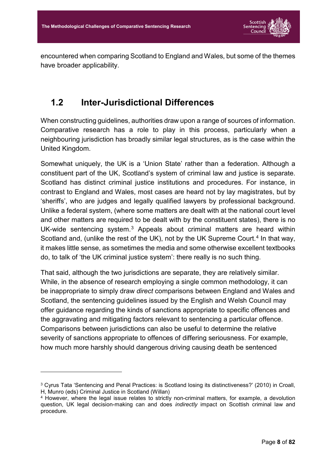

encountered when comparing Scotland to England and Wales, but some of the themes have broader applicability.

### <span id="page-8-0"></span>**1.2 Inter-Jurisdictional Differences**

When constructing guidelines, authorities draw upon a range of sources of information. Comparative research has a role to play in this process, particularly when a neighbouring jurisdiction has broadly similar legal structures, as is the case within the United Kingdom.

Somewhat uniquely, the UK is a 'Union State' rather than a federation. Although a constituent part of the UK, Scotland's system of criminal law and justice is separate. Scotland has distinct criminal justice institutions and procedures. For instance, in contrast to England and Wales, most cases are heard not by lay magistrates, but by 'sheriffs', who are judges and legally qualified lawyers by professional background. Unlike a federal system, (where some matters are dealt with at the national court level and other matters are required to be dealt with by the constituent states), there is no UK-wide sentencing system.3 Appeals about criminal matters are heard within Scotland and, (unlike the rest of the UK), not by the UK Supreme Court.<sup>4</sup> In that way, it makes little sense, as sometimes the media and some otherwise excellent textbooks do, to talk of 'the UK criminal justice system': there really is no such thing.

That said, although the two jurisdictions are separate, they are relatively similar. While, in the absence of research employing a single common methodology, it can be inappropriate to simply draw *direct* comparisons between England and Wales and Scotland, the sentencing guidelines issued by the English and Welsh Council may offer guidance regarding the kinds of sanctions appropriate to specific offences and the aggravating and mitigating factors relevant to sentencing a particular offence. Comparisons between jurisdictions can also be useful to determine the relative severity of sanctions appropriate to offences of differing seriousness. For example, how much more harshly should dangerous driving causing death be sentenced

<sup>3</sup> Cyrus Tata 'Sentencing and Penal Practices: is Scotland losing its distinctiveness?' (2010) in Croall, H, Munro (eds) Criminal Justice in Scotland (Willan)

<sup>4</sup> However, where the legal issue relates to strictly non-criminal matters, for example, a devolution question, UK legal decision-making can and does *indirectly* impact on Scottish criminal law and procedure.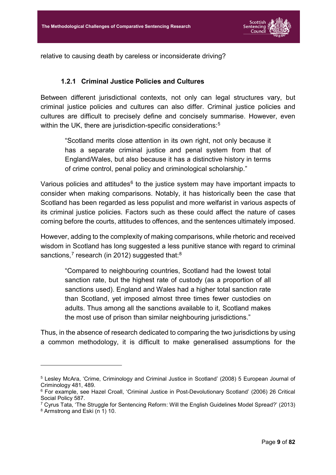

relative to causing death by careless or inconsiderate driving?

#### **1.2.1 Criminal Justice Policies and Cultures**

<span id="page-9-0"></span>Between different jurisdictional contexts, not only can legal structures vary, but criminal justice policies and cultures can also differ. Criminal justice policies and cultures are difficult to precisely define and concisely summarise. However, even within the UK, there are jurisdiction-specific considerations:<sup>5</sup>

"Scotland merits close attention in its own right, not only because it has a separate criminal justice and penal system from that of England/Wales, but also because it has a distinctive history in terms of crime control, penal policy and criminological scholarship."

Various policies and attitudes $6$  to the justice system may have important impacts to consider when making comparisons. Notably, it has historically been the case that Scotland has been regarded as less populist and more welfarist in various aspects of its criminal justice policies. Factors such as these could affect the nature of cases coming before the courts, attitudes to offences, and the sentences ultimately imposed.

However, adding to the complexity of making comparisons, while rhetoric and received wisdom in Scotland has long suggested a less punitive stance with regard to criminal sanctions,<sup>7</sup> research (in 2012) suggested that: $8<sup>8</sup>$ 

"Compared to neighbouring countries, Scotland had the lowest total sanction rate, but the highest rate of custody (as a proportion of all sanctions used). England and Wales had a higher total sanction rate than Scotland, yet imposed almost three times fewer custodies on adults. Thus among all the sanctions available to it, Scotland makes the most use of prison than similar neighbouring jurisdictions."

Thus, in the absence of research dedicated to comparing the two jurisdictions by using a common methodology, it is difficult to make generalised assumptions for the

<sup>5</sup> Lesley McAra, 'Crime, Criminology and Criminal Justice in Scotland' (2008) 5 European Journal of Criminology 481, 489.

<sup>6</sup> For example, see Hazel Croall, 'Criminal Justice in Post-Devolutionary Scotland' (2006) 26 Critical Social Policy 587.

<sup>7</sup> Cyrus Tata, 'The Struggle for Sentencing Reform: Will the English Guidelines Model Spread?' (2013)

<sup>8</sup> Armstrong and Eski (n 1) 10.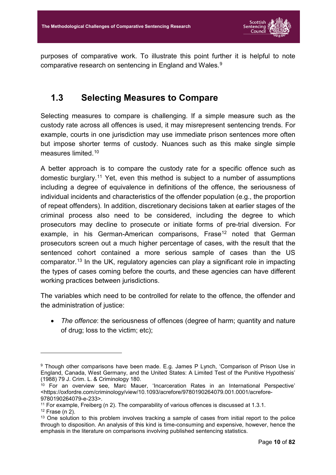

purposes of comparative work. To illustrate this point further it is helpful to note comparative research on sentencing in England and Wales.9

### <span id="page-10-0"></span>**1.3 Selecting Measures to Compare**

Selecting measures to compare is challenging. If a simple measure such as the custody rate across all offences is used, it may misrepresent sentencing trends. For example, courts in one jurisdiction may use immediate prison sentences more often but impose shorter terms of custody. Nuances such as this make single simple measures limited.10

A better approach is to compare the custody rate for a specific offence such as domestic burglary.11 Yet, even this method is subject to a number of assumptions including a degree of equivalence in definitions of the offence, the seriousness of individual incidents and characteristics of the offender population (e.g., the proportion of repeat offenders). In addition, discretionary decisions taken at earlier stages of the criminal process also need to be considered, including the degree to which prosecutors may decline to prosecute or initiate forms of pre-trial diversion. For example, in his German-American comparisons, Frase<sup>12</sup> noted that German prosecutors screen out a much higher percentage of cases, with the result that the sentenced cohort contained a more serious sample of cases than the US comparator.13 In the UK, regulatory agencies can play a significant role in impacting the types of cases coming before the courts, and these agencies can have different working practices between jurisdictions.

The variables which need to be controlled for relate to the offence, the offender and the administration of justice:

• *The offence*: the seriousness of offences (degree of harm; quantity and nature of drug; loss to the victim; etc);

<sup>9</sup> Though other comparisons have been made. E.g. James P Lynch, 'Comparison of Prison Use in England, Canada, West Germany, and the United States: A Limited Test of the Punitive Hypothesis' (1988) 79 J. Crim. L. & Criminology 180.

 $10$  For an overview see, Marc Mauer, 'Incarceration Rates in an International Perspective' <https://oxfordre.com/criminology/view/10.1093/acrefore/9780190264079.001.0001/acrefore-9780190264079-e-233>.

<sup>&</sup>lt;sup>11</sup> For example, Freiberg (n 2). The comparability of various offences is discussed at [1.3.1.](#page-11-0) <sup>12</sup> Frase (n 2).

<sup>&</sup>lt;sup>13</sup> One solution to this problem involves tracking a sample of cases from initial report to the police through to disposition. An analysis of this kind is time-consuming and expensive, however, hence the emphasis in the literature on comparisons involving published sentencing statistics.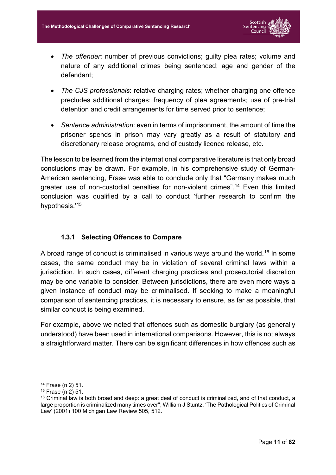

- *The offender*: number of previous convictions; guilty plea rates; volume and nature of any additional crimes being sentenced; age and gender of the defendant;
- *The CJS professionals*: relative charging rates; whether charging one offence precludes additional charges; frequency of plea agreements; use of pre-trial detention and credit arrangements for time served prior to sentence;
- *Sentence administration*: even in terms of imprisonment, the amount of time the prisoner spends in prison may vary greatly as a result of statutory and discretionary release programs, end of custody licence release, etc.

The lesson to be learned from the international comparative literature is that only broad conclusions may be drawn. For example, in his comprehensive study of German-American sentencing, Frase was able to conclude only that "Germany makes much greater use of non-custodial penalties for non-violent crimes". <sup>14</sup> Even this limited conclusion was qualified by a call to conduct 'further research to confirm the hypothesis.'15

#### **1.3.1 Selecting Offences to Compare**

<span id="page-11-0"></span>A broad range of conduct is criminalised in various ways around the world. <sup>16</sup> In some cases, the same conduct may be in violation of several criminal laws within a jurisdiction. In such cases, different charging practices and prosecutorial discretion may be one variable to consider. Between jurisdictions, there are even more ways a given instance of conduct may be criminalised. If seeking to make a meaningful comparison of sentencing practices, it is necessary to ensure, as far as possible, that similar conduct is being examined.

For example, above we noted that offences such as domestic burglary (as generally understood) have been used in international comparisons. However, this is not always a straightforward matter. There can be significant differences in how offences such as

<sup>14</sup> Frase (n 2) 51.

<sup>15</sup> Frase (n 2) 51.

<sup>&</sup>lt;sup>16</sup> Criminal law is both broad and deep: a great deal of conduct is criminalized, and of that conduct, a large proportion is criminalized many times over"; William J Stuntz, 'The Pathological Politics of Criminal Law' (2001) 100 Michigan Law Review 505, 512.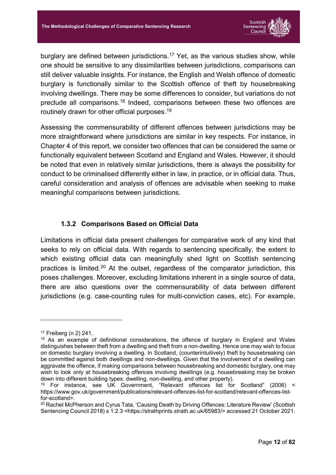

burglary are defined between jurisdictions.<sup>17</sup> Yet, as the various studies show, while one should be sensitive to any dissimilarities between jurisdictions, comparisons can still deliver valuable insights. For instance, the English and Welsh offence of domestic burglary is functionally similar to the Scottish offence of theft by housebreaking involving dwellings. There may be some differences to consider, but variations do not preclude all comparisons.18 Indeed, comparisons between these two offences are routinely drawn for other official purposes. 19

Assessing the commensurability of different offences between jurisdictions may be more straightforward where jurisdictions are similar in key respects. For instance, in Chapter 4 of this report, we consider two offences that can be considered the same or functionally equivalent between Scotland and England and Wales. However, it should be noted that even in relatively similar jurisdictions, there is always the possibility for conduct to be criminalised differently either in law, in practice, or in official data. Thus, careful consideration and analysis of offences are advisable when seeking to make meaningful comparisons between jurisdictions.

#### **1.3.2 Comparisons Based on Official Data**

<span id="page-12-0"></span>Limitations in official data present challenges for comparative work of any kind that seeks to rely on official data. With regards to sentencing specifically, the extent to which existing official data can meaningfully shed light on Scottish sentencing practices is limited.20 At the outset, regardless of the comparator jurisdiction, this poses challenges. Moreover, excluding limitations inherent in a single source of data, there are also questions over the commensurability of data between different jurisdictions (e.g. case-counting rules for multi-conviction cases, etc). For example,

<sup>17</sup> Freiberg (n 2) 241.

<sup>&</sup>lt;sup>18</sup> As an example of definitional considerations, the offence of burglary in England and Wales distinguishes between theft from a dwelling and theft from a non-dwelling. Hence one may wish to focus on domestic burglary involving a dwelling. In Scotland, (counterintuitively) theft by housebreaking can be committed against both dwellings and non-dwellings. Given that the involvement of a dwelling can aggravate the offence, if making comparisons between housebreaking and domestic burglary, one may wish to look only at housebreaking offences involving dwellings (e.g. housebreaking may be broken down into different building types: dwelling, non-dwelling, and other property).

<sup>19</sup> For instance, see UK Government, "Relevant offences list for Scotland" (2006) < https://www.gov.uk/government/publications/relevant-offences-list-for-scotland/relevant-offences-listfor-scotland>.

<sup>&</sup>lt;sup>20</sup> Rachel McPherson and Cyrus Tata, 'Causing Death by Driving Offences: Literature Review' (Scottish Sentencing Council 2018) s 1.2.3 <https://strathprints.strath.ac.uk/65983/> accessed 21 October 2021.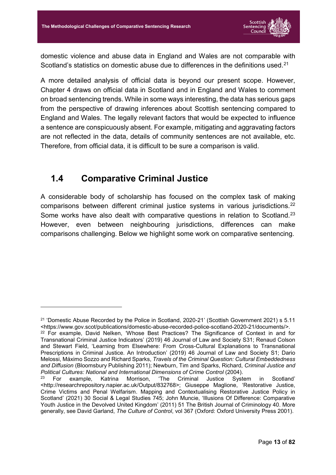

domestic violence and abuse data in England and Wales are not comparable with Scotland's statistics on domestic abuse due to differences in the definitions used.<sup>21</sup>

A more detailed analysis of official data is beyond our present scope. However, Chapter 4 draws on official data in Scotland and in England and Wales to comment on broad sentencing trends. While in some ways interesting, the data has serious gaps from the perspective of drawing inferences about Scottish sentencing compared to England and Wales. The legally relevant factors that would be expected to influence a sentence are conspicuously absent. For example, mitigating and aggravating factors are not reflected in the data, details of community sentences are not available, etc. Therefore, from official data, it is difficult to be sure a comparison is valid.

## <span id="page-13-0"></span>**1.4 Comparative Criminal Justice**

-

A considerable body of scholarship has focused on the complex task of making comparisons between different criminal justice systems in various jurisdictions. 22 Some works have also dealt with comparative questions in relation to Scotland.<sup>23</sup> However, even between neighbouring jurisdictions, differences can make comparisons challenging. Below we highlight some work on comparative sentencing.

<sup>&</sup>lt;sup>21</sup> 'Domestic Abuse Recorded by the Police in Scotland, 2020-21' (Scottish Government 2021) s 5.11 <https://www.gov.scot/publications/domestic-abuse-recorded-police-scotland-2020-21/documents/>.

<sup>&</sup>lt;sup>22</sup> For example, David Nelken, 'Whose Best Practices? The Significance of Context in and for Transnational Criminal Justice Indicators' (2019) 46 Journal of Law and Society S31; Renaud Colson and Stewart Field, 'Learning from Elsewhere: From Cross-Cultural Explanations to Transnational Prescriptions in Criminal Justice. An Introduction' (2019) 46 Journal of Law and Society S1; Dario Melossi, Máximo Sozzo and Richard Sparks, *Travels of the Criminal Question: Cultural Embeddedness and Diffusion* (Bloomsbury Publishing 2011); Newburn, Tim and Sparks, Richard, *Criminal Justice and Political Cultures: National and International Dimensions of Crime Control* (2004).

<sup>23</sup> For example, Katrina Morrison, 'The Criminal Justice System in Scotland' <http://researchrepository.napier.ac.uk/Output/832768>; Giuseppe Maglione, 'Restorative Justice, Crime Victims and Penal Welfarism. Mapping and Contextualising Restorative Justice Policy in Scotland' (2021) 30 Social & Legal Studies 745; John Muncie, 'Illusions Of Difference: Comparative Youth Justice in the Devolved United Kingdom' (2011) 51 The British Journal of Criminology 40. More generally, see David Garland, *The Culture of Control*, vol 367 (Oxford: Oxford University Press 2001).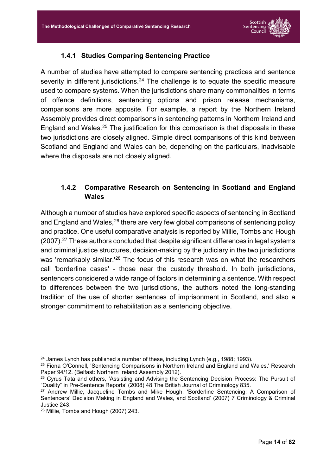

#### **1.4.1 Studies Comparing Sentencing Practice**

<span id="page-14-0"></span>A number of studies have attempted to compare sentencing practices and sentence severity in different jurisdictions.<sup>24</sup> The challenge is to equate the specific measure used to compare systems. When the jurisdictions share many commonalities in terms of offence definitions, sentencing options and prison release mechanisms, comparisons are more apposite. For example, a report by the Northern Ireland Assembly provides direct comparisons in sentencing patterns in Northern Ireland and England and Wales.<sup>25</sup> The justification for this comparison is that disposals in these two jurisdictions are closely aligned. Simple direct comparisons of this kind between Scotland and England and Wales can be, depending on the particulars, inadvisable where the disposals are not closely aligned.

#### <span id="page-14-1"></span>**1.4.2 Comparative Research on Sentencing in Scotland and England Wales**

Although a number of studies have explored specific aspects of sentencing in Scotland and England and Wales, <sup>26</sup> there are very few global comparisons of sentencing policy and practice. One useful comparative analysis is reported by Millie, Tombs and Hough (2007).<sup>27</sup> These authors concluded that despite significant differences in legal systems and criminal justice structures, decision-making by the judiciary in the two jurisdictions was 'remarkably similar.'<sup>28</sup> The focus of this research was on what the researchers call 'borderline cases' - those near the custody threshold. In both jurisdictions, sentencers considered a wide range of factors in determining a sentence. With respect to differences between the two jurisdictions, the authors noted the long-standing tradition of the use of shorter sentences of imprisonment in Scotland, and also a stronger commitment to rehabilitation as a sentencing objective.

<u>.</u>

 $24$  James Lynch has published a number of these, including Lynch (e.g., 1988; 1993).

<sup>25</sup> Fiona O'Connell, 'Sentencing Comparisons in Northern Ireland and England and Wales.' Research Paper 94/12. (Belfast: Northern Ireland Assembly 2012).

<sup>&</sup>lt;sup>26</sup> Cyrus Tata and others, 'Assisting and Advising the Sentencing Decision Process: The Pursuit of "Quality" in Pre-Sentence Reports' (2008) 48 The British Journal of Criminology 835.

<sup>27</sup> Andrew Millie, Jacqueline Tombs and Mike Hough, 'Borderline Sentencing: A Comparison of Sentencers' Decision Making in England and Wales, and Scotland' (2007) 7 Criminology & Criminal Justice 243.

<sup>28</sup> Millie, Tombs and Hough (2007) 243.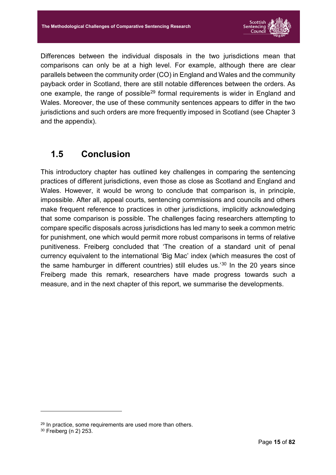

Differences between the individual disposals in the two jurisdictions mean that comparisons can only be at a high level. For example, although there are clear parallels between the community order (CO) in England and Wales and the community payback order in Scotland, there are still notable differences between the orders. As one example, the range of possible<sup>29</sup> formal requirements is wider in England and Wales. Moreover, the use of these community sentences appears to differ in the two jurisdictions and such orders are more frequently imposed in Scotland (see Chapter 3 and the appendix).

## <span id="page-15-0"></span>**1.5 Conclusion**

This introductory chapter has outlined key challenges in comparing the sentencing practices of different jurisdictions, even those as close as Scotland and England and Wales. However, it would be wrong to conclude that comparison is, in principle, impossible. After all, appeal courts, sentencing commissions and councils and others make frequent reference to practices in other jurisdictions, implicitly acknowledging that some comparison is possible. The challenges facing researchers attempting to compare specific disposals across jurisdictions has led many to seek a common metric for punishment, one which would permit more robust comparisons in terms of relative punitiveness. Freiberg concluded that 'The creation of a standard unit of penal currency equivalent to the international 'Big Mac' index (which measures the cost of the same hamburger in different countries) still eludes us.'<sup>30</sup> In the 20 years since Freiberg made this remark, researchers have made progress towards such a measure, and in the next chapter of this report, we summarise the developments.

<sup>29</sup> In practice, some requirements are used more than others.

<sup>30</sup> Freiberg (n 2) 253.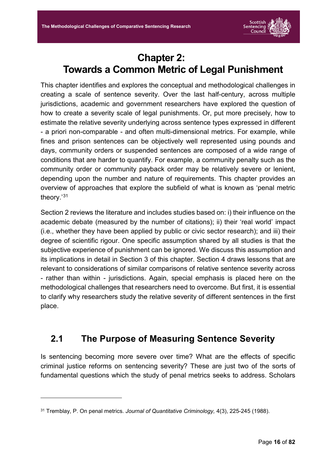

# **Chapter 2: Towards a Common Metric of Legal Punishment**

<span id="page-16-0"></span>This chapter identifies and explores the conceptual and methodological challenges in creating a scale of sentence severity. Over the last half-century, across multiple jurisdictions, academic and government researchers have explored the question of how to create a severity scale of legal punishments. Or, put more precisely, how to estimate the relative severity underlying across sentence types expressed in different - a priori non-comparable - and often multi-dimensional metrics. For example, while fines and prison sentences can be objectively well represented using pounds and days, community orders or suspended sentences are composed of a wide range of conditions that are harder to quantify. For example, a community penalty such as the community order or community payback order may be relatively severe or lenient, depending upon the number and nature of requirements. This chapter provides an overview of approaches that explore the subfield of what is known as 'penal metric theory.' 31

Section 2 reviews the literature and includes studies based on: i) their influence on the academic debate (measured by the number of citations); ii) their 'real world' impact (i.e., whether they have been applied by public or civic sector research); and iii) their degree of scientific rigour. One specific assumption shared by all studies is that the subjective experience of punishment can be ignored. We discuss this assumption and its implications in detail in Section 3 of this chapter. Section 4 draws lessons that are relevant to considerations of similar comparisons of relative sentence severity across - rather than within - jurisdictions. Again, special emphasis is placed here on the methodological challenges that researchers need to overcome. But first, it is essential to clarify why researchers study the relative severity of different sentences in the first place.

## <span id="page-16-1"></span>**2.1 The Purpose of Measuring Sentence Severity**

Is sentencing becoming more severe over time? What are the effects of specific criminal justice reforms on sentencing severity? These are just two of the sorts of fundamental questions which the study of penal metrics seeks to address. Scholars

<sup>31</sup> Tremblay, P. On penal metrics. *Journal of Quantitative Criminology,* 4(3), 225-245 (1988).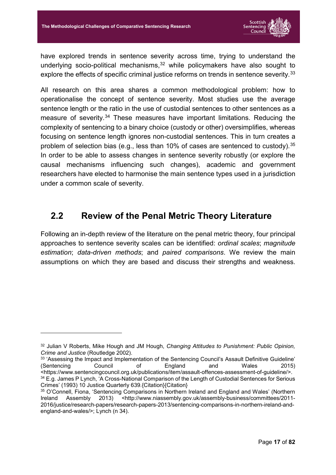

have explored trends in sentence severity across time, trying to understand the underlying socio-political mechanisms, <sup>32</sup> while policymakers have also sought to explore the effects of specific criminal justice reforms on trends in sentence severity.<sup>33</sup>

All research on this area shares a common methodological problem: how to operationalise the concept of sentence severity. Most studies use the average sentence length or the ratio in the use of custodial sentences to other sentences as a measure of severity.<sup>34</sup> These measures have important limitations. Reducing the complexity of sentencing to a binary choice (custody or other) oversimplifies, whereas focusing on sentence length ignores non-custodial sentences. This in turn creates a problem of selection bias (e.g., less than 10% of cases are sentenced to custody).<sup>35</sup> In order to be able to assess changes in sentence severity robustly (or explore the causal mechanisms influencing such changes), academic and government researchers have elected to harmonise the main sentence types used in a jurisdiction under a common scale of severity.

### <span id="page-17-0"></span>**2.2 Review of the Penal Metric Theory Literature**

Following an in-depth review of the literature on the penal metric theory, four principal approaches to sentence severity scales can be identified: *ordinal scales*; *magnitude estimation*; *data-driven methods*; and *paired comparisons*. We review the main assumptions on which they are based and discuss their strengths and weakness.

<sup>32</sup> Julian V Roberts, Mike Hough and JM Hough, *Changing Attitudes to Punishment: Public Opinion, Crime and Justice* (Routledge 2002).

<sup>33</sup> 'Assessing the Impact and Implementation of the Sentencing Council's Assault Definitive Guideline' (Sentencing Council of England and Wales 2015) <https://www.sentencingcouncil.org.uk/publications/item/assault-offences-assessment-of-guideline/>. 34 E.g. James P Lynch, 'A Cross-National Comparison of the Length of Custodial Sentences for Serious Crimes' (1993) 10 Justice Quarterly 639.{Citation}{Citation}

<sup>&</sup>lt;sup>35</sup> O'Connell, Fiona, 'Sentencing Comparisons in Northern Ireland and England and Wales' (Northern Ireland Assembly 2013) <http://www.niassembly.gov.uk/assembly-business/committees/2011-2016/justice/research-papers/research-papers-2013/sentencing-comparisons-in-northern-ireland-andengland-and-wales/>; Lynch (n 34).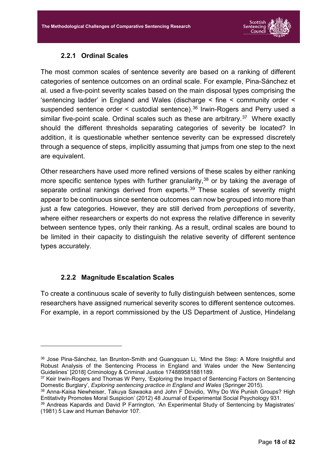

#### **2.2.1 Ordinal Scales**

<span id="page-18-0"></span>The most common scales of sentence severity are based on a ranking of different categories of sentence outcomes on an ordinal scale. For example, Pina-Sánchez et al. used a five-point severity scales based on the main disposal types comprising the 'sentencing ladder' in England and Wales (discharge < fine < community order < suspended sentence order  $\leq$  custodial sentence).<sup>36</sup> Irwin-Rogers and Perry used a similar five-point scale. Ordinal scales such as these are arbitrary.<sup>37</sup> Where exactly should the different thresholds separating categories of severity be located? In addition, it is questionable whether sentence severity can be expressed discretely through a sequence of steps, implicitly assuming that jumps from one step to the next are equivalent.

Other researchers have used more refined versions of these scales by either ranking more specific sentence types with further granularity,<sup>38</sup> or by taking the average of separate ordinal rankings derived from experts.<sup>39</sup> These scales of severity might appear to be continuous since sentence outcomes can now be grouped into more than just a few categories. However, they are still derived from *perceptions* of severity, where either researchers or experts do not express the relative difference in severity between sentence types, only their ranking. As a result, ordinal scales are bound to be limited in their capacity to distinguish the relative severity of different sentence types accurately.

#### **2.2.2 Magnitude Escalation Scales**

<u>.</u>

<span id="page-18-1"></span>To create a continuous scale of severity to fully distinguish between sentences, some researchers have assigned numerical severity scores to different sentence outcomes. For example, in a report commissioned by the US Department of Justice, Hindelang

<sup>36</sup> Jose Pina-Sánchez, Ian Brunton-Smith and Guangquan Li, 'Mind the Step: A More Insightful and Robust Analysis of the Sentencing Process in England and Wales under the New Sentencing Guidelines' [2018] Criminology & Criminal Justice 174889581881189.

<sup>&</sup>lt;sup>37</sup> Keir Irwin-Rogers and Thomas W Perry, 'Exploring the Impact of Sentencing Factors on Sentencing Domestic Burglary', *Exploring sentencing practice in England and Wales* (Springer 2015).

<sup>38</sup> Anna-Kaisa Newheiser, Takuya Sawaoka and John F Dovidio, 'Why Do We Punish Groups? High Entitativity Promotes Moral Suspicion' (2012) 48 Journal of Experimental Social Psychology 931.

<sup>39</sup> Andreas Kapardis and David P Farrington, 'An Experimental Study of Sentencing by Magistrates' (1981) 5 Law and Human Behavior 107.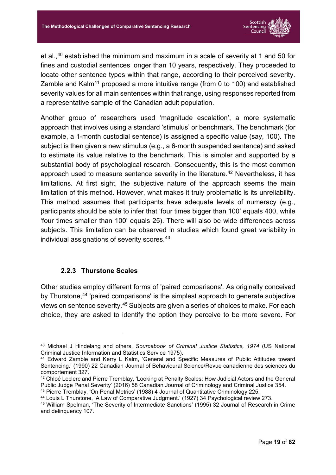

et al.,<sup>40</sup> established the minimum and maximum in a scale of severity at 1 and 50 for fines and custodial sentences longer than 10 years, respectively. They proceeded to locate other sentence types within that range, according to their perceived severity. Zamble and Kalm41 proposed a more intuitive range (from 0 to 100) and established severity values for all main sentences within that range, using responses reported from a representative sample of the Canadian adult population.

Another group of researchers used 'magnitude escalation', a more systematic approach that involves using a standard 'stimulus' or benchmark. The benchmark (for example, a 1-month custodial sentence) is assigned a specific value (say, 100). The subject is then given a new stimulus (e.g., a 6-month suspended sentence) and asked to estimate its value relative to the benchmark. This is simpler and supported by a substantial body of psychological research. Consequently, this is the most common approach used to measure sentence severity in the literature.<sup>42</sup> Nevertheless, it has limitations. At first sight, the subjective nature of the approach seems the main limitation of this method. However, what makes it truly problematic is its unreliability. This method assumes that participants have adequate levels of numeracy (e.g., participants should be able to infer that 'four times bigger than 100' equals 400, while 'four times smaller than 100' equals 25). There will also be wide differences across subjects. This limitation can be observed in studies which found great variability in individual assignations of severity scores.<sup>43</sup>

#### **2.2.3 Thurstone Scales**

-

<span id="page-19-0"></span>Other studies employ different forms of 'paired comparisons'. As originally conceived by Thurstone, <sup>44</sup> 'paired comparisons' is the simplest approach to generate subjective views on sentence severity.45 Subjects are given a series of choices to make. For each choice, they are asked to identify the option they perceive to be more severe. For

<sup>40</sup> Michael J Hindelang and others, *Sourcebook of Criminal Justice Statistics, 1974* (US National Criminal Justice Information and Statistics Service 1975).

<sup>41</sup> Edward Zamble and Kerry L Kalm, 'General and Specific Measures of Public Attitudes toward Sentencing.' (1990) 22 Canadian Journal of Behavioural Science/Revue canadienne des sciences du comportement 327.

<sup>42</sup> Chloé Leclerc and Pierre Tremblay, 'Looking at Penalty Scales: How Judicial Actors and the General Public Judge Penal Severity' (2016) 58 Canadian Journal of Criminology and Criminal Justice 354.

<sup>43</sup> Pierre Tremblay, 'On Penal Metrics' (1988) 4 Journal of Quantitative Criminology 225.

<sup>44</sup> Louis L Thurstone, 'A Law of Comparative Judgment.' (1927) 34 Psychological review 273.

<sup>45</sup> William Spelman, 'The Severity of Intermediate Sanctions' (1995) 32 Journal of Research in Crime and delinquency 107.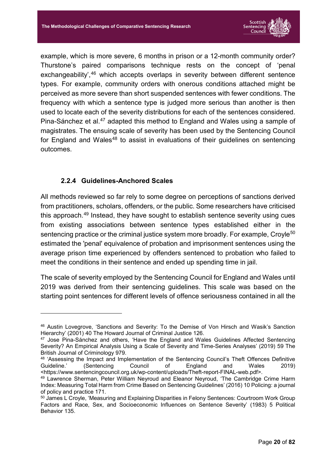

example, which is more severe, 6 months in prison or a 12-month community order? Thurstone's paired comparisons technique rests on the concept of 'penal exchangeability',<sup>46</sup> which accepts overlaps in severity between different sentence types. For example, community orders with onerous conditions attached might be perceived as more severe than short suspended sentences with fewer conditions. The frequency with which a sentence type is judged more serious than another is then used to locate each of the severity distributions for each of the sentences considered. Pina-Sánchez et al.<sup>47</sup> adapted this method to England and Wales using a sample of magistrates. The ensuing scale of severity has been used by the Sentencing Council for England and Wales<sup>48</sup> to assist in evaluations of their guidelines on sentencing outcomes.

#### **2.2.4 Guidelines-Anchored Scales**

-

<span id="page-20-0"></span>All methods reviewed so far rely to some degree on perceptions of sanctions derived from practitioners, scholars, offenders, or the public. Some researchers have criticised this approach. <sup>49</sup> Instead, they have sought to establish sentence severity using cues from existing associations between sentence types established either in the sentencing practice or the criminal justice system more broadly. For example, Croyle<sup>50</sup> estimated the 'penal' equivalence of probation and imprisonment sentences using the average prison time experienced by offenders sentenced to probation who failed to meet the conditions in their sentence and ended up spending time in jail.

The scale of severity employed by the Sentencing Council for England and Wales until 2019 was derived from their sentencing guidelines. This scale was based on the starting point sentences for different levels of offence seriousness contained in all the

<sup>46</sup> Austin Lovegrove, 'Sanctions and Severity: To the Demise of Von Hirsch and Wasik's Sanction Hierarchy' (2001) 40 The Howard Journal of Criminal Justice 126.

<sup>47</sup> Jose Pina-Sánchez and others, 'Have the England and Wales Guidelines Affected Sentencing Severity? An Empirical Analysis Using a Scale of Severity and Time-Series Analyses' (2019) 59 The British Journal of Criminology 979.

<sup>48</sup> 'Assessing the Impact and Implementation of the Sentencing Council's Theft Offences Definitive Guideline.' (Sentencing Council of England and Wales 2019) <https://www.sentencingcouncil.org.uk/wp-content/uploads/Theft-report-FINAL-web.pdf>.

<sup>49</sup> Lawrence Sherman, Peter William Neyroud and Eleanor Neyroud, 'The Cambridge Crime Harm Index: Measuring Total Harm from Crime Based on Sentencing Guidelines' (2016) 10 Policing: a journal of policy and practice 171.

<sup>50</sup> James L Croyle, 'Measuring and Explaining Disparities in Felony Sentences: Courtroom Work Group Factors and Race, Sex, and Socioeconomic Influences on Sentence Severity' (1983) 5 Political Behavior 135.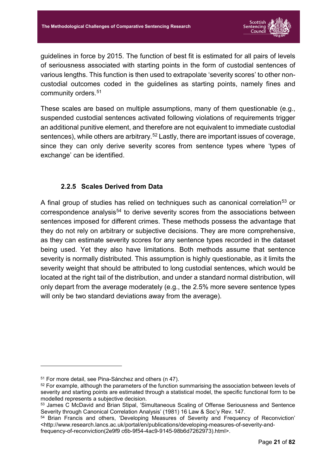

guidelines in force by 2015. The function of best fit is estimated for all pairs of levels of seriousness associated with starting points in the form of custodial sentences of various lengths. This function is then used to extrapolate 'severity scores' to other noncustodial outcomes coded in the guidelines as starting points, namely fines and community orders.51

These scales are based on multiple assumptions, many of them questionable (e.g., suspended custodial sentences activated following violations of requirements trigger an additional punitive element, and therefore are not equivalent to immediate custodial sentences), while others are arbitrary.<sup>52</sup> Lastly, there are important issues of coverage, since they can only derive severity scores from sentence types where 'types of exchange' can be identified.

#### **2.2.5 Scales Derived from Data**

<span id="page-21-0"></span>A final group of studies has relied on techniques such as canonical correlation<sup>53</sup> or correspondence analysis<sup>54</sup> to derive severity scores from the associations between sentences imposed for different crimes. These methods possess the advantage that they do not rely on arbitrary or subjective decisions. They are more comprehensive, as they can estimate severity scores for any sentence types recorded in the dataset being used. Yet they also have limitations. Both methods assume that sentence severity is normally distributed. This assumption is highly questionable, as it limits the severity weight that should be attributed to long custodial sentences, which would be located at the right tail of the distribution, and under a standard normal distribution, will only depart from the average moderately (e.g., the 2.5% more severe sentence types will only be two standard deviations away from the average).

<sup>51</sup> For more detail, see Pina-Sánchez and others (n 47).

<sup>&</sup>lt;sup>52</sup> For example, although the parameters of the function summarising the association between levels of severity and starting points are estimated through a statistical model, the specific functional form to be modelled represents a subjective decision.

<sup>53</sup> James C McDavid and Brian Stipal, 'Simultaneous Scaling of Offense Seriousness and Sentence Severity through Canonical Correlation Analysis' (1981) 16 Law & Soc'y Rev. 147.

<sup>54</sup> Brian Francis and others, 'Developing Measures of Severity and Frequency of Reconviction' <http://www.research.lancs.ac.uk/portal/en/publications/developing-measures-of-severity-andfrequency-of-reconviction(2e9f9 c6b-9f54-4ac9-9145-98b6d7262973).html>.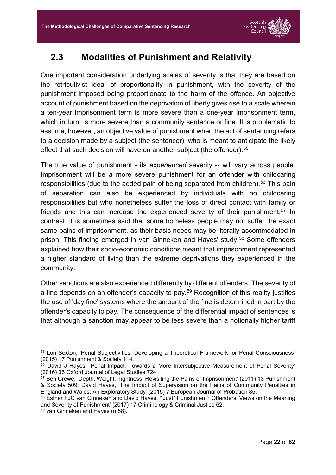

## <span id="page-22-0"></span>**2.3 Modalities of Punishment and Relativity**

One important consideration underlying scales of severity is that they are based on the retributivist ideal of proportionality in punishment, with the severity of the punishment imposed being proportionate to the harm of the offence. An objective account of punishment based on the deprivation of liberty gives rise to a scale wherein a ten-year imprisonment term is more severe than a one-year imprisonment term, which in turn, is more severe than a community sentence or fine. It is problematic to assume, however, an objective value of punishment when the act of sentencing refers to a decision made by a subject (the sentencer), who is meant to anticipate the likely effect that such decision will have on another subject (the offender).<sup>55</sup>

The true value of punishment - its *experienced* severity -- will vary across people. Imprisonment will be a more severe punishment for an offender with childcaring responsibilities (due to the added pain of being separated from children).<sup>56</sup> This pain of separation can also be experienced by individuals with no childcaring responsibilities but who nonetheless suffer the loss of direct contact with family or friends and this can increase the experienced severity of their punishment.<sup>57</sup> In contrast, it is sometimes said that some homeless people may not suffer the exact same pains of imprisonment, as their basic needs may be literally accommodated in prison. This finding emerged in van Ginneken and Hayes' study. <sup>58</sup> Some offenders explained how their socio-economic conditions meant that imprisonment represented a higher standard of living than the extreme deprivations they experienced in the community.

Other sanctions are also experienced differently by different offenders. The severity of a fine depends on an offender's capacity to pay. <sup>59</sup> Recognition of this reality justifies the use of 'day fine' systems where the amount of the fine is determined in part by the offender's capacity to pay. The consequence of the differential impact of sentences is that although a sanction may appear to be less severe than a notionally higher tariff

<sup>55</sup> Lori Sexton, 'Penal Subjectivities: Developing a Theoretical Framework for Penal Consciousness' (2015) 17 Punishment & Society 114.

<sup>56</sup> David J Hayes, 'Penal Impact: Towards a More Intersubjective Measurement of Penal Severity' (2016) 36 Oxford Journal of Legal Studies 724.

<sup>57</sup> Ben Crewe, 'Depth, Weight, Tightness: Revisiting the Pains of Imprisonment' (2011) 13 Punishment & Society 509; David Hayes, 'The Impact of Supervision on the Pains of Community Penalties in England and Wales: An Exploratory Study' (2015) 7 European Journal of Probation 85.

<sup>&</sup>lt;sup>58</sup> Esther FJC van Ginneken and David Hayes, "Just" Punishment? Offenders' Views on the Meaning and Severity of Punishment' (2017) 17 Criminology & Criminal Justice 62.

<sup>59</sup> van Ginneken and Hayes (n 58).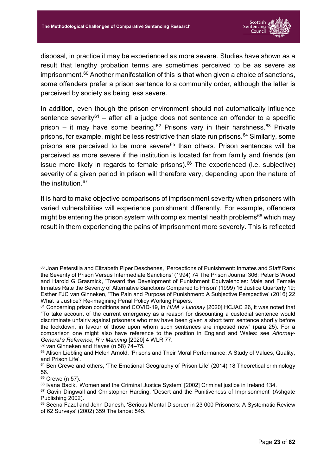

disposal, in practice it may be experienced as more severe. Studies have shown as a result that lengthy probation terms are sometimes perceived to be as severe as imprisonment.<sup>60</sup> Another manifestation of this is that when given a choice of sanctions, some offenders prefer a prison sentence to a community order, although the latter is perceived by society as being less severe.

In addition, even though the prison environment should not automatically influence sentence severity<sup>61</sup> – after all a judge does not sentence an offender to a specific prison – it may have some bearing.<sup>62</sup> Prisons vary in their harshness.<sup>63</sup> Private prisons, for example, might be less restrictive than state run prisons. <sup>64</sup> Similarly, some prisons are perceived to be more severe<sup>65</sup> than others. Prison sentences will be perceived as more severe if the institution is located far from family and friends (an issue more likely in regards to female prisons). <sup>66</sup> The experienced (i.e. subjective) severity of a given period in prison will therefore vary, depending upon the nature of the institution. 67

It is hard to make objective comparisons of imprisonment severity when prisoners with varied vulnerabilities will experience punishment differently. For example, offenders might be entering the prison system with complex mental health problems<sup>68</sup> which may result in them experiencing the pains of imprisonment more severely. This is reflected

<sup>62</sup> van Ginneken and Hayes (n 58) 74–75.

<sup>60</sup> Joan Petersilia and Elizabeth Piper Deschenes, 'Perceptions of Punishment: Inmates and Staff Rank the Severity of Prison Versus Intermediate Sanctions' (1994) 74 The Prison Journal 306; Peter B Wood and Harold G Grasmick, 'Toward the Development of Punishment Equivalencies: Male and Female Inmates Rate the Severity of Alternative Sanctions Compared to Prison' (1999) 16 Justice Quarterly 19; Esther FJC van Ginneken, 'The Pain and Purpose of Punishment: A Subjective Perspective' (2016) 22 What is Justice? Re-imagining Penal Policy Working Papers.

<sup>61</sup> Concerning prison conditions and COVID-19, in *HMA v Lindsay* [2020] HCJAC 26, it was noted that "To take account of the current emergency as a reason for discounting a custodial sentence would discriminate unfairly against prisoners who may have been given a short term sentence shortly before the lockdown, in favour of those upon whom such sentences are imposed now" (para 25). For a comparison one might also have reference to the position in England and Wales: see *Attorney-General's Reference, R v Manning* [2020] 4 WLR 77.

<sup>&</sup>lt;sup>63</sup> Alison Liebling and Helen Arnold, 'Prisons and Their Moral Performance: A Study of Values, Quality, and Prison Life'.

 $64$  Ben Crewe and others, 'The Emotional Geography of Prison Life' (2014) 18 Theoretical criminology 56.

<sup>65</sup> Crewe (n 57).

<sup>66</sup> Ivana Bacik, 'Women and the Criminal Justice System' [2002] Criminal justice in Ireland 134.

<sup>&</sup>lt;sup>67</sup> Gavin Dingwall and Christopher Harding, 'Desert and the Punitiveness of Imprisonment' (Ashgate Publishing 2002).

<sup>68</sup> Seena Fazel and John Danesh, 'Serious Mental Disorder in 23 000 Prisoners: A Systematic Review of 62 Surveys' (2002) 359 The lancet 545.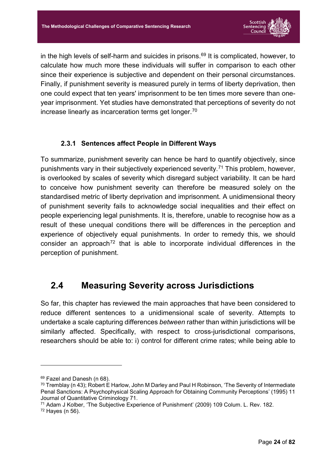

in the high levels of self-harm and suicides in prisons.<sup>69</sup> It is complicated, however, to calculate how much more these individuals will suffer in comparison to each other since their experience is subjective and dependent on their personal circumstances. Finally, if punishment severity is measured purely in terms of liberty deprivation, then one could expect that ten years' imprisonment to be ten times more severe than oneyear imprisonment. Yet studies have demonstrated that perceptions of severity do not increase linearly as incarceration terms get longer.70

#### **2.3.1 Sentences affect People in Different Ways**

<span id="page-24-0"></span>To summarize, punishment severity can hence be hard to quantify objectively, since punishments vary in their subjectively experienced severity.71 This problem, however, is overlooked by scales of severity which disregard subject variability. It can be hard to conceive how punishment severity can therefore be measured solely on the standardised metric of liberty deprivation and imprisonment. A unidimensional theory of punishment severity fails to acknowledge social inequalities and their effect on people experiencing legal punishments. It is, therefore, unable to recognise how as a result of these unequal conditions there will be differences in the perception and experience of objectively equal punishments. In order to remedy this, we should consider an approach<sup>72</sup> that is able to incorporate individual differences in the perception of punishment.

### <span id="page-24-1"></span>**2.4 Measuring Severity across Jurisdictions**

So far, this chapter has reviewed the main approaches that have been considered to reduce different sentences to a unidimensional scale of severity. Attempts to undertake a scale capturing differences *between* rather than within jurisdictions will be similarly affected. Specifically, with respect to cross-jurisdictional comparisons, researchers should be able to: i) control for different crime rates; while being able to

<sup>69</sup> Fazel and Danesh (n 68).

<sup>70</sup> Tremblay (n 43); Robert E Harlow, John M Darley and Paul H Robinson, 'The Severity of Intermediate Penal Sanctions: A Psychophysical Scaling Approach for Obtaining Community Perceptions' (1995) 11 Journal of Quantitative Criminology 71.

<sup>71</sup> Adam J Kolber, 'The Subjective Experience of Punishment' (2009) 109 Colum. L. Rev. 182. <sup>72</sup> Hayes (n 56).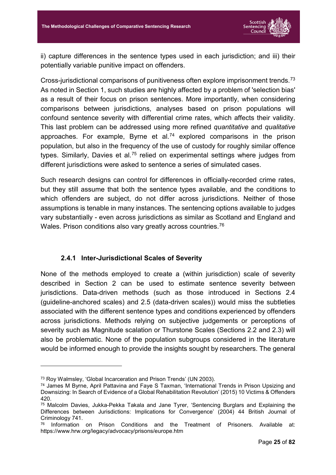

ii) capture differences in the sentence types used in each jurisdiction; and iii) their potentially variable punitive impact on offenders.

Cross-jurisdictional comparisons of punitiveness often explore imprisonment trends.73 As noted in Section 1, such studies are highly affected by a problem of 'selection bias' as a result of their focus on prison sentences. More importantly, when considering comparisons between jurisdictions, analyses based on prison populations will confound sentence severity with differential crime rates, which affects their validity. This last problem can be addressed using more refined *quantitative* and *qualitative* approaches. For example, Byrne et al.<sup>74</sup> explored comparisons in the prison population, but also in the frequency of the use of custody for roughly similar offence types. Similarly, Davies et al.<sup>75</sup> relied on experimental settings where judges from different jurisdictions were asked to sentence a series of simulated cases.

Such research designs can control for differences in officially-recorded crime rates, but they still assume that both the sentence types available, and the conditions to which offenders are subject, do not differ across jurisdictions. Neither of those assumptions is tenable in many instances. The sentencing options available to judges vary substantially - even across jurisdictions as similar as Scotland and England and Wales. Prison conditions also vary greatly across countries.<sup>76</sup>

#### **2.4.1 Inter-Jurisdictional Scales of Severity**

<span id="page-25-0"></span>None of the methods employed to create a (within jurisdiction) scale of severity described in Section 2 can be used to estimate sentence severity between jurisdictions. Data-driven methods (such as those introduced in Sections 2.4 (guideline-anchored scales) and 2.5 (data-driven scales)) would miss the subtleties associated with the different sentence types and conditions experienced by offenders across jurisdictions. Methods relying on subjective judgements or perceptions of severity such as Magnitude scalation or Thurstone Scales (Sections 2.2 and 2.3) will also be problematic. None of the population subgroups considered in the literature would be informed enough to provide the insights sought by researchers. The general

<sup>73</sup> Roy Walmsley, 'Global Incarceration and Prison Trends' (UN 2003).

<sup>74</sup> James M Byrne, April Pattavina and Faye S Taxman, 'International Trends in Prison Upsizing and Downsizing: In Search of Evidence of a Global Rehabilitation Revolution' (2015) 10 Victims & Offenders 420.

<sup>75</sup> Malcolm Davies, Jukka-Pekka Takala and Jane Tyrer, 'Sentencing Burglars and Explaining the Differences between Jurisdictions: Implications for Convergence' (2004) 44 British Journal of Criminology 741.

<sup>76</sup> Information on Prison Conditions and the Treatment of Prisoners. Available at: https://www.hrw.org/legacy/advocacy/prisons/europe.htm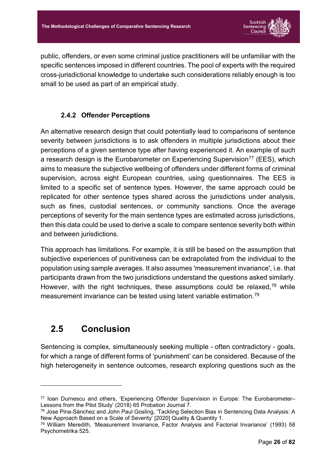

public, offenders, or even some criminal justice practitioners will be unfamiliar with the specific sentences imposed in different countries. The pool of experts with the required cross-jurisdictional knowledge to undertake such considerations reliably enough is too small to be used as part of an empirical study.

#### **2.4.2 Offender Perceptions**

<span id="page-26-0"></span>An alternative research design that could potentially lead to comparisons of sentence severity between jurisdictions is to ask offenders in multiple jurisdictions about their perceptions of a given sentence type after having experienced it. An example of such a research design is the Eurobarometer on Experiencing Supervision<sup>77</sup> (EES), which aims to measure the subjective wellbeing of offenders under different forms of criminal supervision, across eight European countries, using questionnaires. The EES is limited to a specific set of sentence types. However, the same approach could be replicated for other sentence types shared across the jurisdictions under analysis, such as fines, custodial sentences, or community sanctions. Once the average perceptions of severity for the main sentence types are estimated across jurisdictions, then this data could be used to derive a scale to compare sentence severity both within and between jurisdictions.

This approach has limitations. For example, it is still be based on the assumption that subjective experiences of punitiveness can be extrapolated from the individual to the population using sample averages. It also assumes 'measurement invariance', i.e. that participants drawn from the two jurisdictions understand the questions asked similarly. However, with the right techniques, these assumptions could be relaxed,  $78$  while measurement invariance can be tested using latent variable estimation.79

# <span id="page-26-1"></span>**2.5 Conclusion**

-

Sentencing is complex, simultaneously seeking multiple - often contradictory - goals, for which a range of different forms of 'punishment' can be considered. Because of the high heterogeneity in sentence outcomes, research exploring questions such as the

<sup>77</sup> Ioan Durnescu and others, 'Experiencing Offender Supervision in Europe: The Eurobarometer– Lessons from the Pilot Study' (2018) 65 Probation Journal 7.

<sup>78</sup> Jose Pina-Sánchez and John Paul Gosling, 'Tackling Selection Bias in Sentencing Data Analysis: A New Approach Based on a Scale of Severity' [2020] Quality & Quantity 1.

<sup>79</sup> William Meredith, 'Measurement Invariance, Factor Analysis and Factorial Invariance' (1993) 58 Psychometrika 525.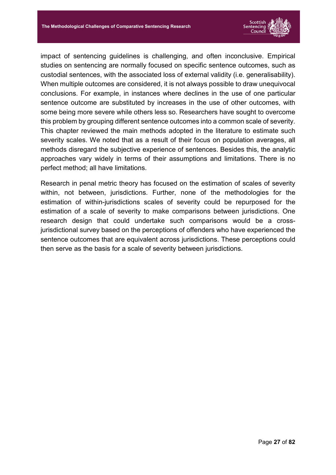

impact of sentencing guidelines is challenging, and often inconclusive. Empirical studies on sentencing are normally focused on specific sentence outcomes, such as custodial sentences, with the associated loss of external validity (i.e. generalisability). When multiple outcomes are considered, it is not always possible to draw unequivocal conclusions. For example, in instances where declines in the use of one particular sentence outcome are substituted by increases in the use of other outcomes, with some being more severe while others less so. Researchers have sought to overcome this problem by grouping different sentence outcomes into a common scale of severity. This chapter reviewed the main methods adopted in the literature to estimate such severity scales. We noted that as a result of their focus on population averages, all methods disregard the subjective experience of sentences. Besides this, the analytic approaches vary widely in terms of their assumptions and limitations. There is no perfect method; all have limitations.

Research in penal metric theory has focused on the estimation of scales of severity within, not between, jurisdictions. Further, none of the methodologies for the estimation of within-jurisdictions scales of severity could be repurposed for the estimation of a scale of severity to make comparisons between jurisdictions. One research design that could undertake such comparisons would be a crossjurisdictional survey based on the perceptions of offenders who have experienced the sentence outcomes that are equivalent across jurisdictions. These perceptions could then serve as the basis for a scale of severity between jurisdictions.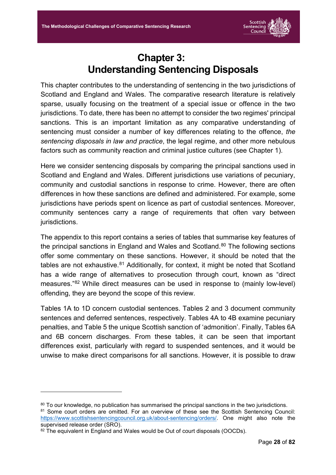

# **Chapter 3: Understanding Sentencing Disposals**

<span id="page-28-0"></span>This chapter contributes to the understanding of sentencing in the two jurisdictions of Scotland and England and Wales. The comparative research literature is relatively sparse, usually focusing on the treatment of a special issue or offence in the two jurisdictions. To date, there has been no attempt to consider the two regimes' principal sanctions. This is an important limitation as any comparative understanding of sentencing must consider a number of key differences relating to the offence, *the sentencing disposals in law and practice*, the legal regime, and other more nebulous factors such as community reaction and criminal justice cultures (see Chapter 1).

Here we consider sentencing disposals by comparing the principal sanctions used in Scotland and England and Wales. Different jurisdictions use variations of pecuniary, community and custodial sanctions in response to crime. However, there are often differences in how these sanctions are defined and administered. For example, some jurisdictions have periods spent on licence as part of custodial sentences. Moreover, community sentences carry a range of requirements that often vary between jurisdictions.

The appendix to this report contains a series of tables that summarise key features of the principal sanctions in England and Wales and Scotland. <sup>80</sup> The following sections offer some commentary on these sanctions. However, it should be noted that the tables are not exhaustive. $81$  Additionally, for context, it might be noted that Scotland has a wide range of alternatives to prosecution through court, known as "direct measures."82 While direct measures can be used in response to (mainly low-level) offending, they are beyond the scope of this review.

Tables 1A to 1D concern custodial sentences. Tables 2 and 3 document community sentences and deferred sentences, respectively. Tables 4A to 4B examine pecuniary penalties, and Table 5 the unique Scottish sanction of 'admonition'. Finally, Tables 6A and 6B concern discharges. From these tables, it can be seen that important differences exist, particularly with regard to suspended sentences, and it would be unwise to make direct comparisons for all sanctions. However, it is possible to draw

81 Some court orders are omitted. For an overview of these see the Scottish Sentencing Council: [https://www.scottishsentencingcouncil.org.uk/about-sentencing/orders/.](https://www.scottishsentencingcouncil.org.uk/about-sentencing/orders/) One might also note the supervised release order (SRO).

<sup>80</sup> To our knowledge, no publication has summarised the principal sanctions in the two jurisdictions.

<sup>82</sup> The equivalent in England and Wales would be Out of court disposals (OOCDs).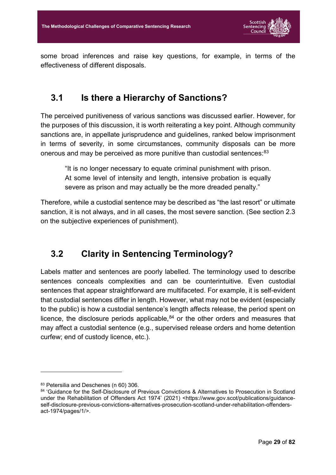

some broad inferences and raise key questions, for example, in terms of the effectiveness of different disposals.

### <span id="page-29-0"></span>**3.1 Is there a Hierarchy of Sanctions?**

The perceived punitiveness of various sanctions was discussed earlier. However, for the purposes of this discussion, it is worth reiterating a key point. Although community sanctions are, in appellate jurisprudence and guidelines, ranked below imprisonment in terms of severity, in some circumstances, community disposals can be more onerous and may be perceived as more punitive than custodial sentences: 83

"It is no longer necessary to equate criminal punishment with prison. At some level of intensity and length, intensive probation is equally severe as prison and may actually be the more dreaded penalty."

Therefore, while a custodial sentence may be described as "the last resort" or ultimate sanction, it is not always, and in all cases, the most severe sanction. (See section 2.3 on the subjective experiences of punishment).

# <span id="page-29-1"></span>**3.2 Clarity in Sentencing Terminology?**

Labels matter and sentences are poorly labelled. The terminology used to describe sentences conceals complexities and can be counterintuitive. Even custodial sentences that appear straightforward are multifaceted. For example, it is self-evident that custodial sentences differ in length. However, what may not be evident (especially to the public) is how a custodial sentence's length affects release, the period spent on licence, the disclosure periods applicable, $84$  or the other orders and measures that may affect a custodial sentence (e.g., supervised release orders and home detention curfew; end of custody licence, etc.).

<sup>83</sup> Petersilia and Deschenes (n 60) 306.

<sup>84 &#</sup>x27;Guidance for the Self-Disclosure of Previous Convictions & Alternatives to Prosecution in Scotland under the Rehabilitation of Offenders Act 1974' (2021) <https://www.gov.scot/publications/guidanceself-disclosure-previous-convictions-alternatives-prosecution-scotland-under-rehabilitation-offendersact-1974/pages/1/>.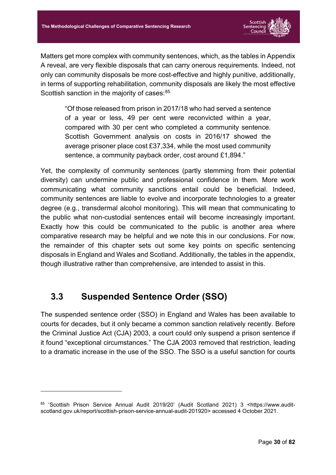

Matters get more complex with community sentences, which, as the tables in Appendix A reveal, are very flexible disposals that can carry onerous requirements. Indeed, not only can community disposals be more cost-effective and highly punitive, additionally, in terms of supporting rehabilitation, community disposals are likely the most effective Scottish sanction in the majority of cases: 85

"Of those released from prison in 2017/18 who had served a sentence of a year or less, 49 per cent were reconvicted within a year, compared with 30 per cent who completed a community sentence. Scottish Government analysis on costs in 2016/17 showed the average prisoner place cost £37,334, while the most used community sentence, a community payback order, cost around £1,894."

Yet, the complexity of community sentences (partly stemming from their potential diversity) can undermine public and professional confidence in them. More work communicating what community sanctions entail could be beneficial. Indeed, community sentences are liable to evolve and incorporate technologies to a greater degree (e.g., transdermal alcohol monitoring). This will mean that communicating to the public what non-custodial sentences entail will become increasingly important. Exactly how this could be communicated to the public is another area where comparative research may be helpful and we note this in our conclusions. For now, the remainder of this chapter sets out some key points on specific sentencing disposals in England and Wales and Scotland. Additionally, the tables in the appendix, though illustrative rather than comprehensive, are intended to assist in this.

## <span id="page-30-0"></span>**3.3 Suspended Sentence Order (SSO)**

-

The suspended sentence order (SSO) in England and Wales has been available to courts for decades, but it only became a common sanction relatively recently. Before the Criminal Justice Act (CJA) 2003, a court could only suspend a prison sentence if it found "exceptional circumstances." The CJA 2003 removed that restriction, leading to a dramatic increase in the use of the SSO. The SSO is a useful sanction for courts

<sup>85 &#</sup>x27;Scottish Prison Service Annual Audit 2019/20' (Audit Scotland 2021) 3 <https://www.auditscotland.gov.uk/report/scottish-prison-service-annual-audit-201920> accessed 4 October 2021.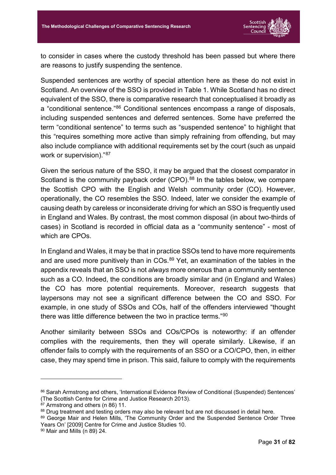

to consider in cases where the custody threshold has been passed but where there are reasons to justify suspending the sentence.

Suspended sentences are worthy of special attention here as these do not exist in Scotland. An overview of the SSO is provided in Table 1. While Scotland has no direct equivalent of the SSO, there is comparative research that conceptualised it broadly as a "conditional sentence."86 Conditional sentences encompass a range of disposals, including suspended sentences and deferred sentences. Some have preferred the term "conditional sentence" to terms such as "suspended sentence" to highlight that this "requires something more active than simply refraining from offending, but may also include compliance with additional requirements set by the court (such as unpaid work or supervision)."87

Given the serious nature of the SSO, it may be argued that the closest comparator in Scotland is the community payback order (CPO).<sup>88</sup> In the tables below, we compare the Scottish CPO with the English and Welsh community order (CO). However, operationally, the CO resembles the SSO. Indeed, later we consider the example of causing death by careless or inconsiderate driving for which an SSO is frequently used in England and Wales. By contrast, the most common disposal (in about two-thirds of cases) in Scotland is recorded in official data as a "community sentence" - most of which are CPOs.

In England and Wales, it may be that in practice SSOs tend to have more requirements and are used more punitively than in COs.<sup>89</sup> Yet, an examination of the tables in the appendix reveals that an SSO is not *always* more onerous than a community sentence such as a CO. Indeed, the conditions are broadly similar and (in England and Wales) the CO has more potential requirements. Moreover, research suggests that laypersons may not see a significant difference between the CO and SSO. For example, in one study of SSOs and COs, half of the offenders interviewed "thought there was little difference between the two in practice terms."90

Another similarity between SSOs and COs/CPOs is noteworthy: if an offender complies with the requirements, then they will operate similarly. Likewise, if an offender fails to comply with the requirements of an SSO or a CO/CPO, then, in either case, they may spend time in prison. This said, failure to comply with the requirements

<sup>86</sup> Sarah Armstrong and others, 'International Evidence Review of Conditional (Suspended) Sentences' (The Scottish Centre for Crime and Justice Research 2013).

<sup>87</sup> Armstrong and others (n 86) 11.

<sup>88</sup> Drug treatment and testing orders may also be relevant but are not discussed in detail here.

<sup>89</sup> George Mair and Helen Mills, 'The Community Order and the Suspended Sentence Order Three Years On' [2009] Centre for Crime and Justice Studies 10.

<sup>90</sup> Mair and Mills (n 89) 24.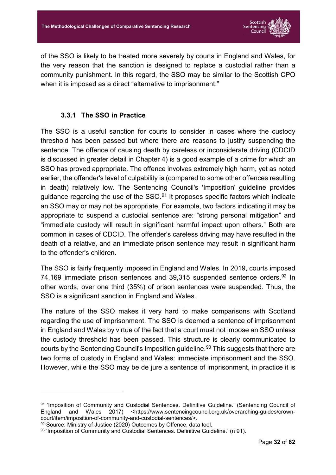

of the SSO is likely to be treated more severely by courts in England and Wales, for the very reason that the sanction is designed to replace a custodial rather than a community punishment. In this regard, the SSO may be similar to the Scottish CPO when it is imposed as a direct "alternative to imprisonment."

#### **3.3.1 The SSO in Practice**

<span id="page-32-0"></span>The SSO is a useful sanction for courts to consider in cases where the custody threshold has been passed but where there are reasons to justify suspending the sentence. The offence of causing death by careless or inconsiderate driving (CDCID is discussed in greater detail in Chapter 4) is a good example of a crime for which an SSO has proved appropriate. The offence involves extremely high harm, yet as noted earlier, the offender's level of culpability is (compared to some other offences resulting in death) relatively low. The Sentencing Council's 'Imposition' guideline provides guidance regarding the use of the  $SSO.<sup>91</sup>$  It proposes specific factors which indicate an SSO may or may not be appropriate. For example, two factors indicating it may be appropriate to suspend a custodial sentence are: "strong personal mitigation" and "immediate custody will result in significant harmful impact upon others." Both are common in cases of CDCID. The offender's careless driving may have resulted in the death of a relative, and an immediate prison sentence may result in significant harm to the offender's children.

The SSO is fairly frequently imposed in England and Wales. In 2019, courts imposed 74,169 immediate prison sentences and 39,315 suspended sentence orders.<sup>92</sup> In other words, over one third (35%) of prison sentences were suspended. Thus, the SSO is a significant sanction in England and Wales.

The nature of the SSO makes it very hard to make comparisons with Scotland regarding the use of imprisonment. The SSO is deemed a sentence of imprisonment in England and Wales by virtue of the fact that a court must not impose an SSO unless the custody threshold has been passed. This structure is clearly communicated to courts by the Sentencing Council's Imposition guideline.<sup>93</sup> This suggests that there are two forms of custody in England and Wales: immediate imprisonment and the SSO. However, while the SSO may be de jure a sentence of imprisonment, in practice it is

<sup>91</sup> 'Imposition of Community and Custodial Sentences. Definitive Guideline.' (Sentencing Council of England and Wales 2017) <https://www.sentencingcouncil.org.uk/overarching-guides/crowncourt/item/imposition-of-community-and-custodial-sentences/>.

<sup>92</sup> Source: Ministry of Justice (2020) Outcomes by Offence, data tool.

<sup>93</sup> 'Imposition of Community and Custodial Sentences. Definitive Guideline.' (n 91).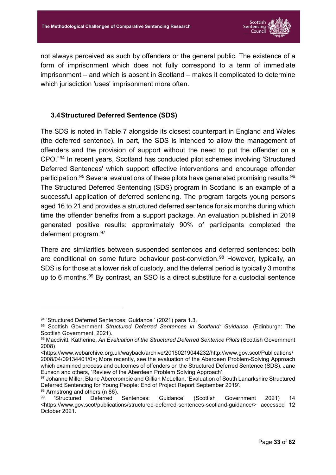

not always perceived as such by offenders or the general public. The existence of a form of imprisonment which does not fully correspond to a term of immediate imprisonment – and which is absent in Scotland – makes it complicated to determine which jurisdiction 'uses' imprisonment more often.

#### <span id="page-33-0"></span>**3.4Structured Deferred Sentence (SDS)**

The SDS is noted in Table 7 alongside its closest counterpart in England and Wales (the deferred sentence). In part, the SDS is intended to allow the management of offenders and the provision of support without the need to put the offender on a CPO."94 In recent years, Scotland has conducted pilot schemes involving 'Structured Deferred Sentences' which support effective interventions and encourage offender participation.<sup>95</sup> Several evaluations of these pilots have generated promising results.<sup>96</sup> The Structured Deferred Sentencing (SDS) program in Scotland is an example of a successful application of deferred sentencing. The program targets young persons aged 16 to 21 and provides a structured deferred sentence for six months during which time the offender benefits from a support package. An evaluation published in 2019 generated positive results: approximately 90% of participants completed the deferment program.97

There are similarities between suspended sentences and deferred sentences: both are conditional on some future behaviour post-conviction.<sup>98</sup> However, typically, an SDS is for those at a lower risk of custody, and the deferral period is typically 3 months up to 6 months.99 By contrast, an SSO is a direct substitute for a custodial sentence

<sup>94 &#</sup>x27;Structured Deferred Sentences: Guidance ' (2021) para 1.3.

<sup>95</sup> Scottish Government *Structured Deferred Sentences in Scotland: Guidance*. (Edinburgh: The Scottish Government, 2021).

<sup>96</sup> Macdivitt, Katherine, *An Evaluation of the Structured Deferred Sentence Pilots* (Scottish Government 2008)

<sup>&</sup>lt;https://www.webarchive.org.uk/wayback/archive/20150219044232/http://www.gov.scot/Publications/ 2008/04/09134401/0>; More recently, see the evaluation of the Aberdeen Problem-Solving Approach which examined process and outcomes of offenders on the Structured Deferred Sentence (SDS), Jane Eunson and others, 'Review of the Aberdeen Problem Solving Approach'.

<sup>97</sup> Johanne Miller, Blane Abercrombie and Gillian McLellan, 'Evaluation of South Lanarkshire Structured Deferred Sentencing for Young People: End of Project Report September 2019'.

 $98$  Armstrong and others (n 86).<br> $99$  Structured Deferred

<sup>&#</sup>x27;Structured Deferred Sentences: Guidance' (Scottish Government 2021) 14 <https://www.gov.scot/publications/structured-deferred-sentences-scotland-guidance/> accessed 12 October 2021.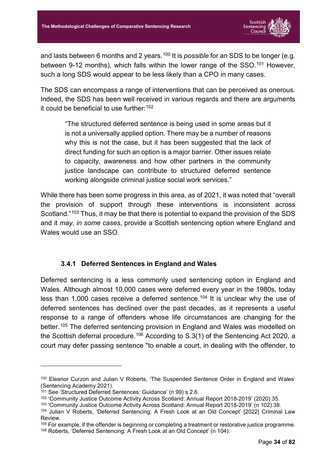

and lasts between 6 months and 2 years.<sup>100</sup> It is *possible* for an SDS to be longer (e.g. between 9-12 months), which falls within the lower range of the SSO.<sup>101</sup> However, such a long SDS would appear to be less likely than a CPO in many cases.

The SDS can encompass a range of interventions that can be perceived as onerous. Indeed, the SDS has been well received in various regards and there are arguments it could be beneficial to use further: 102

"The structured deferred sentence is being used in some areas but it is not a universally applied option. There may be a number of reasons why this is not the case, but it has been suggested that the lack of direct funding for such an option is a major barrier. Other issues relate to capacity, awareness and how other partners in the community justice landscape can contribute to structured deferred sentence working alongside criminal justice social work services."

While there has been some progress in this area, as of 2021, it was noted that "overall the provision of support through these interventions is inconsistent across Scotland."103 Thus, it may be that there is potential to expand the provision of the SDS and it *may*, *in some cases*, provide a Scottish sentencing option where England and Wales would use an SSO.

#### **3.4.1 Deferred Sentences in England and Wales**

<span id="page-34-0"></span>Deferred sentencing is a less commonly used sentencing option in England and Wales. Although almost 10,000 cases were deferred every year in the 1980s, today less than 1,000 cases receive a deferred sentence.<sup>104</sup> It is unclear why the use of deferred sentences has declined over the past decades, as it represents a useful response to a range of offenders whose life circumstances are changing for the better.<sup>105</sup> The deferred sentencing provision in England and Wales was modelled on the Scottish deferral procedure.<sup>106</sup> According to S.3(1) of the Sentencing Act 2020, a court may defer passing sentence "to enable a court, in dealing with the offender, to

<sup>&</sup>lt;sup>100</sup> Eleanor Curzon and Julian V Roberts, 'The Suspended Sentence Order in England and Wales' (Sentencing Academy 2021).

<sup>101</sup> See 'Structured Deferred Sentences: Guidance' (n 99) s 2.6.

<sup>102</sup> 'Community Justice Outcome Activity Across Scotland: Annual Report 2018-2019' (2020) 35.

<sup>103</sup> 'Community Justice Outcome Activity Across Scotland: Annual Report 2018-2019' (n 102) 38.

<sup>104</sup> Julian V Roberts, 'Deferred Sentencing: A Fresh Look at an Old Concept' [2022] Criminal Law Review.

<sup>&</sup>lt;sup>105</sup> For example, if the offender is beginning or completing a treatment or restorative justice programme. <sup>106</sup> Roberts, 'Deferred Sentencing: A Fresh Look at an Old Concept' (n 104).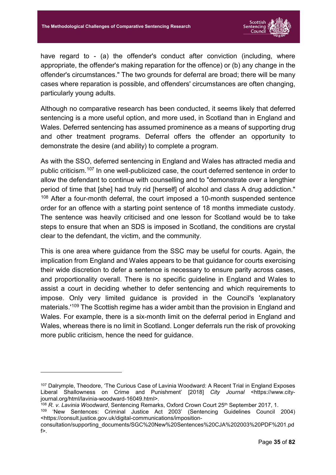

have regard to - (a) the offender's conduct after conviction (including, where appropriate, the offender's making reparation for the offence) or (b) any change in the offender's circumstances." The two grounds for deferral are broad; there will be many cases where reparation is possible, and offenders' circumstances are often changing, particularly young adults.

Although no comparative research has been conducted, it seems likely that deferred sentencing is a more useful option, and more used, in Scotland than in England and Wales. Deferred sentencing has assumed prominence as a means of supporting drug and other treatment programs. Deferral offers the offender an opportunity to demonstrate the desire (and ability) to complete a program.

As with the SSO, deferred sentencing in England and Wales has attracted media and public criticism.107 In one well-publicized case, the court deferred sentence in order to allow the defendant to continue with counselling and to "demonstrate over a lengthier period of time that [she] had truly rid [herself] of alcohol and class A drug addiction." <sup>108</sup> After a four-month deferral, the court imposed a 10-month suspended sentence order for an offence with a starting point sentence of 18 months immediate custody. The sentence was heavily criticised and one lesson for Scotland would be to take steps to ensure that when an SDS is imposed in Scotland, the conditions are crystal clear to the defendant, the victim, and the community.

This is one area where guidance from the SSC may be useful for courts. Again, the implication from England and Wales appears to be that guidance for courts exercising their wide discretion to defer a sentence is necessary to ensure parity across cases, and proportionality overall. There is no specific guideline in England and Wales to assist a court in deciding whether to defer sentencing and which requirements to impose. Only very limited guidance is provided in the Council's 'explanatory materials.' <sup>109</sup> The Scottish regime has a wider ambit than the provision in England and Wales. For example, there is a six-month limit on the deferral period in England and Wales, whereas there is no limit in Scotland. Longer deferrals run the risk of provoking more public criticism, hence the need for guidance.

<u>.</u>

<sup>107</sup> Dalrymple, Theodore, 'The Curious Case of Lavinia Woodward: A Recent Trial in England Exposes Liberal Shallowness on Crime and Punishment' [2018] *City Journal* <https://www.cityjournal.org/html/lavinia-woodward-16049.html>.

<sup>&</sup>lt;sup>108</sup> *R. v. Lavinia Woodward*, Sentencing Remarks, Oxford Crown Court 25<sup>th</sup> September 2017, 1.

<sup>109</sup> 'New Sentences: Criminal Justice Act 2003' (Sentencing Guidelines Council 2004) <https://consult.justice.gov.uk/digital-communications/imposition-

consultation/supporting\_documents/SGC%20New%20Sentences%20CJA%202003%20PDF%201.pd f>.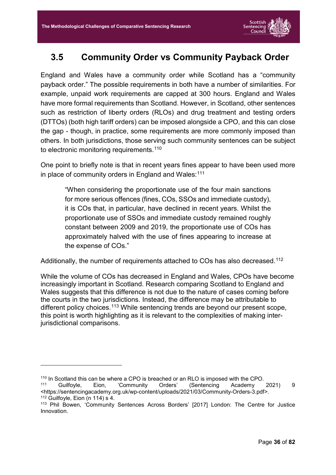### **3.5 Community Order vs Community Payback Order**

England and Wales have a community order while Scotland has a "community payback order." The possible requirements in both have a number of similarities. For example, unpaid work requirements are capped at 300 hours. England and Wales have more formal requirements than Scotland. However, in Scotland, other sentences such as restriction of liberty orders (RLOs) and drug treatment and testing orders (DTTOs) (both high tariff orders) can be imposed alongside a CPO, and this can close the gap - though, in practice, some requirements are more commonly imposed than others. In both jurisdictions, those serving such community sentences can be subject to electronic monitoring requirements.<sup>110</sup>

One point to briefly note is that in recent years fines appear to have been used more in place of community orders in England and Wales: $^{\rm 111}$ 

"When considering the proportionate use of the four main sanctions for more serious offences (fines, COs, SSOs and immediate custody), it is COs that, in particular, have declined in recent years. Whilst the proportionate use of SSOs and immediate custody remained roughly constant between 2009 and 2019, the proportionate use of COs has approximately halved with the use of fines appearing to increase at the expense of COs."

Additionally, the number of requirements attached to COs has also decreased.<sup>112</sup>

While the volume of COs has decreased in England and Wales, CPOs have become increasingly important in Scotland. Research comparing Scotland to England and Wales suggests that this difference is not due to the nature of cases coming before the courts in the two jurisdictions. Instead, the difference may be attributable to different policy choices.<sup>113</sup> While sentencing trends are beyond our present scope, this point is worth highlighting as it is relevant to the complexities of making interjurisdictional comparisons.

<sup>&</sup>lt;sup>110</sup> In Scotland this can be where a CPO is breached or an RLO is imposed with the CPO.<br><sup>111</sup> Guilfoyle, Eion, 'Community Orders' (Sentencing Academy

<sup>111</sup> Community Orders' (Sentencing Academy 2021) <https://sentencingacademy.org.uk/wp-content/uploads/2021/03/Community-Orders-3.pdf>.

 $112$  Guilfoyle, Eion (n 114) s 4.

<sup>113</sup> Phil Bowen, 'Community Sentences Across Borders' [2017] London: The Centre for Justice Innovation.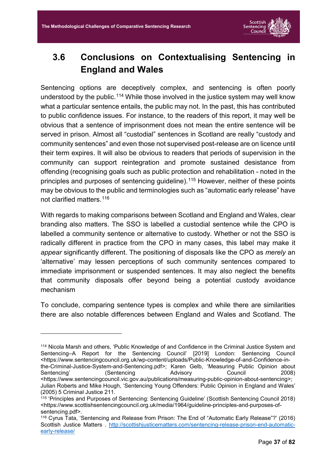

### **3.6 Conclusions on Contextualising Sentencing in England and Wales**

Sentencing options are deceptively complex, and sentencing is often poorly understood by the public.<sup>114</sup> While those involved in the justice system may well know what a particular sentence entails, the public may not. In the past, this has contributed to public confidence issues. For instance, to the readers of this report, it may well be obvious that a sentence of imprisonment does not mean the entire sentence will be served in prison. Almost all "custodial" sentences in Scotland are really "custody and community sentences" and even those not supervised post-release are on licence until their term expires. It will also be obvious to readers that periods of supervision in the community can support reintegration and promote sustained desistance from offending (recognising goals such as public protection and rehabilitation - noted in the principles and purposes of sentencing guideline).115 However, neither of these points may be obvious to the public and terminologies such as "automatic early release" have not clarified matters. 116

With regards to making comparisons between Scotland and England and Wales, clear branding also matters. The SSO is labelled a custodial sentence while the CPO is labelled a community sentence or alternative to custody. Whether or not the SSO is radically different in practice from the CPO in many cases, this label may make it *appear* significantly different. The positioning of disposals like the CPO as *merely* an 'alternative' may lessen perceptions of such community sentences compared to immediate imprisonment or suspended sentences. It may also neglect the benefits that community disposals offer beyond being a potential custody avoidance mechanism

To conclude, comparing sentence types is complex and while there are similarities there are also notable differences between England and Wales and Scotland. The

<sup>114</sup> Nicola Marsh and others, 'Public Knowledge of and Confidence in the Criminal Justice System and Sentencing–A Report for the Sentencing Council' [2019] London: Sentencing Council <https://www.sentencingcouncil.org.uk/wp-content/uploads/Public-Knowledge-of-and-Confidence-in-

the-Criminal-Justice-System-and-Sentencing.pdf>; Karen Gelb, 'Measuring Public Opinion about Sentencing' (Sentencing Advisory Council 2008) <https://www.sentencingcouncil.vic.gov.au/publications/measuring-public-opinion-about-sentencing>; Julian Roberts and Mike Hough, 'Sentencing Young Offenders: Public Opinion in England and Wales' (2005) 5 Criminal Justice 211.

<sup>&</sup>lt;sup>115</sup> 'Principles and Purposes of Sentencing: Sentencing Guideline' (Scottish Sentencing Council 2018) <https://www.scottishsentencingcouncil.org.uk/media/1964/guideline-principles-and-purposes-ofsentencing.pdf>.

<sup>116</sup> Cyrus Tata, 'Sentencing and Release from Prison: The End of "Automatic Early Release"?' (2016) Scottish Justice Matters . [http://scottishjusticematters.com/sentencing-release-prison-end-automatic](http://scottishjusticematters.com/sentencing-release-prison-end-automatic-early-release/)[early-release/](http://scottishjusticematters.com/sentencing-release-prison-end-automatic-early-release/)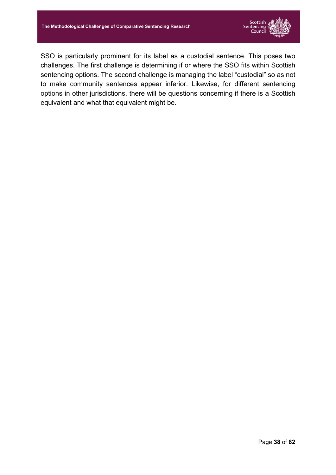

SSO is particularly prominent for its label as a custodial sentence. This poses two challenges. The first challenge is determining if or where the SSO fits within Scottish sentencing options. The second challenge is managing the label "custodial" so as not to make community sentences appear inferior. Likewise, for different sentencing options in other jurisdictions, there will be questions concerning if there is a Scottish equivalent and what that equivalent might be.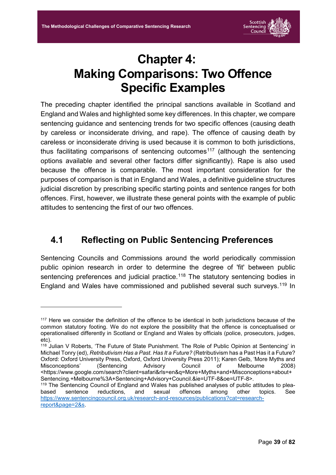-



# **Chapter 4: Making Comparisons: Two Offence Specific Examples**

The preceding chapter identified the principal sanctions available in Scotland and England and Wales and highlighted some key differences. In this chapter, we compare sentencing guidance and sentencing trends for two specific offences (causing death by careless or inconsiderate driving, and rape). The offence of causing death by careless or inconsiderate driving is used because it is common to both jurisdictions, thus facilitating comparisons of sentencing outcomes<sup>117</sup> (although the sentencing options available and several other factors differ significantly). Rape is also used because the offence is comparable. The most important consideration for the purposes of comparison is that in England and Wales, a definitive guideline structures judicial discretion by prescribing specific starting points and sentence ranges for both offences. First, however, we illustrate these general points with the example of public attitudes to sentencing the first of our two offences.

#### **4.1 Reflecting on Public Sentencing Preferences**

Sentencing Councils and Commissions around the world periodically commission public opinion research in order to determine the degree of 'fit' between public sentencing preferences and judicial practice.<sup>118</sup> The statutory sentencing bodies in England and Wales have commissioned and published several such surveys.<sup>119</sup> In

<sup>&</sup>lt;sup>117</sup> Here we consider the definition of the offence to be identical in both jurisdictions because of the common statutory footing. We do not explore the possibility that the offence is conceptualised or operationalised differently in Scotland or England and Wales by officials (police, prosecutors, judges, etc).

<sup>&</sup>lt;sup>118</sup> Julian V Roberts, 'The Future of State Punishment. The Role of Public Opinion at Sentencing' in Michael Tonry (ed), *Retributivism Has a Past. Has It a Future?* (Retributivism has a Past Has it a Future? Oxford: Oxford University Press, Oxford, Oxford University Press 2011); Karen Gelb, 'More Myths and Misconceptions' (Sentencing Advisory Council of Melbourne 2008) <https://www.google.com/search?client=safari&rls=en&q=More+Myths+and+Misconceptions+about+ Sentencing.+Melbourne%3A+Sentencing+Advisory+Council.&ie=UTF-8&oe=UTF-8>.

 $119$  The Sentencing Council of England and Wales has published analyses of public attitudes to plea-<br>based sentence reductions, and sexual offences among other topics. See based sentence reductions, and sexual offences among other topics. See [https://www.sentencingcouncil.org.uk/research-and-resources/publications?cat=research](https://www.sentencingcouncil.org.uk/research-and-resources/publications?cat=research-report&page=2&s)[report&page=2&s.](https://www.sentencingcouncil.org.uk/research-and-resources/publications?cat=research-report&page=2&s)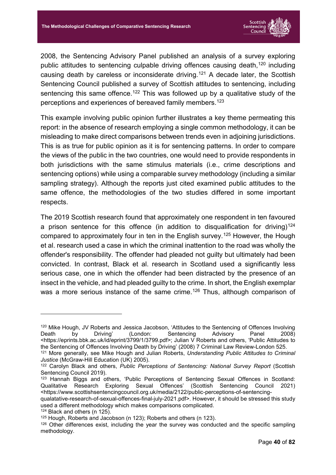

2008, the Sentencing Advisory Panel published an analysis of a survey exploring public attitudes to sentencing culpable driving offences causing death,<sup>120</sup> including causing death by careless or inconsiderate driving.<sup>121</sup> A decade later, the Scottish Sentencing Council published a survey of Scottish attitudes to sentencing, including sentencing this same offence.<sup>122</sup> This was followed up by a qualitative study of the perceptions and experiences of bereaved family members.123

This example involving public opinion further illustrates a key theme permeating this report: in the absence of research employing a single common methodology, it can be misleading to make direct comparisons between trends even in adjoining jurisdictions. This is as true for public opinion as it is for sentencing patterns. In order to compare the views of the public in the two countries, one would need to provide respondents in both jurisdictions with the same stimulus materials (i.e., crime descriptions and sentencing options) while using a comparable survey methodology (including a similar sampling strategy). Although the reports just cited examined public attitudes to the same offence, the methodologies of the two studies differed in some important respects.

The 2019 Scottish research found that approximately one respondent in ten favoured a prison sentence for this offence (in addition to disqualification for driving)<sup>124</sup> compared to approximately four in ten in the English survey. <sup>125</sup> However, the Hough et al. research used a case in which the criminal inattention to the road was wholly the offender's responsibility. The offender had pleaded not guilty but ultimately had been convicted. In contrast, Black et al. research in Scotland used a significantly less serious case, one in which the offender had been distracted by the presence of an insect in the vehicle, and had pleaded guilty to the crime. In short, the English exemplar was a more serious instance of the same crime.<sup>126</sup> Thus, although comparison of

<sup>120</sup> Mike Hough, JV Roberts and Jessica Jacobson, 'Attitudes to the Sentencing of Offences Involving Death by Driving' (London: Sentencing Advisory Panel 2008) <https://eprints.bbk.ac.uk/id/eprint/3799/1/3799.pdf>; Julian V Roberts and others, 'Public Attitudes to the Sentencing of Offences Involving Death by Driving' (2008) 7 Criminal Law Review-London 525. <sup>121</sup> More generally, see Mike Hough and Julian Roberts, *Understanding Public Attitudes to Criminal* 

*Justice* (McGraw-Hill Education (UK) 2005).

<sup>122</sup> Carolyn Black and others, *Public Perceptions of Sentencing: National Survey Report* (Scottish Sentencing Council 2019).

<sup>123</sup> Hannah Biggs and others, 'Public Perceptions of Sentencing Sexual Offences in Scotland: Qualitative Research Exploring Sexual Offences' (Scottish Sentencing Council 2021) <https://www.scottishsentencingcouncil.org.uk/media/2122/public-perceptions-of-sentencing-

qualatative-research-of-sexual-offences-final-july-2021.pdf>. However, it should be stressed this study used a different methodology which makes comparisons complicated.

<sup>124</sup> Black and others (n 125).

<sup>125</sup> Hough, Roberts and Jacobson (n 123); Roberts and others (n 123).

<sup>126</sup> Other differences exist, including the year the survey was conducted and the specific sampling methodology.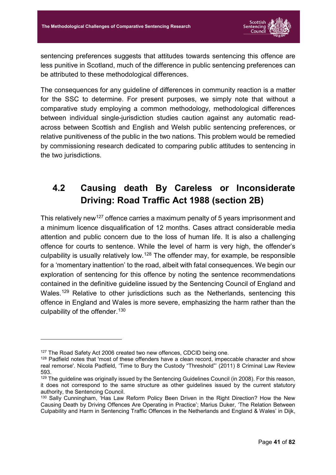

sentencing preferences suggests that attitudes towards sentencing this offence are less punitive in Scotland, much of the difference in public sentencing preferences can be attributed to these methodological differences.

The consequences for any guideline of differences in community reaction is a matter for the SSC to determine. For present purposes, we simply note that without a comparative study employing a common methodology, methodological differences between individual single-jurisdiction studies caution against any automatic readacross between Scottish and English and Welsh public sentencing preferences, or relative punitiveness of the public in the two nations. This problem would be remedied by commissioning research dedicated to comparing public attitudes to sentencing in the two jurisdictions.

### **4.2 Causing death By Careless or Inconsiderate Driving: Road Traffic Act 1988 (section 2B)**

This relatively new<sup>127</sup> offence carries a maximum penalty of 5 years imprisonment and a minimum licence disqualification of 12 months. Cases attract considerable media attention and public concern due to the loss of human life. It is also a challenging offence for courts to sentence. While the level of harm is very high, the offender's culpability is usually relatively low.<sup>128</sup> The offender may, for example, be responsible for a 'momentary inattention' to the road, albeit with fatal consequences. We begin our exploration of sentencing for this offence by noting the sentence recommendations contained in the definitive guideline issued by the Sentencing Council of England and Wales.<sup>129</sup> Relative to other jurisdictions such as the Netherlands, sentencing this offence in England and Wales is more severe, emphasizing the harm rather than the culpability of the offender.<sup>130</sup>

<sup>&</sup>lt;sup>127</sup> The Road Safety Act 2006 created two new offences, CDCID being one.

<sup>&</sup>lt;sup>128</sup> Padfield notes that 'most of these offenders have a clean record, impeccable character and show real remorse'. Nicola Padfield, 'Time to Bury the Custody "Threshold"' (2011) 8 Criminal Law Review 593.

<sup>&</sup>lt;sup>129</sup> The guideline was originally issued by the Sentencing Guidelines Council (in 2008). For this reason, it does not correspond to the same structure as other guidelines issued by the current statutory authority, the Sentencing Council.

<sup>&</sup>lt;sup>130</sup> Sally Cunningham, 'Has Law Reform Policy Been Driven in the Right Direction? How the New Causing Death by Driving Offences Are Operating in Practice'; Marius Duker, 'The Relation Between Culpability and Harm in Sentencing Traffic Offences in the Netherlands and England & Wales' in Dijk,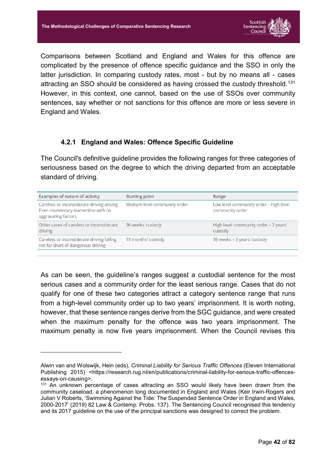

Comparisons between Scotland and England and Wales for this offence are complicated by the presence of offence specific guidance and the SSO in only the latter jurisdiction. In comparing custody rates, most - but by no means all - cases attracting an SSO should be considered as having crossed the custody threshold.<sup>131</sup> However, in this context, one cannot, based on the use of SSOs over community sentences, say whether or not sanctions for this offence are more or less severe in England and Wales.

#### **4.2.1 England and Wales: Offence Specific Guideline**

The Council's definitive guideline provides the following ranges for three categories of seriousness based on the degree to which the driving departed from an acceptable standard of driving.

| <b>Examples of nature of activity</b>                                                                  | <b>Starting point</b>        | Range                                                     |
|--------------------------------------------------------------------------------------------------------|------------------------------|-----------------------------------------------------------|
| Careless or inconsiderate driving arising<br>from momentary inattention with no<br>aggravating factors | Medium level community order | Low level community order - high level<br>community order |
| Other cases of careless or inconsiderate<br>driving                                                    | 36 weeks' custody            | High level community order - 2 years'<br>custody          |
| Careless or inconsiderate driving falling<br>not far short of dangerous driving                        | 15 months' custody           | 36 weeks - 3 years' custody                               |

As can be seen, the guideline's ranges suggest a custodial sentence for the most serious cases and a community order for the least serious range. Cases that do not qualify for one of these two categories attract a category sentence range that runs from a high-level community order up to two years' imprisonment. It is worth noting, however, that these sentence ranges derive from the SGC guidance, and were created when the maximum penalty for the offence was two years imprisonment. The maximum penalty is now five years imprisonment. When the Council revises this

Alwin van and Wolswijk, Hein (eds), *Criminal Liability for Serious Traffic Offences* (Eleven International Publishing 2015) <https://research.rug.nl/en/publications/criminal-liability-for-serious-traffic-offencesessays-on-causing>.

<sup>&</sup>lt;sup>131</sup> An unknown percentage of cases attracting an SSO would likely have been drawn from the community caseload, a phenomenon long documented in England and Wales (Keir Irwin-Rogers and Julian V Roberts, 'Swimming Against the Tide: The Suspended Sentence Order in England and Wales, 2000-2017' (2019) 82 Law & Contemp. Probs. 137). The Sentencing Council recognised this tendency and its 2017 guideline on the use of the principal sanctions was designed to correct the problem.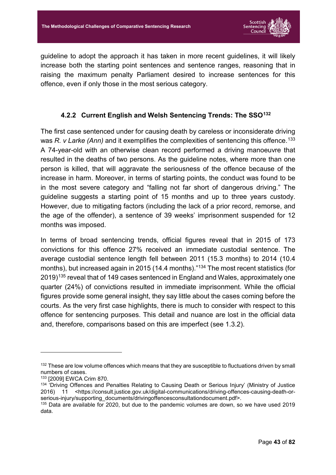

guideline to adopt the approach it has taken in more recent guidelines, it will likely increase both the starting point sentences and sentence ranges, reasoning that in raising the maximum penalty Parliament desired to increase sentences for this offence, even if only those in the most serious category.

#### **4.2.2 Current English and Welsh Sentencing Trends: The SSO132**

The first case sentenced under for causing death by careless or inconsiderate driving was *R. v Larke (Ann)* and it exemplifies the complexities of sentencing this offence. 133 A 74-year-old with an otherwise clean record performed a driving manoeuvre that resulted in the deaths of two persons. As the guideline notes, where more than one person is killed, that will aggravate the seriousness of the offence because of the increase in harm. Moreover, in terms of starting points, the conduct was found to be in the most severe category and "falling not far short of dangerous driving." The guideline suggests a starting point of 15 months and up to three years custody. However, due to mitigating factors (including the lack of a prior record, remorse, and the age of the offender), a sentence of 39 weeks' imprisonment suspended for 12 months was imposed.

In terms of broad sentencing trends, official figures reveal that in 2015 of 173 convictions for this offence 27% received an immediate custodial sentence. The average custodial sentence length fell between 2011 (15.3 months) to 2014 (10.4 months), but increased again in 2015 (14.4 months).<sup>"134</sup> The most recent statistics (for 2019)135 reveal that of 149 cases sentenced in England and Wales, approximately one quarter (24%) of convictions resulted in immediate imprisonment. While the official figures provide some general insight, they say little about the cases coming before the courts. As the very first case highlights, there is much to consider with respect to this offence for sentencing purposes. This detail and nuance are lost in the official data and, therefore, comparisons based on this are imperfect (see [1.3.2\)](#page-12-0).

 $132$  These are low volume offences which means that they are susceptible to fluctuations driven by small numbers of cases.

<sup>133</sup> [2009] EWCA Crim 870.

<sup>&</sup>lt;sup>134 '</sup>Driving Offences and Penalties Relating to Causing Death or Serious Injury' (Ministry of Justice 2016) 11 <https://consult.justice.gov.uk/digital-communications/driving-offences-causing-death-orserious-injury/supporting\_documents/drivingoffencesconsultationdocument.pdf>.

<sup>135</sup> Data are available for 2020, but due to the pandemic volumes are down, so we have used 2019 data.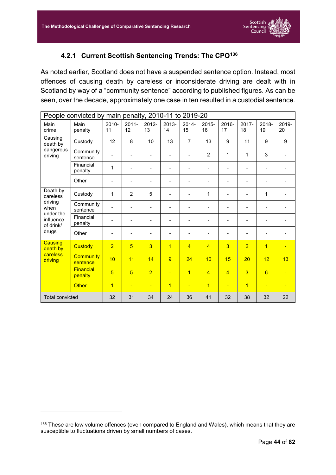

#### **4.2.1 Current Scottish Sentencing Trends: The CPO136**

As noted earlier, Scotland does not have a suspended sentence option. Instead, most offences of causing death by careless or inconsiderate driving are dealt with in Scotland by way of a "community sentence" according to published figures. As can be seen, over the decade, approximately one case in ten resulted in a custodial sentence.

|                                     | People convicted by main penalty, 2010-11 to 2019-20 |                          |                          |                          |                |                |                              |                          |                              |                              |             |
|-------------------------------------|------------------------------------------------------|--------------------------|--------------------------|--------------------------|----------------|----------------|------------------------------|--------------------------|------------------------------|------------------------------|-------------|
| Main<br>crime                       | Main<br>penalty                                      | $2010 -$<br>11           | $2011 -$<br>12           | 2012-<br>13              | 2013-<br>14    | 2014-<br>15    | 2015-<br>16                  | 2016-<br>17              | 2017-<br>18                  | 2018-<br>19                  | 2019-<br>20 |
| Causing<br>death by                 | Custody                                              | 12                       | 8                        | 10                       | 13             | $\overline{7}$ | 13                           | 9                        | 11                           | 9                            | 9           |
| dangerous<br>driving                | Community<br>sentence                                |                          |                          | $\overline{\phantom{0}}$ |                |                | $\overline{2}$               | 1                        | 1                            | 3                            |             |
|                                     | Financial<br>penalty                                 | 1                        |                          |                          |                |                | $\blacksquare$               | $\overline{\phantom{0}}$ |                              |                              |             |
|                                     | Other                                                | $\overline{\phantom{a}}$ | $\overline{\phantom{a}}$ | $\blacksquare$           |                |                | $\qquad \qquad \blacksquare$ |                          | $\qquad \qquad \blacksquare$ | $\qquad \qquad \blacksquare$ |             |
| Death by<br>careless                | Custody                                              | $\mathbf{1}$             | 2                        | 5                        |                |                | 1                            | $\overline{\phantom{0}}$ | $\overline{\phantom{a}}$     | 1                            |             |
| driving<br>when                     | Community<br>sentence                                | $\overline{\phantom{0}}$ | $\overline{\phantom{a}}$ | $\blacksquare$           |                |                | $\qquad \qquad \blacksquare$ | -                        | $\qquad \qquad \blacksquare$ | $\qquad \qquad \blacksquare$ |             |
| under the<br>influence<br>of drink/ | Financial<br>penalty                                 |                          | $\overline{\phantom{0}}$ | $\overline{a}$           |                |                |                              | -                        | $\qquad \qquad \blacksquare$ |                              |             |
| drugs                               | Other                                                | $\overline{a}$           |                          | $\overline{\phantom{0}}$ |                |                |                              |                          | $\overline{\phantom{a}}$     |                              |             |
| Causing<br>death by                 | <b>Custody</b>                                       | $\overline{2}$           | $\overline{5}$           | $\overline{3}$           | $\overline{1}$ | $\overline{4}$ | $\overline{4}$               | $\overline{3}$           | $\overline{2}$               | $\overline{1}$               |             |
| careless<br>driving                 | <b>Community</b><br>sentence                         | 10                       | 11                       | 14                       | 9              | 24             | 16                           | 15                       | 20                           | 12                           | 13          |
|                                     | Financial<br>penalty                                 | $\overline{5}$           | $\overline{5}$           | $\overline{2}$           | ÷              | $\overline{1}$ | $\overline{4}$               | $\overline{4}$           | $\overline{3}$               | 6                            |             |
|                                     | <b>Other</b>                                         | $\overline{1}$           | $\overline{\phantom{a}}$ | ÷                        | $\overline{1}$ | ш              | $\overline{1}$               | Ξ                        | $\overline{1}$               |                              |             |
| <b>Total convicted</b>              |                                                      | 32                       | 31                       | 34                       | 24             | 36             | 41                           | 32                       | 38                           | 32                           | 22          |

<sup>136</sup> These are low volume offences (even compared to England and Wales), which means that they are susceptible to fluctuations driven by small numbers of cases.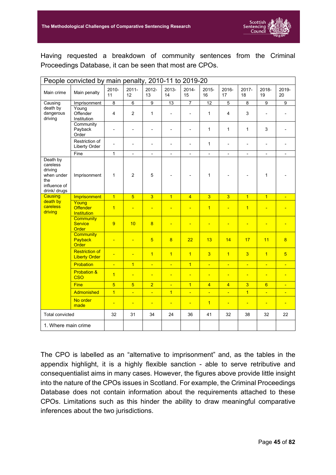

Having requested a breakdown of community sentences from the Criminal Proceedings Database, it can be seen that most are CPOs.

|                                                                                      | People convicted by main penalty, 2010-11 to 2019-20 |                |                          |                          |                              |                          |                          |                          |                          |                          |                          |
|--------------------------------------------------------------------------------------|------------------------------------------------------|----------------|--------------------------|--------------------------|------------------------------|--------------------------|--------------------------|--------------------------|--------------------------|--------------------------|--------------------------|
| Main crime                                                                           | Main penalty                                         | 2010-<br>11    | $2011 -$<br>12           | 2012-<br>13              | 2013-<br>14                  | 2014-<br>15              | 2015-<br>16              | 2016-<br>17              | 2017-<br>18              | 2018-<br>19              | 2019-<br>20              |
| Causing                                                                              | Imprisonment                                         | $\overline{8}$ | $\overline{6}$           | $\overline{9}$           | 13                           | $\overline{7}$           | 12                       | 5                        | $\overline{8}$           | $\overline{9}$           | $\overline{9}$           |
| death by<br>dangerous<br>driving                                                     | Young<br>Offender<br>Institution                     | 4              | $\overline{2}$           | $\mathbf{1}$             | $\overline{\phantom{0}}$     | $\overline{a}$           | $\mathbf{1}$             | 4                        | 3                        | $\overline{a}$           |                          |
|                                                                                      | Community<br>Payback<br>Order                        | ٠              | $\overline{a}$           | ÷,                       | ÷,                           | $\overline{a}$           | $\mathbf{1}$             | $\mathbf{1}$             | $\mathbf{1}$             | 3                        |                          |
|                                                                                      | Restriction of<br>Liberty Order                      | L,             | $\overline{a}$           | $\overline{a}$           | $\overline{a}$               | $\overline{a}$           | $\mathbf{1}$             | $\overline{a}$           | $\blacksquare$           | $\overline{a}$           |                          |
|                                                                                      | Fine                                                 | $\mathbf{1}$   | $\overline{\phantom{a}}$ | $\overline{\phantom{a}}$ | $\qquad \qquad \blacksquare$ | $\overline{\phantom{a}}$ | $\overline{\phantom{a}}$ | $\overline{\phantom{a}}$ | $\overline{\phantom{a}}$ | $\overline{\phantom{0}}$ |                          |
| Death by<br>careless<br>driving<br>when under<br>the<br>influence of<br>drink/ drugs | Imprisonment                                         | $\mathbf{1}$   | $\overline{2}$           | 5                        |                              |                          | $\mathbf{1}$             |                          |                          | $\mathbf{1}$             |                          |
| Causing                                                                              | Imprisonment                                         | $\overline{1}$ | $\overline{5}$           | $\overline{3}$           | $\overline{1}$               | $\overline{4}$           | $\overline{3}$           | $\overline{3}$           | $\overline{1}$           | $\overline{1}$           | $\blacksquare$           |
| death by<br>careless<br>driving                                                      | Young<br><b>Offender</b><br><b>Institution</b>       | $\overline{1}$ | ÷,                       | Ξ                        | Ξ                            | ÷                        | $\overline{1}$           | Ξ                        | $\overline{1}$           | н                        |                          |
|                                                                                      | <b>Community</b><br><b>Service</b><br>Order          | 9              | 10                       | $\overline{8}$           | ÷                            | $\blacksquare$           | $\blacksquare$           | $\blacksquare$           | $\blacksquare$           | $\blacksquare$           | $\overline{\phantom{0}}$ |
|                                                                                      | <b>Community</b><br>Payback<br>Order                 | Ξ              | Ξ                        | $\overline{5}$           | $\overline{8}$               | 22                       | 13                       | 14                       | 17                       | 11                       | 8                        |
|                                                                                      | <b>Restriction of</b><br><b>Liberty Order</b>        | Ξ              | Ξ                        | $\overline{1}$           | $\overline{1}$               | $\overline{1}$           | $\overline{3}$           | $\overline{1}$           | $\overline{3}$           | $\overline{1}$           | $5\overline{)}$          |
|                                                                                      | Probation                                            | ÷              | $\overline{1}$           | $\blacksquare$           | Ξ                            | $\overline{1}$           | ÷                        | $\blacksquare$           | $\blacksquare$           | $\blacksquare$           | $\blacksquare$           |
|                                                                                      | <b>Probation &amp;</b><br><b>CSO</b>                 | $\overline{1}$ | Ξ                        | $\blacksquare$           | Ξ                            | Ξ                        | $\blacksquare$           | $\blacksquare$           | $\blacksquare$           | Ξ                        | Ξ                        |
|                                                                                      | <b>Fine</b>                                          | $\overline{5}$ | $\overline{5}$           | $\overline{2}$           | Ξ                            | $\overline{1}$           | $\overline{4}$           | $\overline{4}$           | $\overline{3}$           | $6\overline{6}$          | $\blacksquare$           |
|                                                                                      | Admonished                                           | $\overline{1}$ | ÷,                       | $\blacksquare$           | $\overline{1}$               | ÷.                       | ÷                        | ÷,                       | $\overline{1}$           | $\blacksquare$           | $\blacksquare$           |
|                                                                                      | No order<br>made                                     | ÷              | $\blacksquare$           | $\blacksquare$           | Ξ                            | $\blacksquare$           | $\overline{1}$           | Ξ                        | $\blacksquare$           | Ξ                        | $\blacksquare$           |
| <b>Total convicted</b>                                                               |                                                      | 32             | 31                       | 34                       | 24                           | 36                       | 41                       | 32                       | 38                       | 32                       | 22                       |
| 1. Where main crime                                                                  |                                                      |                |                          |                          |                              |                          |                          |                          |                          |                          |                          |

The CPO is labelled as an "alternative to imprisonment" and, as the tables in the appendix highlight, it is a highly flexible sanction - able to serve retributive and consequentialist aims in many cases. However, the figures above provide little insight into the nature of the CPOs issues in Scotland. For example, the Criminal Proceedings Database does not contain information about the requirements attached to these CPOs. Limitations such as this hinder the ability to draw meaningful comparative inferences about the two jurisdictions.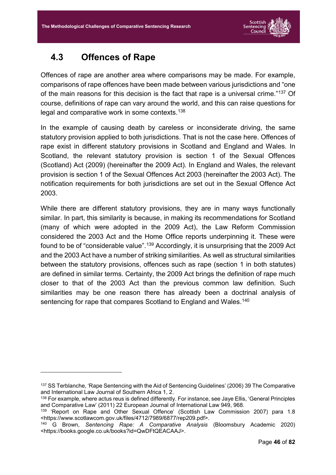

#### **4.3 Offences of Rape**

<u>.</u>

Offences of rape are another area where comparisons may be made. For example, comparisons of rape offences have been made between various jurisdictions and "one of the main reasons for this decision is the fact that rape is a universal crime."137 Of course, definitions of rape can vary around the world, and this can raise questions for legal and comparative work in some contexts. 138

In the example of causing death by careless or inconsiderate driving, the same statutory provision applied to both jurisdictions. That is not the case here. Offences of rape exist in different statutory provisions in Scotland and England and Wales. In Scotland, the relevant statutory provision is section 1 of the Sexual Offences (Scotland) Act (2009) (hereinafter the 2009 Act). In England and Wales, the relevant provision is section 1 of the Sexual Offences Act 2003 (hereinafter the 2003 Act). The notification requirements for both jurisdictions are set out in the Sexual Offence Act 2003.

While there are different statutory provisions, they are in many ways functionally similar. In part, this similarity is because, in making its recommendations for Scotland (many of which were adopted in the 2009 Act), the Law Reform Commission considered the 2003 Act and the Home Office reports underpinning it. These were found to be of "considerable value".<sup>139</sup> Accordingly, it is unsurprising that the 2009 Act and the 2003 Act have a number of striking similarities. As well as structural similarities between the statutory provisions, offences such as rape (section 1 in both statutes) are defined in similar terms. Certainty, the 2009 Act brings the definition of rape much closer to that of the 2003 Act than the previous common law definition. Such similarities may be one reason there has already been a doctrinal analysis of sentencing for rape that compares Scotland to England and Wales.<sup>140</sup>

<sup>137</sup> SS Terblanche, 'Rape Sentencing with the Aid of Sentencing Guidelines' (2006) 39 The Comparative and International Law Journal of Southern Africa 1, 2.

<sup>138</sup> For example, where actus reus is defined differently. For instance, see Jaye Ellis, 'General Principles and Comparative Law' (2011) 22 European Journal of International Law 949, 968.

<sup>&</sup>lt;sup>139</sup> 'Report on Rape and Other Sexual Offence' (Scottish Law Commission 2007) para 1.8 <https://www.scotlawcom.gov.uk/files/4712/7989/6877/rep209.pdf>.

<sup>140</sup> G Brown, *Sentencing Rape: A Comparative Analysis* (Bloomsbury Academic 2020) <https://books.google.co.uk/books?id=QwDFtQEACAAJ>.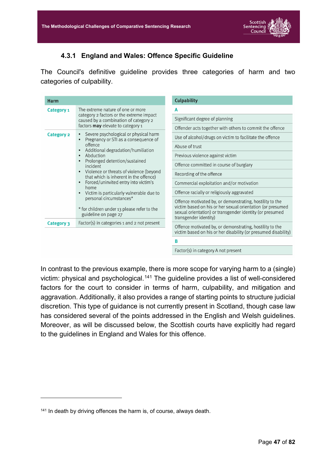

#### **4.3.1 England and Wales: Offence Specific Guideline**

The Council's definitive guideline provides three categories of harm and two categories of culpability.

| Harm              |                                                                                                                                                                                                                                                                                                                                                                                                                                                                          | <b>Culpability</b>                                                                                                                                                                                          |
|-------------------|--------------------------------------------------------------------------------------------------------------------------------------------------------------------------------------------------------------------------------------------------------------------------------------------------------------------------------------------------------------------------------------------------------------------------------------------------------------------------|-------------------------------------------------------------------------------------------------------------------------------------------------------------------------------------------------------------|
| Category 1        | The extreme nature of one or more                                                                                                                                                                                                                                                                                                                                                                                                                                        | A                                                                                                                                                                                                           |
|                   | category 2 factors or the extreme impact<br>caused by a combination of category 2<br>factors <b>may</b> elevate to category 1                                                                                                                                                                                                                                                                                                                                            | Significant degree of planning                                                                                                                                                                              |
|                   |                                                                                                                                                                                                                                                                                                                                                                                                                                                                          | Offender acts together with others to commit the offence                                                                                                                                                    |
| <b>Category 2</b> | Severe psychological or physical harm<br>$\bullet$<br>Pregnancy or STI as a consequence of                                                                                                                                                                                                                                                                                                                                                                               | Use of alcohol/drugs on victim to facilitate the offence                                                                                                                                                    |
|                   | offence<br>Additional degradation/humiliation<br>$\bullet$<br>Abduction<br>$\bullet$<br>Prolonged detention/sustained<br>$\bullet$<br>incident<br>Violence or threats of violence (beyond<br>$\bullet$<br>that which is inherent in the offence)<br>Forced/uninvited entry into victim's<br>$\bullet$<br>home<br>Victim is particularly vulnerable due to<br>$\bullet$<br>personal circumstances*<br>* for children under 13 please refer to the<br>guideline on page 27 | Abuse of trust                                                                                                                                                                                              |
|                   |                                                                                                                                                                                                                                                                                                                                                                                                                                                                          | Previous violence against victim                                                                                                                                                                            |
|                   |                                                                                                                                                                                                                                                                                                                                                                                                                                                                          | Offence committed in course of burglary                                                                                                                                                                     |
|                   |                                                                                                                                                                                                                                                                                                                                                                                                                                                                          | Recording of the offence                                                                                                                                                                                    |
|                   |                                                                                                                                                                                                                                                                                                                                                                                                                                                                          | Commercial exploitation and/or motivation                                                                                                                                                                   |
|                   |                                                                                                                                                                                                                                                                                                                                                                                                                                                                          | Offence racially or religiously aggravated                                                                                                                                                                  |
|                   |                                                                                                                                                                                                                                                                                                                                                                                                                                                                          | Offence motivated by, or demonstrating, hostility to the<br>victim based on his or her sexual orientation (or presumed<br>sexual orientation) or transgender identity (or presumed<br>transgender identity) |
| Category 3        | Factor(s) in categories 1 and 2 not present                                                                                                                                                                                                                                                                                                                                                                                                                              | Offence motivated by, or demonstrating, hostility to the                                                                                                                                                    |
|                   |                                                                                                                                                                                                                                                                                                                                                                                                                                                                          | victim based on his or her disability (or presumed disability)                                                                                                                                              |
|                   |                                                                                                                                                                                                                                                                                                                                                                                                                                                                          | В                                                                                                                                                                                                           |
|                   |                                                                                                                                                                                                                                                                                                                                                                                                                                                                          | Factor(s) in category A not present                                                                                                                                                                         |

In contrast to the previous example, there is more scope for varying harm to a (single) victim: physical and psychological.<sup>141</sup> The guideline provides a list of well-considered factors for the court to consider in terms of harm, culpability, and mitigation and aggravation. Additionally, it also provides a range of starting points to structure judicial discretion. This type of guidance is not currently present in Scotland, though case law has considered several of the points addressed in the English and Welsh guidelines. Moreover, as will be discussed below, the Scottish courts have explicitly had regard to the guidelines in England and Wales for this offence.

<sup>&</sup>lt;sup>141</sup> In death by driving offences the harm is, of course, always death.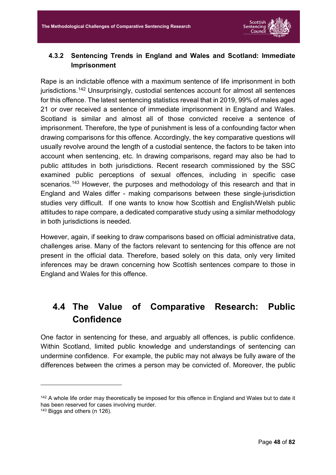

#### <span id="page-48-0"></span>**4.3.2 Sentencing Trends in England and Wales and Scotland: Immediate Imprisonment**

Rape is an indictable offence with a maximum sentence of life imprisonment in both jurisdictions. <sup>142</sup> Unsurprisingly, custodial sentences account for almost all sentences for this offence. The latest sentencing statistics reveal that in 2019, 99% of males aged 21 or over received a sentence of immediate imprisonment in England and Wales. Scotland is similar and almost all of those convicted receive a sentence of imprisonment. Therefore, the type of punishment is less of a confounding factor when drawing comparisons for this offence. Accordingly, the key comparative questions will usually revolve around the length of a custodial sentence, the factors to be taken into account when sentencing, etc. In drawing comparisons, regard may also be had to public attitudes in both jurisdictions. Recent research commissioned by the SSC examined public perceptions of sexual offences, including in specific case scenarios.<sup>143</sup> However, the purposes and methodology of this research and that in England and Wales differ - making comparisons between these single-jurisdiction studies very difficult. If one wants to know how Scottish and English/Welsh public attitudes to rape compare, a dedicated comparative study using a similar methodology in both jurisdictions is needed.

However, again, if seeking to draw comparisons based on official administrative data, challenges arise. Many of the factors relevant to sentencing for this offence are not present in the official data. Therefore, based solely on this data, only very limited inferences may be drawn concerning how Scottish sentences compare to those in England and Wales for this offence.

### **4.4 The Value of Comparative Research: Public Confidence**

One factor in sentencing for these, and arguably all offences, is public confidence. Within Scotland, limited public knowledge and understandings of sentencing can undermine confidence. For example, the public may not always be fully aware of the differences between the crimes a person may be convicted of. Moreover, the public

<u>.</u>

<sup>&</sup>lt;sup>142</sup> A whole life order may theoretically be imposed for this offence in England and Wales but to date it has been reserved for cases involving murder.

<sup>143</sup> Biggs and others (n 126).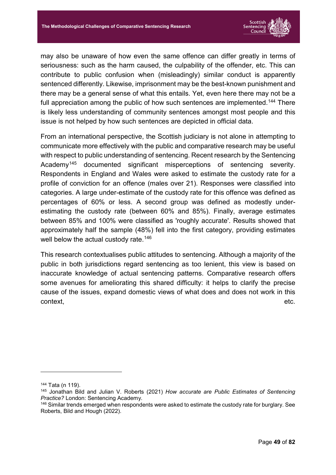

may also be unaware of how even the same offence can differ greatly in terms of seriousness: such as the harm caused, the culpability of the offender, etc. This can contribute to public confusion when (misleadingly) similar conduct is apparently sentenced differently. Likewise, imprisonment may be the best-known punishment and there may be a general sense of what this entails. Yet, even here there may not be a full appreciation among the public of how such sentences are implemented.<sup>144</sup> There is likely less understanding of community sentences amongst most people and this issue is not helped by how such sentences are depicted in official data.

From an international perspective, the Scottish judiciary is not alone in attempting to communicate more effectively with the public and comparative research may be useful with respect to public understanding of sentencing. Recent research by the Sentencing Academy<sup>145</sup> documented significant misperceptions of sentencing severity. Respondents in England and Wales were asked to estimate the custody rate for a profile of conviction for an offence (males over 21). Responses were classified into categories. A large under-estimate of the custody rate for this offence was defined as percentages of 60% or less. A second group was defined as modestly underestimating the custody rate (between 60% and 85%). Finally, average estimates between 85% and 100% were classified as 'roughly accurate'. Results showed that approximately half the sample (48%) fell into the first category, providing estimates well below the actual custody rate.<sup>146</sup>

This research contextualises public attitudes to sentencing. Although a majority of the public in both jurisdictions regard sentencing as too lenient, this view is based on inaccurate knowledge of actual sentencing patterns. Comparative research offers some avenues for ameliorating this shared difficulty: it helps to clarify the precise cause of the issues, expand domestic views of what does and does not work in this  $\blacksquare$ context,  $\blacksquare$ 

<sup>144</sup> Tata (n 119).

<sup>145</sup> Jonathan Bild and Julian V. Roberts (2021) *How accurate are Public Estimates of Sentencing Practice?* London: Sentencing Academy.

<sup>&</sup>lt;sup>146</sup> Similar trends emerged when respondents were asked to estimate the custody rate for burglary. See Roberts, Bild and Hough (2022).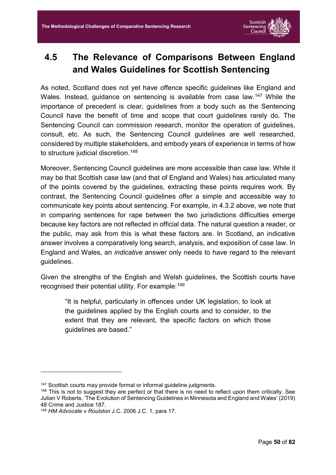

## <span id="page-50-0"></span>**4.5 The Relevance of Comparisons Between England and Wales Guidelines for Scottish Sentencing**

As noted, Scotland does not yet have offence specific guidelines like England and Wales. Instead, guidance on sentencing is available from case law.<sup>147</sup> While the importance of precedent is clear, guidelines from a body such as the Sentencing Council have the benefit of time and scope that court guidelines rarely do. The Sentencing Council can commission research, monitor the operation of guidelines, consult, etc. As such, the Sentencing Council guidelines are well researched, considered by multiple stakeholders, and embody years of experience in terms of how to structure judicial discretion. 148

Moreover, Sentencing Council guidelines are more accessible than case law. While it may be that Scottish case law (and that of England and Wales) has articulated many of the points covered by the guidelines, extracting these points requires work. By contrast, the Sentencing Council guidelines offer a simple and accessible way to communicate key points about sentencing. For example, in [4.3.2](#page-48-0) above, we note that in comparing sentences for rape between the two jurisdictions difficulties emerge because key factors are not reflected in official data. The natural question a reader, or the public, may ask from this is what these factors are. In Scotland, an indicative answer involves a comparatively long search, analysis, and exposition of case law. In England and Wales, an *indicative* answer only needs to have regard to the relevant guidelines.

Given the strengths of the English and Welsh guidelines, the Scottish courts have recognised their potential utility. For example: 149

"It is helpful, particularly in offences under UK legislation, to look at the guidelines applied by the English courts and to consider, to the extent that they are relevant, the specific factors on which those guidelines are based."

<sup>&</sup>lt;sup>147</sup> Scottish courts may provide formal or informal guideline judgments.

<sup>&</sup>lt;sup>148</sup> This is not to suggest they are perfect or that there is no need to reflect upon them critically. See Julian V Roberts, 'The Evolution of Sentencing Guidelines in Minnesota and England and Wales' (2019) 48 Crime and Justice 187.

<sup>149</sup> *HM Advocate v Roulston* J.C. 2006 J.C. 1, para 17.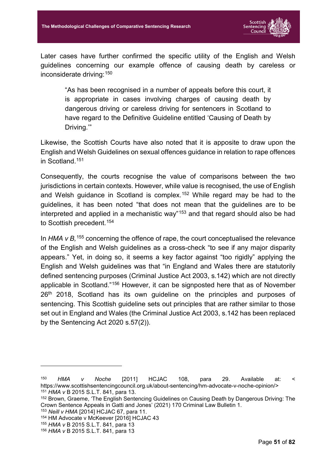

Later cases have further confirmed the specific utility of the English and Welsh guidelines concerning our example offence of causing death by careless or inconsiderate driving: 150

"As has been recognised in a number of appeals before this court, it is appropriate in cases involving charges of causing death by dangerous driving or careless driving for sentencers in Scotland to have regard to the Definitive Guideline entitled 'Causing of Death by Driving.'"

Likewise, the Scottish Courts have also noted that it is apposite to draw upon the English and Welsh Guidelines on sexual offences guidance in relation to rape offences in Scotland. 151

Consequently, the courts recognise the value of comparisons between the two jurisdictions in certain contexts. However, while value is recognised, the use of English and Welsh guidance in Scotland is complex.<sup>152</sup> While regard may be had to the guidelines, it has been noted "that does not mean that the guidelines are to be interpreted and applied in a mechanistic way"<sup>153</sup> and that regard should also be had to Scottish precedent.<sup>154</sup>

In HMA v B, <sup>155</sup> concerning the offence of rape, the court conceptualised the relevance of the English and Welsh guidelines as a cross-check "to see if any major disparity appears." Yet, in doing so, it seems a key factor against "too rigidly" applying the English and Welsh guidelines was that "in England and Wales there are statutorily defined sentencing purposes (Criminal Justice Act 2003, s.142) which are not directly applicable in Scotland."156 However, it can be signposted here that as of November 26<sup>th</sup> 2018, Scotland has its own quideline on the principles and purposes of sentencing. This Scottish guideline sets out principles that are rather similar to those set out in England and Wales (the Criminal Justice Act 2003, s.142 has been replaced by the Sentencing Act 2020 s.57(2)).

<sup>150</sup> *HMA v Noche* [2011] HCJAC 108, para 29. Available at: < https://www.scottishsentencingcouncil.org.uk/about-sentencing/hm-advocate-v-noche-opinion/> <sup>151</sup> *HMA v* B 2015 S.L.T. 841, para 13.

<sup>152</sup> Brown, Graeme, 'The English Sentencing Guidelines on Causing Death by Dangerous Driving: The Crown Sentence Appeals in Gatti and Jones' (2021) 170 Criminal Law Bulletin 1.

<sup>153</sup> *Neill v HMA* [2014] HCJAC 67, para 11.

<sup>154</sup> HM Advocate v McKeever [2016] HCJAC 43

<sup>155</sup> *HMA v* B 2015 S.L.T. 841, para 13

<sup>156</sup> *HMA v* B 2015 S.L.T. 841, para 13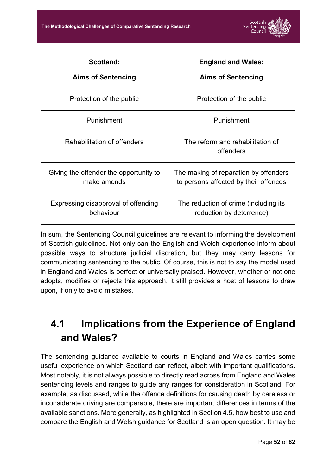

| Scotland:                              | <b>England and Wales:</b>                     |
|----------------------------------------|-----------------------------------------------|
| <b>Aims of Sentencing</b>              | <b>Aims of Sentencing</b>                     |
| Protection of the public               | Protection of the public                      |
| Punishment                             | Punishment                                    |
| Rehabilitation of offenders            | The reform and rehabilitation of<br>offenders |
| Giving the offender the opportunity to | The making of reparation by offenders         |
| make amends                            | to persons affected by their offences         |
| Expressing disapproval of offending    | The reduction of crime (including its         |
| behaviour                              | reduction by deterrence)                      |

In sum, the Sentencing Council guidelines are relevant to informing the development of Scottish guidelines. Not only can the English and Welsh experience inform about possible ways to structure judicial discretion, but they may carry lessons for communicating sentencing to the public. Of course, this is not to say the model used in England and Wales is perfect or universally praised. However, whether or not one adopts, modifies or rejects this approach, it still provides a host of lessons to draw upon, if only to avoid mistakes.

# **4.1 Implications from the Experience of England and Wales?**

The sentencing guidance available to courts in England and Wales carries some useful experience on which Scotland can reflect, albeit with important qualifications. Most notably, it is not always possible to directly read across from England and Wales sentencing levels and ranges to guide any ranges for consideration in Scotland. For example, as discussed, while the offence definitions for causing death by careless or inconsiderate driving are comparable, there are important differences in terms of the available sanctions. More generally, as highlighted in Section [4.5,](#page-50-0) how best to use and compare the English and Welsh guidance for Scotland is an open question. It may be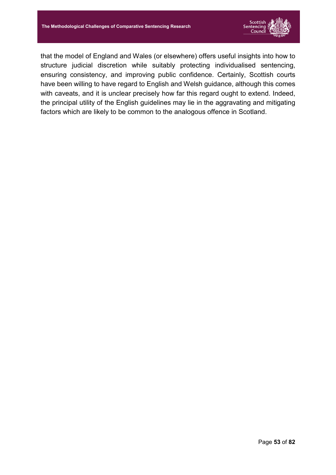

that the model of England and Wales (or elsewhere) offers useful insights into how to structure judicial discretion while suitably protecting individualised sentencing, ensuring consistency, and improving public confidence. Certainly, Scottish courts have been willing to have regard to English and Welsh guidance, although this comes with caveats, and it is unclear precisely how far this regard ought to extend. Indeed, the principal utility of the English guidelines may lie in the aggravating and mitigating factors which are likely to be common to the analogous offence in Scotland.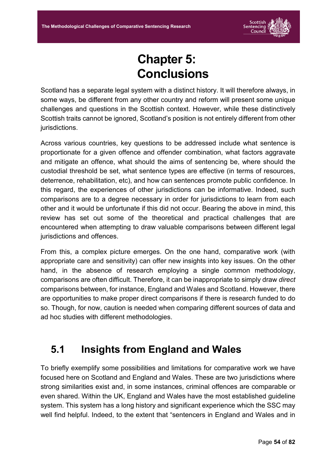

# **Chapter 5: Conclusions**

Scotland has a separate legal system with a distinct history. It will therefore always, in some ways, be different from any other country and reform will present some unique challenges and questions in the Scottish context. However, while these distinctively Scottish traits cannot be ignored, Scotland's position is not entirely different from other jurisdictions.

Across various countries, key questions to be addressed include what sentence is proportionate for a given offence and offender combination, what factors aggravate and mitigate an offence, what should the aims of sentencing be, where should the custodial threshold be set, what sentence types are effective (in terms of resources, deterrence, rehabilitation, etc), and how can sentences promote public confidence. In this regard, the experiences of other jurisdictions can be informative. Indeed, such comparisons are to a degree necessary in order for jurisdictions to learn from each other and it would be unfortunate if this did not occur. Bearing the above in mind, this review has set out some of the theoretical and practical challenges that are encountered when attempting to draw valuable comparisons between different legal jurisdictions and offences.

From this, a complex picture emerges. On the one hand, comparative work (with appropriate care and sensitivity) can offer new insights into key issues. On the other hand, in the absence of research employing a single common methodology, comparisons are often difficult. Therefore, it can be inappropriate to simply draw *direct* comparisons between, for instance, England and Wales and Scotland. However, there are opportunities to make proper direct comparisons if there is research funded to do so. Though, for now, caution is needed when comparing different sources of data and ad hoc studies with different methodologies.

## **5.1 Insights from England and Wales**

To briefly exemplify some possibilities and limitations for comparative work we have focused here on Scotland and England and Wales. These are two jurisdictions where strong similarities exist and, in some instances, criminal offences are comparable or even shared. Within the UK, England and Wales have the most established guideline system. This system has a long history and significant experience which the SSC may well find helpful. Indeed, to the extent that "sentencers in England and Wales and in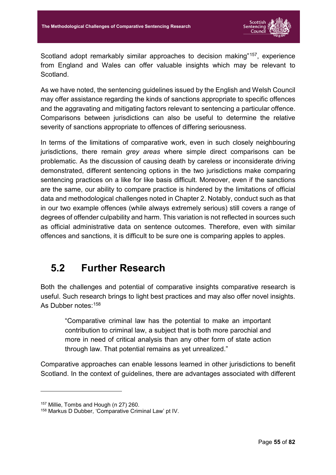

Scotland adopt remarkably similar approaches to decision making"157, experience from England and Wales can offer valuable insights which may be relevant to **Scotland** 

As we have noted, the sentencing guidelines issued by the English and Welsh Council may offer assistance regarding the kinds of sanctions appropriate to specific offences and the aggravating and mitigating factors relevant to sentencing a particular offence. Comparisons between jurisdictions can also be useful to determine the relative severity of sanctions appropriate to offences of differing seriousness.

In terms of the limitations of comparative work, even in such closely neighbouring jurisdictions, there remain *grey areas* where simple direct comparisons can be problematic. As the discussion of causing death by careless or inconsiderate driving demonstrated, different sentencing options in the two jurisdictions make comparing sentencing practices on a like for like basis difficult. Moreover, even if the sanctions are the same, our ability to compare practice is hindered by the limitations of official data and methodological challenges noted in Chapter 2. Notably, conduct such as that in our two example offences (while always extremely serious) still covers a range of degrees of offender culpability and harm. This variation is not reflected in sources such as official administrative data on sentence outcomes. Therefore, even with similar offences and sanctions, it is difficult to be sure one is comparing apples to apples.

#### **5.2 Further Research**

Both the challenges and potential of comparative insights comparative research is useful. Such research brings to light best practices and may also offer novel insights. As Dubber notes: 158

"Comparative criminal law has the potential to make an important contribution to criminal law, a subject that is both more parochial and more in need of critical analysis than any other form of state action through law. That potential remains as yet unrealized."

Comparative approaches can enable lessons learned in other jurisdictions to benefit Scotland. In the context of guidelines, there are advantages associated with different

<sup>157</sup> Millie, Tombs and Hough (n 27) 260.

<sup>158</sup> Markus D Dubber, 'Comparative Criminal Law' pt IV.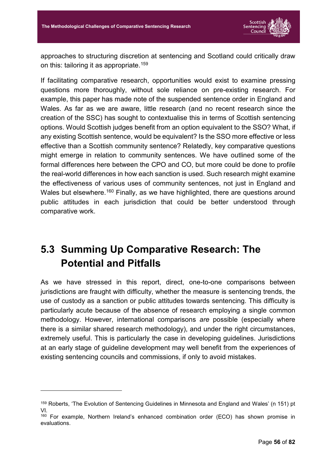

approaches to structuring discretion at sentencing and Scotland could critically draw on this: tailoring it as appropriate. 159

If facilitating comparative research, opportunities would exist to examine pressing questions more thoroughly, without sole reliance on pre-existing research. For example, this paper has made note of the suspended sentence order in England and Wales. As far as we are aware, little research (and no recent research since the creation of the SSC) has sought to contextualise this in terms of Scottish sentencing options. Would Scottish judges benefit from an option equivalent to the SSO? What, if any existing Scottish sentence, would be equivalent? Is the SSO more effective or less effective than a Scottish community sentence? Relatedly, key comparative questions might emerge in relation to community sentences. We have outlined some of the formal differences here between the CPO and CO, but more could be done to profile the real-world differences in how each sanction is used. Such research might examine the effectiveness of various uses of community sentences, not just in England and Wales but elsewhere.<sup>160</sup> Finally, as we have highlighted, there are questions around public attitudes in each jurisdiction that could be better understood through comparative work.

## **5.3 Summing Up Comparative Research: The Potential and Pitfalls**

As we have stressed in this report, direct, one-to-one comparisons between jurisdictions are fraught with difficulty, whether the measure is sentencing trends, the use of custody as a sanction or public attitudes towards sentencing. This difficulty is particularly acute because of the absence of research employing a single common methodology. However, international comparisons *are* possible (especially where there is a similar shared research methodology), and under the right circumstances, extremely useful. This is particularly the case in developing guidelines. Jurisdictions at an early stage of guideline development may well benefit from the experiences of existing sentencing councils and commissions, if only to avoid mistakes.

<sup>159</sup> Roberts, 'The Evolution of Sentencing Guidelines in Minnesota and England and Wales' (n 151) pt VI.

<sup>160</sup> For example, Northern Ireland's enhanced combination order (ECO) has shown promise in evaluations.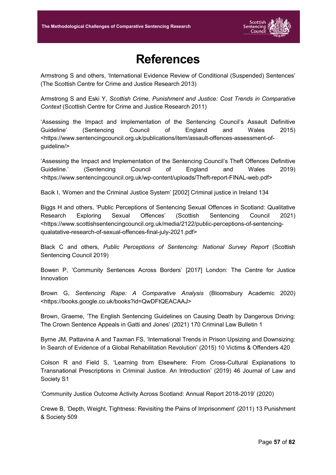

## **References**

Armstrong S and others, 'International Evidence Review of Conditional (Suspended) Sentences' (The Scottish Centre for Crime and Justice Research 2013)

Armstrong S and Eski Y, *Scottish Crime, Punishment and Justice: Cost Trends in Comparative Context* (Scottish Centre for Crime and Justice Research 2011)

'Assessing the Impact and Implementation of the Sentencing Council's Assault Definitive Guideline' (Sentencing Council of England and Wales 2015) <https://www.sentencingcouncil.org.uk/publications/item/assault-offences-assessment-ofguideline/>

'Assessing the Impact and Implementation of the Sentencing Council's Theft Offences Definitive Guideline.' (Sentencing Council of England and Wales 2019) <https://www.sentencingcouncil.org.uk/wp-content/uploads/Theft-report-FINAL-web.pdf>

Bacik I, 'Women and the Criminal Justice System' [2002] Criminal justice in Ireland 134

Biggs H and others, 'Public Perceptions of Sentencing Sexual Offences in Scotland: Qualitative Research Exploring Sexual Offences' (Scottish Sentencing Council 2021) <https://www.scottishsentencingcouncil.org.uk/media/2122/public-perceptions-of-sentencingqualatative-research-of-sexual-offences-final-july-2021.pdf>

Black C and others, *Public Perceptions of Sentencing: National Survey Report* (Scottish Sentencing Council 2019)

Bowen P, 'Community Sentences Across Borders' [2017] London: The Centre for Justice Innovation

Brown G, *Sentencing Rape: A Comparative Analysis* (Bloomsbury Academic 2020) <https://books.google.co.uk/books?id=QwDFtQEACAAJ>

Brown, Graeme, 'The English Sentencing Guidelines on Causing Death by Dangerous Driving: The Crown Sentence Appeals in Gatti and Jones' (2021) 170 Criminal Law Bulletin 1

Byrne JM, Pattavina A and Taxman FS, 'International Trends in Prison Upsizing and Downsizing: In Search of Evidence of a Global Rehabilitation Revolution' (2015) 10 Victims & Offenders 420

Colson R and Field S, 'Learning from Elsewhere: From Cross-Cultural Explanations to Transnational Prescriptions in Criminal Justice. An Introduction' (2019) 46 Journal of Law and Society S1

'Community Justice Outcome Activity Across Scotland: Annual Report 2018-2019' (2020)

Crewe B, 'Depth, Weight, Tightness: Revisiting the Pains of Imprisonment' (2011) 13 Punishment & Society 509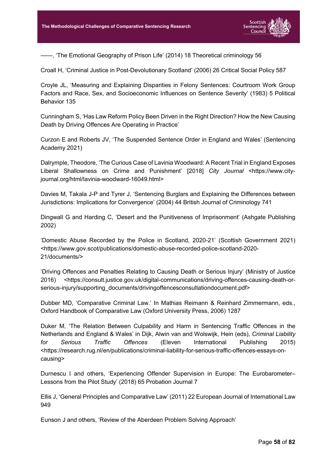

——, 'The Emotional Geography of Prison Life' (2014) 18 Theoretical criminology 56

Croall H, 'Criminal Justice in Post-Devolutionary Scotland' (2006) 26 Critical Social Policy 587

Croyle JL, 'Measuring and Explaining Disparities in Felony Sentences: Courtroom Work Group Factors and Race, Sex, and Socioeconomic Influences on Sentence Severity' (1983) 5 Political Behavior 135

Cunningham S, 'Has Law Reform Policy Been Driven in the Right Direction? How the New Causing Death by Driving Offences Are Operating in Practice'

Curzon E and Roberts JV, 'The Suspended Sentence Order in England and Wales' (Sentencing Academy 2021)

Dalrymple, Theodore, 'The Curious Case of Lavinia Woodward: A Recent Trial in England Exposes Liberal Shallowness on Crime and Punishment' [2018] *City Journal* <https://www.cityjournal.org/html/lavinia-woodward-16049.html>

Davies M, Takala J-P and Tyrer J, 'Sentencing Burglars and Explaining the Differences between Jurisdictions: Implications for Convergence' (2004) 44 British Journal of Criminology 741

Dingwall G and Harding C, 'Desert and the Punitiveness of Imprisonment' (Ashgate Publishing 2002)

'Domestic Abuse Recorded by the Police in Scotland, 2020-21' (Scottish Government 2021) <https://www.gov.scot/publications/domestic-abuse-recorded-police-scotland-2020- 21/documents/>

'Driving Offences and Penalties Relating to Causing Death or Serious Injury' (Ministry of Justice 2016) <https://consult.justice.gov.uk/digital-communications/driving-offences-causing-death-orserious-injury/supporting\_documents/drivingoffencesconsultationdocument.pdf>

Dubber MD, 'Comparative Criminal Law.' In Mathias Reimann & Reinhard Zimmermann, eds., Oxford Handbook of Comparative Law (Oxford University Press, 2006) 1287

Duker M, 'The Relation Between Culpability and Harm in Sentencing Traffic Offences in the Netherlands and England & Wales' in Dijk, Alwin van and Wolswijk, Hein (eds), *Criminal Liability for Serious Traffic Offences* (Eleven International Publishing 2015) <https://research.rug.nl/en/publications/criminal-liability-for-serious-traffic-offences-essays-oncausing>

Durnescu I and others, 'Experiencing Offender Supervision in Europe: The Eurobarometer– Lessons from the Pilot Study' (2018) 65 Probation Journal 7

Ellis J, 'General Principles and Comparative Law' (2011) 22 European Journal of International Law 949

Eunson J and others, 'Review of the Aberdeen Problem Solving Approach'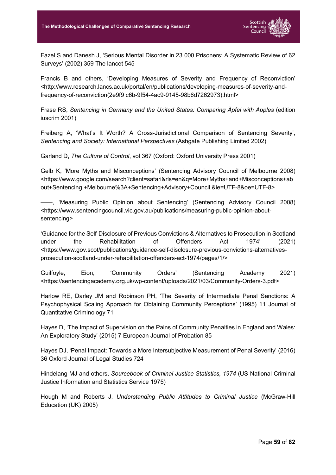

Fazel S and Danesh J, 'Serious Mental Disorder in 23 000 Prisoners: A Systematic Review of 62 Surveys' (2002) 359 The lancet 545

Francis B and others, 'Developing Measures of Severity and Frequency of Reconviction' <http://www.research.lancs.ac.uk/portal/en/publications/developing-measures-of-severity-andfrequency-of-reconviction(2e9f9 c6b-9f54-4ac9-9145-98b6d7262973).html>

Frase RS, *Sentencing in Germany and the United States: Comparing Äpfel with Apples* (edition iuscrim 2001)

Freiberg A, 'What's It Worth? A Cross-Jurisdictional Comparison of Sentencing Severity', *Sentencing and Society: International Perspectives* (Ashgate Publishing Limited 2002)

Garland D, *The Culture of Control*, vol 367 (Oxford: Oxford University Press 2001)

Gelb K, 'More Myths and Misconceptions' (Sentencing Advisory Council of Melbourne 2008) <https://www.google.com/search?client=safari&rls=en&q=More+Myths+and+Misconceptions+ab out+Sentencing.+Melbourne%3A+Sentencing+Advisory+Council.&ie=UTF-8&oe=UTF-8>

——, 'Measuring Public Opinion about Sentencing' (Sentencing Advisory Council 2008) <https://www.sentencingcouncil.vic.gov.au/publications/measuring-public-opinion-aboutsentencing>

'Guidance for the Self-Disclosure of Previous Convictions & Alternatives to Prosecution in Scotland under the Rehabilitation of Offenders Act 1974' (2021) <https://www.gov.scot/publications/guidance-self-disclosure-previous-convictions-alternativesprosecution-scotland-under-rehabilitation-offenders-act-1974/pages/1/>

Guilfoyle, Eion, 'Community Orders' (Sentencing Academy 2021) <https://sentencingacademy.org.uk/wp-content/uploads/2021/03/Community-Orders-3.pdf>

Harlow RE, Darley JM and Robinson PH, 'The Severity of Intermediate Penal Sanctions: A Psychophysical Scaling Approach for Obtaining Community Perceptions' (1995) 11 Journal of Quantitative Criminology 71

Hayes D, 'The Impact of Supervision on the Pains of Community Penalties in England and Wales: An Exploratory Study' (2015) 7 European Journal of Probation 85

Hayes DJ, 'Penal Impact: Towards a More Intersubjective Measurement of Penal Severity' (2016) 36 Oxford Journal of Legal Studies 724

Hindelang MJ and others, *Sourcebook of Criminal Justice Statistics, 1974* (US National Criminal Justice Information and Statistics Service 1975)

Hough M and Roberts J, *Understanding Public Attitudes to Criminal Justice* (McGraw-Hill Education (UK) 2005)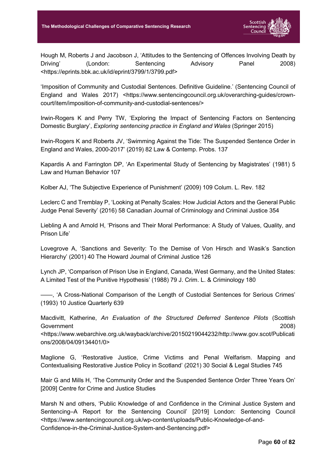

Hough M, Roberts J and Jacobson J, 'Attitudes to the Sentencing of Offences Involving Death by Driving' (London: Sentencing Advisory Panel 2008) <https://eprints.bbk.ac.uk/id/eprint/3799/1/3799.pdf>

'Imposition of Community and Custodial Sentences. Definitive Guideline.' (Sentencing Council of England and Wales 2017) <https://www.sentencingcouncil.org.uk/overarching-guides/crowncourt/item/imposition-of-community-and-custodial-sentences/>

Irwin-Rogers K and Perry TW, 'Exploring the Impact of Sentencing Factors on Sentencing Domestic Burglary', *Exploring sentencing practice in England and Wales* (Springer 2015)

Irwin-Rogers K and Roberts JV, 'Swimming Against the Tide: The Suspended Sentence Order in England and Wales, 2000-2017' (2019) 82 Law & Contemp. Probs. 137

Kapardis A and Farrington DP, 'An Experimental Study of Sentencing by Magistrates' (1981) 5 Law and Human Behavior 107

Kolber AJ, 'The Subjective Experience of Punishment' (2009) 109 Colum. L. Rev. 182

Leclerc C and Tremblay P, 'Looking at Penalty Scales: How Judicial Actors and the General Public Judge Penal Severity' (2016) 58 Canadian Journal of Criminology and Criminal Justice 354

Liebling A and Arnold H, 'Prisons and Their Moral Performance: A Study of Values, Quality, and Prison Life'

Lovegrove A, 'Sanctions and Severity: To the Demise of Von Hirsch and Wasik's Sanction Hierarchy' (2001) 40 The Howard Journal of Criminal Justice 126

Lynch JP, 'Comparison of Prison Use in England, Canada, West Germany, and the United States: A Limited Test of the Punitive Hypothesis' (1988) 79 J. Crim. L. & Criminology 180

——, 'A Cross-National Comparison of the Length of Custodial Sentences for Serious Crimes' (1993) 10 Justice Quarterly 639

Macdivitt, Katherine, *An Evaluation of the Structured Deferred Sentence Pilots* (Scottish Government 2008)

<https://www.webarchive.org.uk/wayback/archive/20150219044232/http://www.gov.scot/Publicati ons/2008/04/09134401/0>

Maglione G, 'Restorative Justice, Crime Victims and Penal Welfarism. Mapping and Contextualising Restorative Justice Policy in Scotland' (2021) 30 Social & Legal Studies 745

Mair G and Mills H, 'The Community Order and the Suspended Sentence Order Three Years On' [2009] Centre for Crime and Justice Studies

Marsh N and others, 'Public Knowledge of and Confidence in the Criminal Justice System and Sentencing–A Report for the Sentencing Council' [2019] London: Sentencing Council <https://www.sentencingcouncil.org.uk/wp-content/uploads/Public-Knowledge-of-and-Confidence-in-the-Criminal-Justice-System-and-Sentencing.pdf>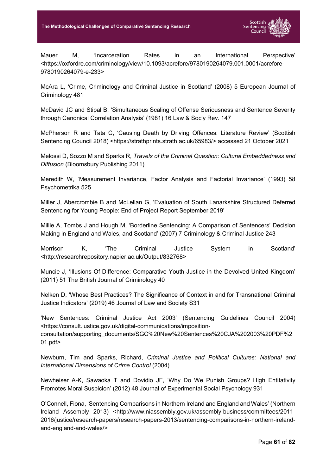

Mauer M, 'Incarceration Rates in an International Perspective' <https://oxfordre.com/criminology/view/10.1093/acrefore/9780190264079.001.0001/acrefore-9780190264079-e-233>

McAra L, 'Crime, Criminology and Criminal Justice in Scotland' (2008) 5 European Journal of Criminology 481

McDavid JC and Stipal B, 'Simultaneous Scaling of Offense Seriousness and Sentence Severity through Canonical Correlation Analysis' (1981) 16 Law & Soc'y Rev. 147

McPherson R and Tata C, 'Causing Death by Driving Offences: Literature Review' (Scottish Sentencing Council 2018) <https://strathprints.strath.ac.uk/65983/> accessed 21 October 2021

Melossi D, Sozzo M and Sparks R, *Travels of the Criminal Question: Cultural Embeddedness and Diffusion* (Bloomsbury Publishing 2011)

Meredith W, 'Measurement Invariance, Factor Analysis and Factorial Invariance' (1993) 58 Psychometrika 525

Miller J, Abercrombie B and McLellan G, 'Evaluation of South Lanarkshire Structured Deferred Sentencing for Young People: End of Project Report September 2019'

Millie A, Tombs J and Hough M, 'Borderline Sentencing: A Comparison of Sentencers' Decision Making in England and Wales, and Scotland' (2007) 7 Criminology & Criminal Justice 243

Morrison K, 'The Criminal Justice System in Scotland' <http://researchrepository.napier.ac.uk/Output/832768>

Muncie J, 'Illusions Of Difference: Comparative Youth Justice in the Devolved United Kingdom' (2011) 51 The British Journal of Criminology 40

Nelken D, 'Whose Best Practices? The Significance of Context in and for Transnational Criminal Justice Indicators' (2019) 46 Journal of Law and Society S31

'New Sentences: Criminal Justice Act 2003' (Sentencing Guidelines Council 2004) <https://consult.justice.gov.uk/digital-communications/impositionconsultation/supporting\_documents/SGC%20New%20Sentences%20CJA%202003%20PDF%2 01.pdf>

Newburn, Tim and Sparks, Richard, *Criminal Justice and Political Cultures: National and International Dimensions of Crime Control* (2004)

Newheiser A-K, Sawaoka T and Dovidio JF, 'Why Do We Punish Groups? High Entitativity Promotes Moral Suspicion' (2012) 48 Journal of Experimental Social Psychology 931

O'Connell, Fiona, 'Sentencing Comparisons in Northern Ireland and England and Wales' (Northern Ireland Assembly 2013) <http://www.niassembly.gov.uk/assembly-business/committees/2011- 2016/justice/research-papers/research-papers-2013/sentencing-comparisons-in-northern-irelandand-england-and-wales/>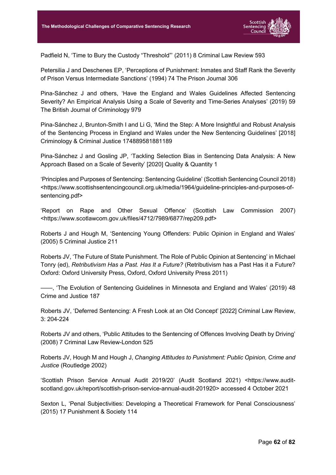

Padfield N, 'Time to Bury the Custody "Threshold"' (2011) 8 Criminal Law Review 593

Petersilia J and Deschenes EP, 'Perceptions of Punishment: Inmates and Staff Rank the Severity of Prison Versus Intermediate Sanctions' (1994) 74 The Prison Journal 306

Pina-Sánchez J and others, 'Have the England and Wales Guidelines Affected Sentencing Severity? An Empirical Analysis Using a Scale of Severity and Time-Series Analyses' (2019) 59 The British Journal of Criminology 979

Pina-Sánchez J, Brunton-Smith I and Li G, 'Mind the Step: A More Insightful and Robust Analysis of the Sentencing Process in England and Wales under the New Sentencing Guidelines' [2018] Criminology & Criminal Justice 174889581881189

Pina-Sánchez J and Gosling JP, 'Tackling Selection Bias in Sentencing Data Analysis: A New Approach Based on a Scale of Severity' [2020] Quality & Quantity 1

'Principles and Purposes of Sentencing: Sentencing Guideline' (Scottish Sentencing Council 2018) <https://www.scottishsentencingcouncil.org.uk/media/1964/guideline-principles-and-purposes-ofsentencing.pdf>

'Report on Rape and Other Sexual Offence' (Scottish Law Commission 2007) <https://www.scotlawcom.gov.uk/files/4712/7989/6877/rep209.pdf>

Roberts J and Hough M, 'Sentencing Young Offenders: Public Opinion in England and Wales' (2005) 5 Criminal Justice 211

Roberts JV, 'The Future of State Punishment. The Role of Public Opinion at Sentencing' in Michael Tonry (ed), *Retributivism Has a Past. Has It a Future?* (Retributivism has a Past Has it a Future? Oxford: Oxford University Press, Oxford, Oxford University Press 2011)

——, 'The Evolution of Sentencing Guidelines in Minnesota and England and Wales' (2019) 48 Crime and Justice 187

Roberts JV, 'Deferred Sentencing: A Fresh Look at an Old Concept' [2022] Criminal Law Review, 3: 204-224

Roberts JV and others, 'Public Attitudes to the Sentencing of Offences Involving Death by Driving' (2008) 7 Criminal Law Review-London 525

Roberts JV, Hough M and Hough J, *Changing Attitudes to Punishment: Public Opinion, Crime and Justice* (Routledge 2002)

'Scottish Prison Service Annual Audit 2019/20' (Audit Scotland 2021) <https://www.auditscotland.gov.uk/report/scottish-prison-service-annual-audit-201920> accessed 4 October 2021

Sexton L, 'Penal Subjectivities: Developing a Theoretical Framework for Penal Consciousness' (2015) 17 Punishment & Society 114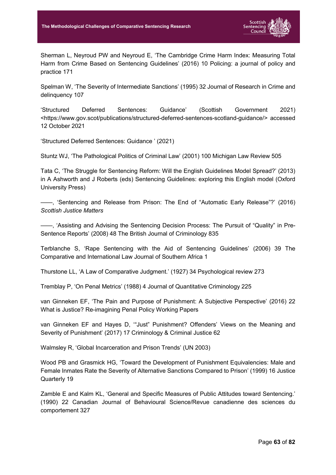

Sherman L, Neyroud PW and Neyroud E, 'The Cambridge Crime Harm Index: Measuring Total Harm from Crime Based on Sentencing Guidelines' (2016) 10 Policing: a journal of policy and practice 171

Spelman W, 'The Severity of Intermediate Sanctions' (1995) 32 Journal of Research in Crime and delinquency 107

'Structured Deferred Sentences: Guidance' (Scottish Government 2021) <https://www.gov.scot/publications/structured-deferred-sentences-scotland-guidance/> accessed 12 October 2021

'Structured Deferred Sentences: Guidance ' (2021)

Stuntz WJ, 'The Pathological Politics of Criminal Law' (2001) 100 Michigan Law Review 505

Tata C, 'The Struggle for Sentencing Reform: Will the English Guidelines Model Spread?' (2013) in A Ashworth and J Roberts (eds) Sentencing Guidelines: exploring this English model (Oxford University Press)

——, 'Sentencing and Release from Prison: The End of "Automatic Early Release"?' (2016) *Scottish Justice Matters*

——, 'Assisting and Advising the Sentencing Decision Process: The Pursuit of "Quality" in Pre-Sentence Reports' (2008) 48 The British Journal of Criminology 835

Terblanche S, 'Rape Sentencing with the Aid of Sentencing Guidelines' (2006) 39 The Comparative and International Law Journal of Southern Africa 1

Thurstone LL, 'A Law of Comparative Judgment.' (1927) 34 Psychological review 273

Tremblay P, 'On Penal Metrics' (1988) 4 Journal of Quantitative Criminology 225

van Ginneken EF, 'The Pain and Purpose of Punishment: A Subjective Perspective' (2016) 22 What is Justice? Re-imagining Penal Policy Working Papers

van Ginneken EF and Hayes D, '"Just" Punishment? Offenders' Views on the Meaning and Severity of Punishment' (2017) 17 Criminology & Criminal Justice 62

Walmsley R, 'Global Incarceration and Prison Trends' (UN 2003)

Wood PB and Grasmick HG, 'Toward the Development of Punishment Equivalencies: Male and Female Inmates Rate the Severity of Alternative Sanctions Compared to Prison' (1999) 16 Justice Quarterly 19

Zamble E and Kalm KL, 'General and Specific Measures of Public Attitudes toward Sentencing.' (1990) 22 Canadian Journal of Behavioural Science/Revue canadienne des sciences du comportement 327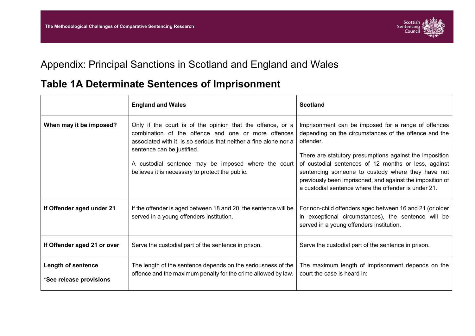

## Appendix: Principal Sanctions in Scotland and England and Wales

## **Table 1A Determinate Sentences of Imprisonment**

|                                                      | <b>England and Wales</b>                                                                                                                                                                                                                                                                                                       | <b>Scotland</b>                                                                                                                                                                                                                                                                                                                                                                                                        |
|------------------------------------------------------|--------------------------------------------------------------------------------------------------------------------------------------------------------------------------------------------------------------------------------------------------------------------------------------------------------------------------------|------------------------------------------------------------------------------------------------------------------------------------------------------------------------------------------------------------------------------------------------------------------------------------------------------------------------------------------------------------------------------------------------------------------------|
| When may it be imposed?                              | Only if the court is of the opinion that the offence, or a<br>combination of the offence and one or more offences<br>associated with it, is so serious that neither a fine alone nor a<br>sentence can be justified.<br>A custodial sentence may be imposed where the court<br>believes it is necessary to protect the public. | Imprisonment can be imposed for a range of offences<br>depending on the circumstances of the offence and the<br>offender.<br>There are statutory presumptions against the imposition<br>of custodial sentences of 12 months or less, against<br>sentencing someone to custody where they have not<br>previously been imprisoned, and against the imposition of<br>a custodial sentence where the offender is under 21. |
| If Offender aged under 21                            | If the offender is aged between 18 and 20, the sentence will be<br>served in a young offenders institution.                                                                                                                                                                                                                    | For non-child offenders aged between 16 and 21 (or older<br>in exceptional circumstances), the sentence will be<br>served in a young offenders institution.                                                                                                                                                                                                                                                            |
| If Offender aged 21 or over                          | Serve the custodial part of the sentence in prison.                                                                                                                                                                                                                                                                            | Serve the custodial part of the sentence in prison.                                                                                                                                                                                                                                                                                                                                                                    |
| <b>Length of sentence</b><br>*See release provisions | The length of the sentence depends on the seriousness of the<br>offence and the maximum penalty for the crime allowed by law.                                                                                                                                                                                                  | The maximum length of imprisonment depends on the<br>court the case is heard in:                                                                                                                                                                                                                                                                                                                                       |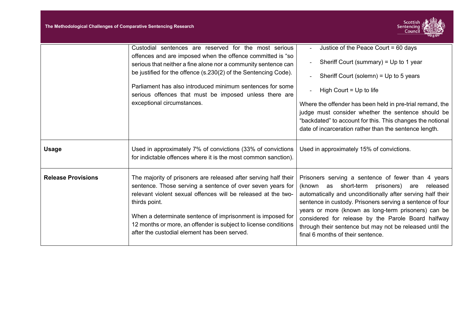

|                           | Custodial sentences are reserved for the most serious                                                                                                                                                                                                                                                                                                                                            | Justice of the Peace Court = 60 days                                                                                                                                                                                                                                                                                                                                                                                                                 |
|---------------------------|--------------------------------------------------------------------------------------------------------------------------------------------------------------------------------------------------------------------------------------------------------------------------------------------------------------------------------------------------------------------------------------------------|------------------------------------------------------------------------------------------------------------------------------------------------------------------------------------------------------------------------------------------------------------------------------------------------------------------------------------------------------------------------------------------------------------------------------------------------------|
|                           | offences and are imposed when the offence committed is "so<br>serious that neither a fine alone nor a community sentence can                                                                                                                                                                                                                                                                     | Sheriff Court (summary) = Up to 1 year                                                                                                                                                                                                                                                                                                                                                                                                               |
|                           | be justified for the offence (s.230(2) of the Sentencing Code).                                                                                                                                                                                                                                                                                                                                  | Sheriff Court (solemn) = $Up$ to 5 years                                                                                                                                                                                                                                                                                                                                                                                                             |
|                           | Parliament has also introduced minimum sentences for some<br>serious offences that must be imposed unless there are                                                                                                                                                                                                                                                                              | High Court = $Up$ to life                                                                                                                                                                                                                                                                                                                                                                                                                            |
|                           | exceptional circumstances.                                                                                                                                                                                                                                                                                                                                                                       | Where the offender has been held in pre-trial remand, the<br>judge must consider whether the sentence should be<br>"backdated" to account for this. This changes the notional<br>date of incarceration rather than the sentence length.                                                                                                                                                                                                              |
| <b>Usage</b>              | Used in approximately 7% of convictions (33% of convictions<br>for indictable offences where it is the most common sanction).                                                                                                                                                                                                                                                                    | Used in approximately 15% of convictions.                                                                                                                                                                                                                                                                                                                                                                                                            |
| <b>Release Provisions</b> | The majority of prisoners are released after serving half their<br>sentence. Those serving a sentence of over seven years for<br>relevant violent sexual offences will be released at the two-<br>thirds point.<br>When a determinate sentence of imprisonment is imposed for<br>12 months or more, an offender is subject to license conditions<br>after the custodial element has been served. | Prisoners serving a sentence of fewer than 4 years<br>as short-term prisoners)<br>released<br>(known<br>are<br>automatically and unconditionally after serving half their<br>sentence in custody. Prisoners serving a sentence of four<br>years or more (known as long-term prisoners) can be<br>considered for release by the Parole Board halfway<br>through their sentence but may not be released until the<br>final 6 months of their sentence. |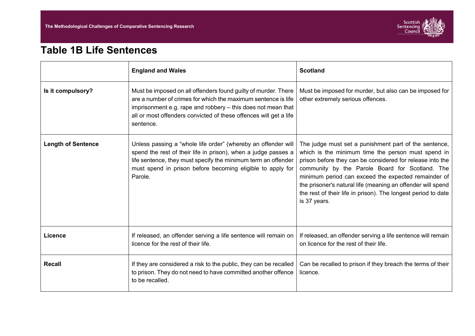

## **Table 1B Life Sentences**

|                           | <b>England and Wales</b>                                                                                                                                                                                                                                                          | <b>Scotland</b>                                                                                                                                                                                                                                                                                                                                                                                                                    |
|---------------------------|-----------------------------------------------------------------------------------------------------------------------------------------------------------------------------------------------------------------------------------------------------------------------------------|------------------------------------------------------------------------------------------------------------------------------------------------------------------------------------------------------------------------------------------------------------------------------------------------------------------------------------------------------------------------------------------------------------------------------------|
| Is it compulsory?         | Must be imposed on all offenders found guilty of murder. There<br>are a number of crimes for which the maximum sentence is life<br>imprisonment e.g. rape and robbery - this does not mean that<br>all or most offenders convicted of these offences will get a life<br>sentence. | Must be imposed for murder, but also can be imposed for<br>other extremely serious offences.                                                                                                                                                                                                                                                                                                                                       |
| <b>Length of Sentence</b> | Unless passing a "whole life order" (whereby an offender will<br>spend the rest of their life in prison), when a judge passes a<br>life sentence, they must specify the minimum term an offender<br>must spend in prison before becoming eligible to apply for<br>Parole.         | The judge must set a punishment part of the sentence,<br>which is the minimum time the person must spend in<br>prison before they can be considered for release into the<br>community by the Parole Board for Scotland. The<br>minimum period can exceed the expected remainder of<br>the prisoner's natural life (meaning an offender will spend<br>the rest of their life in prison). The longest period to date<br>is 37 years. |
| <b>Licence</b>            | If released, an offender serving a life sentence will remain on<br>licence for the rest of their life.                                                                                                                                                                            | If released, an offender serving a life sentence will remain<br>on licence for the rest of their life.                                                                                                                                                                                                                                                                                                                             |
| <b>Recall</b>             | If they are considered a risk to the public, they can be recalled<br>to prison. They do not need to have committed another offence<br>to be recalled.                                                                                                                             | Can be recalled to prison if they breach the terms of their<br>licence.                                                                                                                                                                                                                                                                                                                                                            |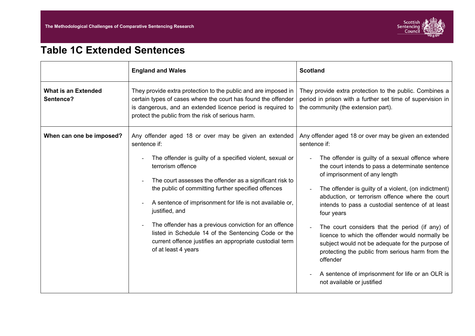

## **Table 1C Extended Sentences**

|                                         | <b>England and Wales</b>                                                                                                                                                                                                                                                                                                                                                                                                                                                                                                                                  | <b>Scotland</b>                                                                                                                                                                                                                                                                                                                                                                                                                                                                                                                                                                                                                                                                                         |
|-----------------------------------------|-----------------------------------------------------------------------------------------------------------------------------------------------------------------------------------------------------------------------------------------------------------------------------------------------------------------------------------------------------------------------------------------------------------------------------------------------------------------------------------------------------------------------------------------------------------|---------------------------------------------------------------------------------------------------------------------------------------------------------------------------------------------------------------------------------------------------------------------------------------------------------------------------------------------------------------------------------------------------------------------------------------------------------------------------------------------------------------------------------------------------------------------------------------------------------------------------------------------------------------------------------------------------------|
| <b>What is an Extended</b><br>Sentence? | They provide extra protection to the public and are imposed in<br>certain types of cases where the court has found the offender<br>is dangerous, and an extended licence period is required to<br>protect the public from the risk of serious harm.                                                                                                                                                                                                                                                                                                       | They provide extra protection to the public. Combines a<br>period in prison with a further set time of supervision in<br>the community (the extension part).                                                                                                                                                                                                                                                                                                                                                                                                                                                                                                                                            |
| When can one be imposed?                | Any offender aged 18 or over may be given an extended<br>sentence if:<br>The offender is guilty of a specified violent, sexual or<br>terrorism offence<br>The court assesses the offender as a significant risk to<br>the public of committing further specified offences<br>A sentence of imprisonment for life is not available or,<br>justified, and<br>The offender has a previous conviction for an offence<br>listed in Schedule 14 of the Sentencing Code or the<br>current offence justifies an appropriate custodial term<br>of at least 4 years | Any offender aged 18 or over may be given an extended<br>sentence if:<br>The offender is guilty of a sexual offence where<br>the court intends to pass a determinate sentence<br>of imprisonment of any length<br>The offender is guilty of a violent, (on indictment)<br>abduction, or terrorism offence where the court<br>intends to pass a custodial sentence of at least<br>four years<br>The court considers that the period (if any) of<br>licence to which the offender would normally be<br>subject would not be adequate for the purpose of<br>protecting the public from serious harm from the<br>offender<br>A sentence of imprisonment for life or an OLR is<br>not available or justified |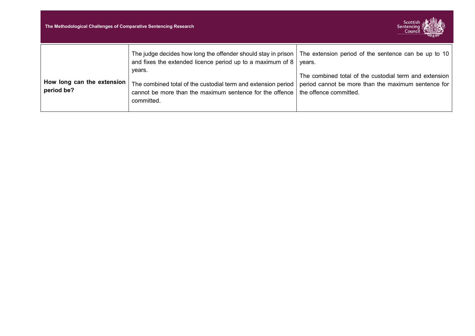| The Methodological Challenges of Comparative Sentencing Research |                                                                                                                                                                                                                                                                                                                                                       | Scottish<br><b>Sentencing</b><br>Council                                                                                                |
|------------------------------------------------------------------|-------------------------------------------------------------------------------------------------------------------------------------------------------------------------------------------------------------------------------------------------------------------------------------------------------------------------------------------------------|-----------------------------------------------------------------------------------------------------------------------------------------|
| How long can the extension<br>period be?                         | The judge decides how long the offender should stay in prison   The extension period of the sentence can be up to 10<br>and fixes the extended licence period up to a maximum of $8 \mid$ years.<br>years.<br>The combined total of the custodial term and extension period<br>cannot be more than the maximum sentence for the offence<br>committed. | The combined total of the custodial term and extension<br>period cannot be more than the maximum sentence for<br>the offence committed. |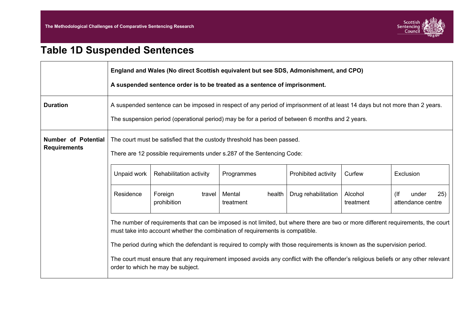

# **Table 1D Suspended Sentences**

|                                            | England and Wales (No direct Scottish equivalent but see SDS, Admonishment, and CPO)<br>A suspended sentence order is to be treated as a sentence of imprisonment.                                                |                                                                                                                                                                                                                                |                               |                     |                      |                                        |  |  |
|--------------------------------------------|-------------------------------------------------------------------------------------------------------------------------------------------------------------------------------------------------------------------|--------------------------------------------------------------------------------------------------------------------------------------------------------------------------------------------------------------------------------|-------------------------------|---------------------|----------------------|----------------------------------------|--|--|
| <b>Duration</b>                            |                                                                                                                                                                                                                   | A suspended sentence can be imposed in respect of any period of imprisonment of at least 14 days but not more than 2 years.<br>The suspension period (operational period) may be for a period of between 6 months and 2 years. |                               |                     |                      |                                        |  |  |
| Number of Potential<br><b>Requirements</b> |                                                                                                                                                                                                                   | The court must be satisfied that the custody threshold has been passed.<br>There are 12 possible requirements under s.287 of the Sentencing Code:                                                                              |                               |                     |                      |                                        |  |  |
|                                            | Unpaid work                                                                                                                                                                                                       | Rehabilitation activity                                                                                                                                                                                                        | Programmes                    | Prohibited activity | Curfew               | Exclusion                              |  |  |
|                                            | Residence                                                                                                                                                                                                         | Foreign<br>travel<br>prohibition                                                                                                                                                                                               | Mental<br>health<br>treatment | Drug rehabilitation | Alcohol<br>treatment | 25)<br>(<br>under<br>attendance centre |  |  |
|                                            | The number of requirements that can be imposed is not limited, but where there are two or more different requirements, the court<br>must take into account whether the combination of requirements is compatible. |                                                                                                                                                                                                                                |                               |                     |                      |                                        |  |  |
|                                            |                                                                                                                                                                                                                   | The period during which the defendant is required to comply with those requirements is known as the supervision period.                                                                                                        |                               |                     |                      |                                        |  |  |
|                                            |                                                                                                                                                                                                                   | The court must ensure that any requirement imposed avoids any conflict with the offender's religious beliefs or any other relevant<br>order to which he may be subject.                                                        |                               |                     |                      |                                        |  |  |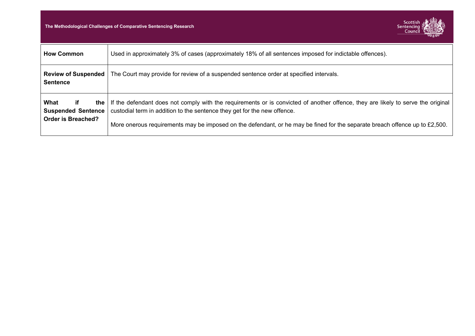**The Methodological Challenges of Comparative Sentencing Research** 



| <b>How Common</b>                                                            | Used in approximately 3% of cases (approximately 18% of all sentences imposed for indictable offences).                                                                                                                                                                                                                                     |
|------------------------------------------------------------------------------|---------------------------------------------------------------------------------------------------------------------------------------------------------------------------------------------------------------------------------------------------------------------------------------------------------------------------------------------|
| <b>Review of Suspended</b><br><b>Sentence</b>                                | The Court may provide for review of a suspended sentence order at specified intervals.                                                                                                                                                                                                                                                      |
| What<br>if.<br>the<br><b>Suspended Sentence</b><br><b>Order is Breached?</b> | If the defendant does not comply with the requirements or is convicted of another offence, they are likely to serve the original<br>custodial term in addition to the sentence they get for the new offence.<br>More onerous requirements may be imposed on the defendant, or he may be fined for the separate breach offence up to £2,500. |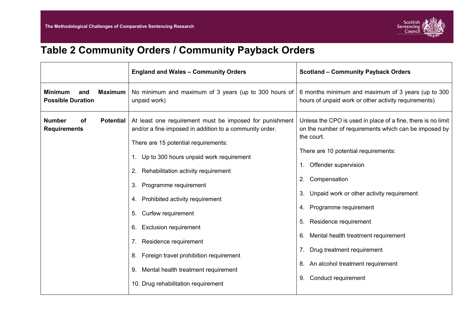

# **Table 2 Community Orders / Community Payback Orders**

|                                                                     | <b>England and Wales - Community Orders</b>                                                                                                                                                                                                                                                                                                                                                                                                                                                                                                                                    | <b>Scotland - Community Payback Orders</b>                                                                                                                                                                                                                                                                                                                                                                                                                                                         |
|---------------------------------------------------------------------|--------------------------------------------------------------------------------------------------------------------------------------------------------------------------------------------------------------------------------------------------------------------------------------------------------------------------------------------------------------------------------------------------------------------------------------------------------------------------------------------------------------------------------------------------------------------------------|----------------------------------------------------------------------------------------------------------------------------------------------------------------------------------------------------------------------------------------------------------------------------------------------------------------------------------------------------------------------------------------------------------------------------------------------------------------------------------------------------|
| <b>Maximum</b><br><b>Minimum</b><br>and<br><b>Possible Duration</b> | No minimum and maximum of 3 years (up to 300 hours of<br>unpaid work)                                                                                                                                                                                                                                                                                                                                                                                                                                                                                                          | 6 months minimum and maximum of 3 years (up to 300<br>hours of unpaid work or other activity requirements)                                                                                                                                                                                                                                                                                                                                                                                         |
| <b>Number</b><br>οf<br><b>Potential</b><br><b>Requirements</b>      | At least one requirement must be imposed for punishment<br>and/or a fine imposed in addition to a community order.<br>There are 15 potential requirements:<br>Up to 300 hours unpaid work requirement<br>$1_{\cdot}$<br>Rehabilitation activity requirement<br>2.<br>Programme requirement<br>3.<br>Prohibited activity requirement<br>4.<br>Curfew requirement<br>5.<br><b>Exclusion requirement</b><br>6.<br>Residence requirement<br>7.<br>Foreign travel prohibition requirement<br>8.<br>Mental health treatment requirement<br>9.<br>10. Drug rehabilitation requirement | Unless the CPO is used in place of a fine, there is no limit<br>on the number of requirements which can be imposed by<br>the court.<br>There are 10 potential requirements:<br>1. Offender supervision<br>Compensation<br>2.<br>Unpaid work or other activity requirement<br>3.<br>4. Programme requirement<br>Residence requirement<br>5.<br>Mental health treatment requirement<br>6.<br>Drug treatment requirement<br>7.<br>An alcohol treatment requirement<br>8.<br>Conduct requirement<br>9. |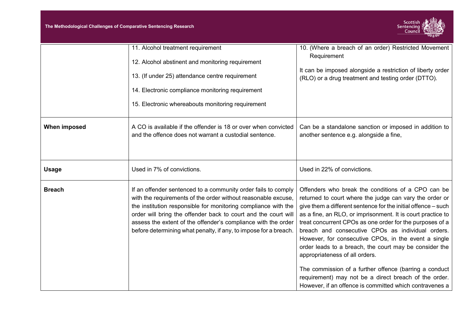

|               | 11. Alcohol treatment requirement<br>12. Alcohol abstinent and monitoring requirement<br>13. (If under 25) attendance centre requirement<br>14. Electronic compliance monitoring requirement<br>15. Electronic whereabouts monitoring requirement                                                                                                                                                       | 10. (Where a breach of an order) Restricted Movement<br>Requirement<br>It can be imposed alongside a restriction of liberty order<br>(RLO) or a drug treatment and testing order (DTTO).                                                                                                                                                                                                                                                                                                                                                                                                                                                                                                         |
|---------------|---------------------------------------------------------------------------------------------------------------------------------------------------------------------------------------------------------------------------------------------------------------------------------------------------------------------------------------------------------------------------------------------------------|--------------------------------------------------------------------------------------------------------------------------------------------------------------------------------------------------------------------------------------------------------------------------------------------------------------------------------------------------------------------------------------------------------------------------------------------------------------------------------------------------------------------------------------------------------------------------------------------------------------------------------------------------------------------------------------------------|
| When imposed  | A CO is available if the offender is 18 or over when convicted<br>and the offence does not warrant a custodial sentence.                                                                                                                                                                                                                                                                                | Can be a standalone sanction or imposed in addition to<br>another sentence e.g. alongside a fine,                                                                                                                                                                                                                                                                                                                                                                                                                                                                                                                                                                                                |
| <b>Usage</b>  | Used in 7% of convictions.                                                                                                                                                                                                                                                                                                                                                                              | Used in 22% of convictions.                                                                                                                                                                                                                                                                                                                                                                                                                                                                                                                                                                                                                                                                      |
| <b>Breach</b> | If an offender sentenced to a community order fails to comply<br>with the requirements of the order without reasonable excuse,<br>the institution responsible for monitoring compliance with the<br>order will bring the offender back to court and the court will<br>assess the extent of the offender's compliance with the order<br>before determining what penalty, if any, to impose for a breach. | Offenders who break the conditions of a CPO can be<br>returned to court where the judge can vary the order or<br>give them a different sentence for the initial offence – such<br>as a fine, an RLO, or imprisonment. It is court practice to<br>treat concurrent CPOs as one order for the purposes of a<br>breach and consecutive CPOs as individual orders.<br>However, for consecutive CPOs, in the event a single<br>order leads to a breach, the court may be consider the<br>appropriateness of all orders.<br>The commission of a further offence (barring a conduct<br>requirement) may not be a direct breach of the order.<br>However, if an offence is committed which contravenes a |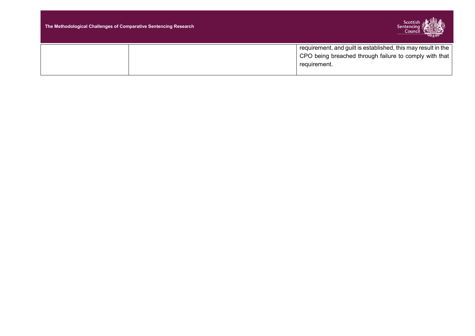| The Methodological Challenges of Comparative Sentencing Research | Scottish ( <del>全角の</del><br>Sentencing $\lambda$<br>Council<br><b>WINDOWS AT ABLES</b>                                                             |
|------------------------------------------------------------------|-----------------------------------------------------------------------------------------------------------------------------------------------------|
|                                                                  | $^{\prime}$ requirement, and guilt is established, this may result in the<br>CPO being breached through failure to comply with that<br>requirement. |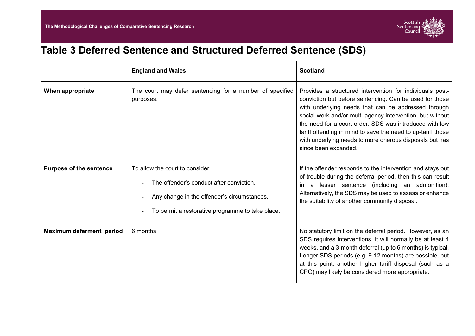### **Table 3 Deferred Sentence and Structured Deferred Sentence (SDS)**

|                                | <b>England and Wales</b>                                                                                                                                                       | <b>Scotland</b>                                                                                                                                                                                                                                                                                                                                                                                                                                       |
|--------------------------------|--------------------------------------------------------------------------------------------------------------------------------------------------------------------------------|-------------------------------------------------------------------------------------------------------------------------------------------------------------------------------------------------------------------------------------------------------------------------------------------------------------------------------------------------------------------------------------------------------------------------------------------------------|
| When appropriate               | The court may defer sentencing for a number of specified<br>purposes.                                                                                                          | Provides a structured intervention for individuals post-<br>conviction but before sentencing. Can be used for those<br>with underlying needs that can be addressed through<br>social work and/or multi-agency intervention, but without<br>the need for a court order. SDS was introduced with low<br>tariff offending in mind to save the need to up-tariff those<br>with underlying needs to more onerous disposals but has<br>since been expanded. |
| <b>Purpose of the sentence</b> | To allow the court to consider:<br>The offender's conduct after conviction.<br>Any change in the offender's circumstances.<br>To permit a restorative programme to take place. | If the offender responds to the intervention and stays out<br>of trouble during the deferral period, then this can result<br>a lesser sentence (including an admonition).<br>ın<br>Alternatively, the SDS may be used to assess or enhance<br>the suitability of another community disposal.                                                                                                                                                          |
| Maximum deferment period       | 6 months                                                                                                                                                                       | No statutory limit on the deferral period. However, as an<br>SDS requires interventions, it will normally be at least 4<br>weeks, and a 3-month deferral (up to 6 months) is typical.<br>Longer SDS periods (e.g. 9-12 months) are possible, but<br>at this point, another higher tariff disposal (such as a<br>CPO) may likely be considered more appropriate.                                                                                       |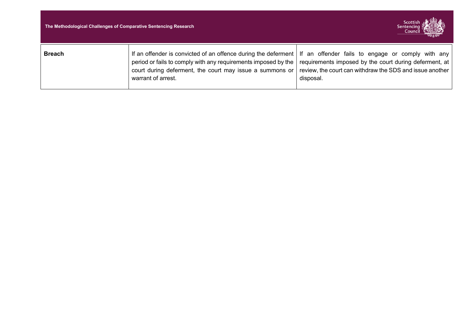| The Methodological Challenges of Comparative Sentencing Research |                                                                                                                                                                                                                                                                        | Sentencing ?<br>Council Way                                                                                                     |
|------------------------------------------------------------------|------------------------------------------------------------------------------------------------------------------------------------------------------------------------------------------------------------------------------------------------------------------------|---------------------------------------------------------------------------------------------------------------------------------|
| <b>Breach</b>                                                    | If an offender is convicted of an offence during the deferment   If an offender fails to engage or comply with any<br>period or fails to comply with any requirements imposed by the<br>court during deferment, the court may issue a summons or<br>warrant of arrest. | requirements imposed by the court during deferment, at<br>review, the court can withdraw the SDS and issue another<br>disposal. |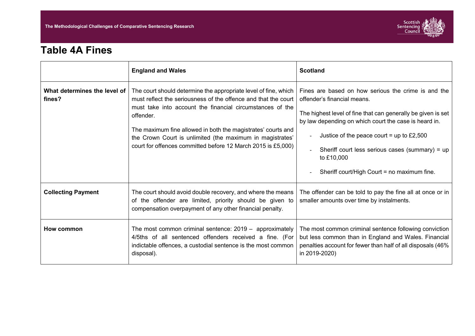

### **Table 4A Fines**

|                                        | <b>England and Wales</b>                                                                                                                                                                                                                                                                                                                                                                                 | <b>Scotland</b>                                                                                                                                                                                                                                                                                                                                                          |
|----------------------------------------|----------------------------------------------------------------------------------------------------------------------------------------------------------------------------------------------------------------------------------------------------------------------------------------------------------------------------------------------------------------------------------------------------------|--------------------------------------------------------------------------------------------------------------------------------------------------------------------------------------------------------------------------------------------------------------------------------------------------------------------------------------------------------------------------|
| What determines the level of<br>fines? | The court should determine the appropriate level of fine, which<br>must reflect the seriousness of the offence and that the court<br>must take into account the financial circumstances of the<br>offender.<br>The maximum fine allowed in both the magistrates' courts and<br>the Crown Court is unlimited (the maximum in magistrates'<br>court for offences committed before 12 March 2015 is £5,000) | Fines are based on how serious the crime is and the<br>offender's financial means.<br>The highest level of fine that can generally be given is set<br>by law depending on which court the case is heard in.<br>Justice of the peace court = up to £2,500<br>Sheriff court less serious cases (summary) = up<br>to £10,000<br>Sheriff court/High Court = no maximum fine. |
| <b>Collecting Payment</b>              | The court should avoid double recovery, and where the means<br>of the offender are limited, priority should be given to<br>compensation overpayment of any other financial penalty.                                                                                                                                                                                                                      | The offender can be told to pay the fine all at once or in<br>smaller amounts over time by instalments.                                                                                                                                                                                                                                                                  |
| How common                             | The most common criminal sentence: $2019 -$ approximately<br>4/5ths of all sentenced offenders received a fine. (For<br>indictable offences, a custodial sentence is the most common<br>disposal).                                                                                                                                                                                                       | The most common criminal sentence following conviction<br>but less common than in England and Wales. Financial<br>penalties account for fewer than half of all disposals (46%<br>in 2019-2020)                                                                                                                                                                           |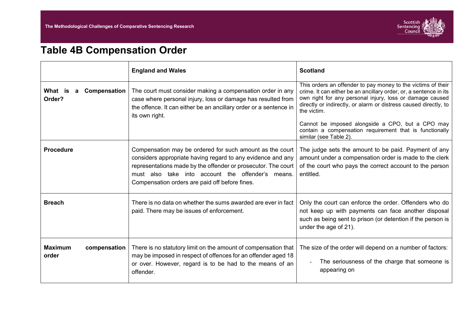

# **Table 4B Compensation Order**

|                                         | <b>England and Wales</b>                                                                                                                                                                                                                                                                        | <b>Scotland</b>                                                                                                                                                                                                                                                                                                                                                                                                           |
|-----------------------------------------|-------------------------------------------------------------------------------------------------------------------------------------------------------------------------------------------------------------------------------------------------------------------------------------------------|---------------------------------------------------------------------------------------------------------------------------------------------------------------------------------------------------------------------------------------------------------------------------------------------------------------------------------------------------------------------------------------------------------------------------|
| What is<br>Compensation<br>a<br>Order?  | The court must consider making a compensation order in any<br>case where personal injury, loss or damage has resulted from<br>the offence. It can either be an ancillary order or a sentence in<br>its own right.                                                                               | This orders an offender to pay money to the victims of their<br>crime. It can either be an ancillary order, or, a sentence in its<br>own right for any personal injury, loss or damage caused<br>directly or indirectly, or alarm or distress caused directly, to<br>the victim.<br>Cannot be imposed alongside a CPO, but a CPO may<br>contain a compensation requirement that is functionally<br>similar (see Table 2). |
| <b>Procedure</b>                        | Compensation may be ordered for such amount as the court<br>considers appropriate having regard to any evidence and any<br>representations made by the offender or prosecutor. The court<br>must also take into account the offender's means.<br>Compensation orders are paid off before fines. | The judge sets the amount to be paid. Payment of any<br>amount under a compensation order is made to the clerk<br>of the court who pays the correct account to the person<br>entitled.                                                                                                                                                                                                                                    |
| <b>Breach</b>                           | There is no data on whether the sums awarded are ever in fact<br>paid. There may be issues of enforcement.                                                                                                                                                                                      | Only the court can enforce the order. Offenders who do<br>not keep up with payments can face another disposal<br>such as being sent to prison (or detention if the person is<br>under the age of 21).                                                                                                                                                                                                                     |
| <b>Maximum</b><br>compensation<br>order | There is no statutory limit on the amount of compensation that<br>may be imposed in respect of offences for an offender aged 18<br>or over. However, regard is to be had to the means of an<br>offender.                                                                                        | The size of the order will depend on a number of factors:<br>The seriousness of the charge that someone is<br>appearing on                                                                                                                                                                                                                                                                                                |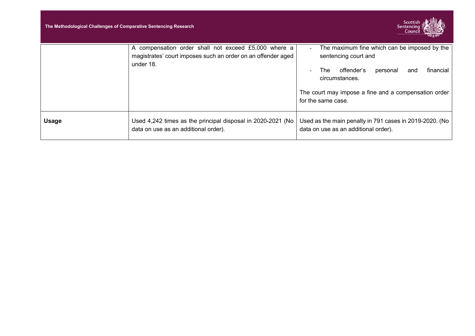| The Methodological Challenges of Comparative Sentencing Research |                                                                                                                                   | <b>Scottish</b><br>Sentencing<br>Council                                                                                                                                                                                       |
|------------------------------------------------------------------|-----------------------------------------------------------------------------------------------------------------------------------|--------------------------------------------------------------------------------------------------------------------------------------------------------------------------------------------------------------------------------|
|                                                                  | A compensation order shall not exceed £5,000 where a<br>magistrates' court imposes such an order on an offender aged<br>under 18. | The maximum fine which can be imposed by the<br>۰<br>sentencing court and<br>offender's<br>financial<br>personal<br>The<br>and<br>circumstances.<br>The court may impose a fine and a compensation order<br>for the same case. |
| <b>Usage</b>                                                     | Used 4,242 times as the principal disposal in 2020-2021 (No<br>data on use as an additional order).                               | Used as the main penalty in 791 cases in 2019-2020. (No<br>data on use as an additional order).                                                                                                                                |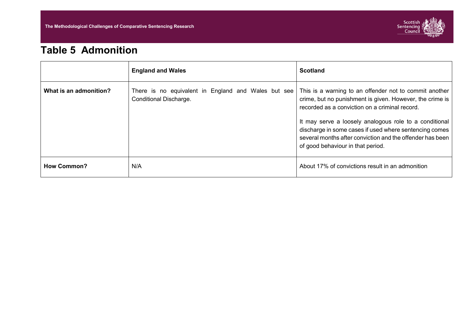

### **Table 5 Admonition**

|                        | <b>England and Wales</b>                                                      | <b>Scotland</b>                                                                                                                                                                                                                                                                                                                                                                            |
|------------------------|-------------------------------------------------------------------------------|--------------------------------------------------------------------------------------------------------------------------------------------------------------------------------------------------------------------------------------------------------------------------------------------------------------------------------------------------------------------------------------------|
| What is an admonition? | There is no equivalent in England and Wales but see<br>Conditional Discharge. | This is a warning to an offender not to commit another<br>crime, but no punishment is given. However, the crime is<br>recorded as a conviction on a criminal record.<br>It may serve a loosely analogous role to a conditional<br>discharge in some cases if used where sentencing comes<br>several months after conviction and the offender has been<br>of good behaviour in that period. |
| <b>How Common?</b>     | N/A                                                                           | About 17% of convictions result in an admonition                                                                                                                                                                                                                                                                                                                                           |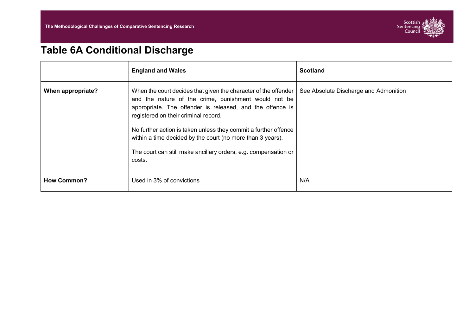

# **Table 6A Conditional Discharge**

|                    | <b>England and Wales</b>                                                                                                                                                                                                                                                                                                                                                                                                                   | <b>Scotland</b>                       |
|--------------------|--------------------------------------------------------------------------------------------------------------------------------------------------------------------------------------------------------------------------------------------------------------------------------------------------------------------------------------------------------------------------------------------------------------------------------------------|---------------------------------------|
| When appropriate?  | When the court decides that given the character of the offender<br>and the nature of the crime, punishment would not be<br>appropriate. The offender is released, and the offence is<br>registered on their criminal record.<br>No further action is taken unless they commit a further offence<br>within a time decided by the court (no more than 3 years).<br>The court can still make ancillary orders, e.g. compensation or<br>costs. | See Absolute Discharge and Admonition |
| <b>How Common?</b> | Used in 3% of convictions                                                                                                                                                                                                                                                                                                                                                                                                                  | N/A                                   |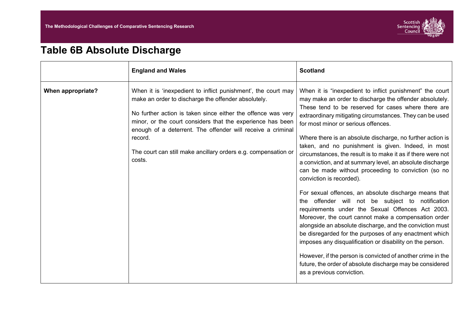

# **Table 6B Absolute Discharge**

|                             | <b>England and Wales</b>                                                                                                                                                                                                                                                                                                                                                                       | <b>Scotland</b>                                                                                                                                                                                                                                                                                                                                                                                                                                                                                                                                                                                                                                                                                                                                                                                                                                                                                                                                                                                                                                                                                                                                                                        |
|-----------------------------|------------------------------------------------------------------------------------------------------------------------------------------------------------------------------------------------------------------------------------------------------------------------------------------------------------------------------------------------------------------------------------------------|----------------------------------------------------------------------------------------------------------------------------------------------------------------------------------------------------------------------------------------------------------------------------------------------------------------------------------------------------------------------------------------------------------------------------------------------------------------------------------------------------------------------------------------------------------------------------------------------------------------------------------------------------------------------------------------------------------------------------------------------------------------------------------------------------------------------------------------------------------------------------------------------------------------------------------------------------------------------------------------------------------------------------------------------------------------------------------------------------------------------------------------------------------------------------------------|
| When appropriate?<br>costs. | When it is 'inexpedient to inflict punishment', the court may<br>make an order to discharge the offender absolutely.<br>No further action is taken since either the offence was very<br>minor, or the court considers that the experience has been<br>enough of a deterrent. The offender will receive a criminal<br>record.<br>The court can still make ancillary orders e.g. compensation or | When it is "inexpedient to inflict punishment" the court<br>may make an order to discharge the offender absolutely.<br>These tend to be reserved for cases where there are<br>extraordinary mitigating circumstances. They can be used<br>for most minor or serious offences.<br>Where there is an absolute discharge, no further action is<br>taken, and no punishment is given. Indeed, in most<br>circumstances, the result is to make it as if there were not<br>a conviction, and at summary level, an absolute discharge<br>can be made without proceeding to conviction (so no<br>conviction is recorded).<br>For sexual offences, an absolute discharge means that<br>the offender will not be subject to notification<br>requirements under the Sexual Offences Act 2003.<br>Moreover, the court cannot make a compensation order<br>alongside an absolute discharge, and the conviction must<br>be disregarded for the purposes of any enactment which<br>imposes any disqualification or disability on the person.<br>However, if the person is convicted of another crime in the<br>future, the order of absolute discharge may be considered<br>as a previous conviction. |